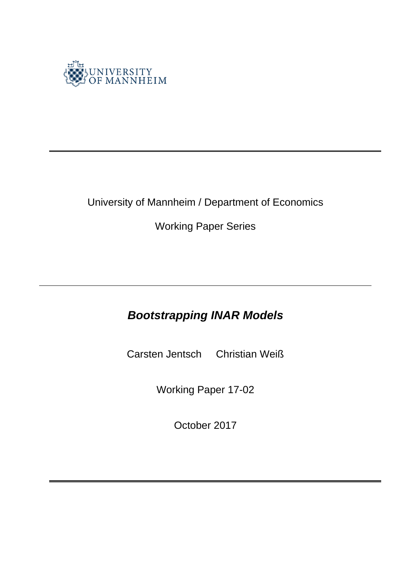

## University of Mannheim / Department of Economics

Working Paper Series

# *Bootstrapping INAR Models*

Carsten Jentsch Christian Weiß

Working Paper 17-02

October 2017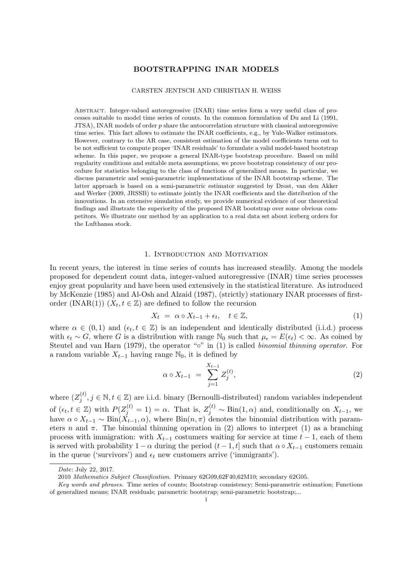#### BOOTSTRAPPING INAR MODELS

#### CARSTEN JENTSCH AND CHRISTIAN H. WEISS

Abstract. Integer-valued autoregressive (INAR) time series form a very useful class of processes suitable to model time series of counts. In the common formulation of Du and Li (1991,  $JTSA$ ), INAR models of order p share the autocorrelation structure with classical autoregressive time series. This fact allows to estimate the INAR coefficients, e.g., by Yule-Walker estimators. However, contrary to the AR case, consistent estimation of the model coefficients turns out to be not sufficient to compute proper 'INAR residuals' to formulate a valid model-based bootstrap scheme. In this paper, we propose a general INAR-type bootstrap procedure. Based on mild regularity conditions and suitable meta assumptions, we prove bootstrap consistency of our procedure for statistics belonging to the class of functions of generalized means. In particular, we discuss parametric and semi-parametric implementations of the INAR bootstrap scheme. The latter approach is based on a semi-parametric estimator suggested by Drost, van den Akker and Werker (2009, JRSSB) to estimate jointly the INAR coefficients and the distribution of the innovations. In an extensive simulation study, we provide numerical evidence of our theoretical findings and illustrate the superiority of the proposed INAR bootstrap over some obvious competitors. We illustrate our method by an application to a real data set about iceberg orders for the Lufthansa stock.

#### 1. Introduction and Motivation

In recent years, the interest in time series of counts has increased steadily. Among the models proposed for dependent count data, integer-valued autoregressive (INAR) time series processes enjoy great popularity and have been used extensively in the statistical literature. As introduced by McKenzie (1985) and Al-Osh and Alzaid (1987), (strictly) stationary INAR processes of firstorder (INAR(1))  $(X_t, t \in \mathbb{Z})$  are defined to follow the recursion

$$
X_t = \alpha \circ X_{t-1} + \epsilon_t, \quad t \in \mathbb{Z}, \tag{1}
$$

where  $\alpha \in (0,1)$  and  $(\epsilon_t, t \in \mathbb{Z})$  is an independent and identically distributed (i.i.d.) process with  $\epsilon_t \sim G$ , where G is a distribution with range N<sub>0</sub> such that  $\mu_{\epsilon} = E(\epsilon_t) < \infty$ . As coined by Steutel and van Harn (1979), the operator " $\circ$ " in (1) is called *binomial thinning operator*. For a random variable  $X_{t-1}$  having range  $\mathbb{N}_0$ , it is defined by

$$
\alpha \circ X_{t-1} = \sum_{j=1}^{X_{t-1}} Z_j^{(t)}, \tag{2}
$$

where  $(Z_i^{(t)}$  $j_j^{(t)}$ ,  $j \in \mathbb{N}, t \in \mathbb{Z}$ ) are i.i.d. binary (Bernoulli-distributed) random variables independent of  $(\epsilon_t, t \in \mathbb{Z})$  with  $P(Z_j^{(t)} = 1) = \alpha$ . That is,  $Z_j^{(t)} \sim Bin(1, \alpha)$  and, conditionally on  $X_{t-1}$ , we have  $\alpha \circ X_{t-1} \sim Bin(\check{X}_{t-1}, \alpha)$ , where  $Bin(n, \pi)$  denotes the binomial distribution with parameters n and  $\pi$ . The binomial thinning operation in (2) allows to interpret (1) as a branching process with immigration: with  $X_{t-1}$  costumers waiting for service at time  $t-1$ , each of them is served with probability  $1 - \alpha$  during the period  $(t - 1, t]$  such that  $\alpha \circ X_{t-1}$  customers remain in the queue ('survivors') and  $\epsilon_t$  new customers arrive ('immigrants').

Date: July 22, 2017.

<sup>2010</sup> Mathematics Subject Classification. Primary 62G09,62F40,62M10; secondary 62G05.

Key words and phrases. Time series of counts; Bootstrap consistency; Semi-parametric estimation; Functions of generalized means; INAR residuals; parametric bootstrap; semi-parametric bootstrap;...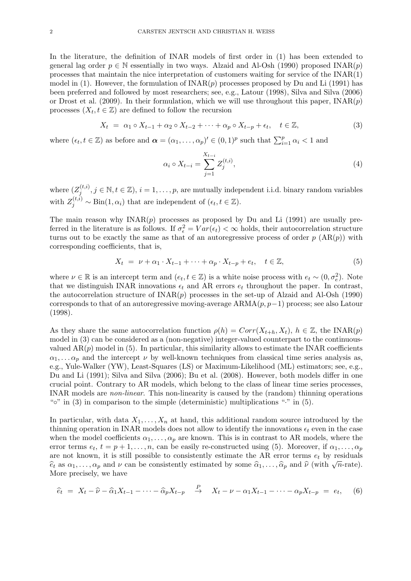In the literature, the definition of INAR models of first order in (1) has been extended to general lag order  $p \in \mathbb{N}$  essentially in two ways. Alzaid and Al-Osh (1990) proposed INAR $(p)$ processes that maintain the nice interpretation of customers waiting for service of the INAR(1) model in (1). However, the formulation of  $\text{INAR}(p)$  processes proposed by Du and Li (1991) has been preferred and followed by most researchers; see, e.g., Latour (1998), Silva and Silva (2006) or Drost et al. (2009). In their formulation, which we will use throughout this paper,  $\text{INAR}(p)$ processes  $(X_t, t \in \mathbb{Z})$  are defined to follow the recursion

$$
X_t = \alpha_1 \circ X_{t-1} + \alpha_2 \circ X_{t-2} + \dots + \alpha_p \circ X_{t-p} + \epsilon_t, \quad t \in \mathbb{Z},
$$
\n
$$
(3)
$$

where  $(\epsilon_t, t \in \mathbb{Z})$  as before and  $\boldsymbol{\alpha} = (\alpha_1, \dots, \alpha_p)' \in (0, 1)^p$  such that  $\sum_{i=1}^p \alpha_i < 1$  and

$$
\alpha_i \circ X_{t-i} = \sum_{j=1}^{X_{t-i}} Z_j^{(t,i)},\tag{4}
$$

where  $(Z_i^{(t,i)}$  $j_j^{(t,i)}, j \in \mathbb{N}, t \in \mathbb{Z}$ ,  $i = 1, \ldots, p$ , are mutually independent i.i.d. binary random variables with  $Z_j^{(t,i)} \sim \text{Bin}(1, \alpha_i)$  that are independent of  $(\epsilon_t, t \in \mathbb{Z})$ .

The main reason why  $INAR(p)$  processes as proposed by Du and Li (1991) are usually preferred in the literature is as follows. If  $\sigma_{\epsilon}^2 = Var(\epsilon_t) < \infty$  holds, their autocorrelation structure turns out to be exactly the same as that of an autoregressive process of order  $p(\text{AR}(p))$  with corresponding coefficients, that is,

$$
X_t = \nu + \alpha_1 \cdot X_{t-1} + \dots + \alpha_p \cdot X_{t-p} + e_t, \quad t \in \mathbb{Z},
$$
\n
$$
(5)
$$

where  $\nu \in \mathbb{R}$  is an intercept term and  $(e_t, t \in \mathbb{Z})$  is a white noise process with  $e_t \sim (0, \sigma_e^2)$ . Note that we distinguish INAR innovations  $\epsilon_t$  and AR errors  $e_t$  throughout the paper. In contrast, the autocorrelation structure of  $\text{INAR}(p)$  processes in the set-up of Alzaid and Al-Osh (1990) corresponds to that of an autoregressive moving-average  $ARMA(p, p-1)$  process; see also Latour (1998).

As they share the same autocorrelation function  $\rho(h) = Corr(X_{t+h}, X_t), h \in \mathbb{Z}$ , the INAR(p) model in (3) can be considered as a (non-negative) integer-valued counterpart to the continuousvalued  $AR(p)$  model in (5). In particular, this similarity allows to estimate the INAR coefficients  $\alpha_1, \ldots, \alpha_p$  and the intercept  $\nu$  by well-known techniques from classical time series analysis as, e.g., Yule-Walker (YW), Least-Squares (LS) or Maximum-Likelihood (ML) estimators; see, e.g., Du and Li (1991); Silva and Silva (2006); Bu et al. (2008). However, both models differ in one crucial point. Contrary to AR models, which belong to the class of linear time series processes, INAR models are non-linear. This non-linearity is caused by the (random) thinning operations " $\circ$ " in (3) in comparison to the simple (deterministic) multiplications " $\cdot$ " in (5).

In particular, with data  $X_1, \ldots, X_n$  at hand, this additional random source introduced by the thinning operation in INAR models does not allow to identify the innovations  $\epsilon_t$  even in the case when the model coefficients  $\alpha_1, \ldots, \alpha_p$  are known. This is in contrast to AR models, where the error terms  $e_t$ ,  $t = p + 1, \ldots, n$ , can be easily re-constructed using (5). Moreover, if  $\alpha_1, \ldots, \alpha_p$ are not known, it is still possible to consistently estimate the AR error terms  $e_t$  by residuals are not known, it is still possible to consistently estimate the AK error terms  $e_t$  by residuals  $\hat{e}_t$  as  $\alpha_1, \ldots, \alpha_p$  and  $\nu$  can be consistently estimated by some  $\hat{\alpha}_1, \ldots, \hat{\alpha}_p$  and  $\hat{\nu}$  (with  $\sqrt{n}$ -rate More precisely, we have

$$
\widehat{e}_t = X_t - \widehat{\nu} - \widehat{\alpha}_1 X_{t-1} - \dots - \widehat{\alpha}_p X_{t-p} \xrightarrow{P} X_t - \nu - \alpha_1 X_{t-1} - \dots - \alpha_p X_{t-p} = e_t, \quad (6)
$$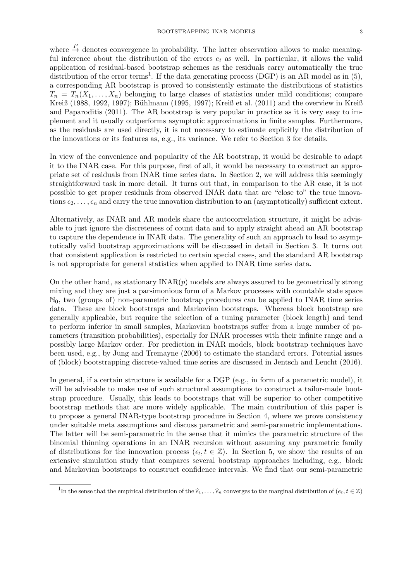where  $\stackrel{P}{\rightarrow}$  denotes convergence in probability. The latter observation allows to make meaningful inference about the distribution of the errors  $e_t$  as well. In particular, it allows the valid application of residual-based bootstrap schemes as the residuals carry automatically the true distribution of the error terms<sup>1</sup>. If the data generating process (DGP) is an AR model as in  $(5)$ , a corresponding AR bootstrap is proved to consistently estimate the distributions of statistics  $T_n = T_n(X_1, \ldots, X_n)$  belonging to large classes of statistics under mild conditions; compare Kreiß (1988, 1992, 1997); Bühlmann (1995, 1997); Kreiß et al. (2011) and the overview in Kreiß and Paparoditis (2011). The AR bootstrap is very popular in practice as it is very easy to implement and it usually outperforms asymptotic approximations in finite samples. Furthermore, as the residuals are used directly, it is not necessary to estimate explicitly the distribution of the innovations or its features as, e.g., its variance. We refer to Section 3 for details.

In view of the convenience and popularity of the AR bootstrap, it would be desirable to adapt it to the INAR case. For this purpose, first of all, it would be necessary to construct an appropriate set of residuals from INAR time series data. In Section 2, we will address this seemingly straightforward task in more detail. It turns out that, in comparison to the AR case, it is not possible to get proper residuals from observed INAR data that are "close to" the true innovations  $\epsilon_2, \ldots, \epsilon_n$  and carry the true innovation distribution to an (asymptotically) sufficient extent.

Alternatively, as INAR and AR models share the autocorrelation structure, it might be advisable to just ignore the discreteness of count data and to apply straight ahead an AR bootstrap to capture the dependence in INAR data. The generality of such an approach to lead to asymptotically valid bootstrap approximations will be discussed in detail in Section 3. It turns out that consistent application is restricted to certain special cases, and the standard AR bootstrap is not appropriate for general statistics when applied to INAR time series data.

On the other hand, as stationary  $\text{INAR}(p)$  models are always assured to be geometrically strong mixing and they are just a parsimonious form of a Markov processes with countable state space  $\mathbb{N}_0$ , two (groups of) non-parametric bootstrap procedures can be applied to INAR time series data. These are block bootstraps and Markovian bootstraps. Whereas block bootstrap are generally applicable, but require the selection of a tuning parameter (block length) and tend to perform inferior in small samples, Markovian bootstraps suffer from a huge number of parameters (transition probabilities), especially for INAR processes with their infinite range and a possibly large Markov order. For prediction in INAR models, block bootstrap techniques have been used, e.g., by Jung and Tremayne (2006) to estimate the standard errors. Potential issues of (block) bootstrapping discrete-valued time series are discussed in Jentsch and Leucht (2016).

In general, if a certain structure is available for a DGP (e.g., in form of a parametric model), it will be advisable to make use of such structural assumptions to construct a tailor-made bootstrap procedure. Usually, this leads to bootstraps that will be superior to other competitive bootstrap methods that are more widely applicable. The main contribution of this paper is to propose a general INAR-type bootstrap procedure in Section 4, where we prove consistency under suitable meta assumptions and discuss parametric and semi-parametric implementations. The latter will be semi-parametric in the sense that it mimics the parametric structure of the binomial thinning operations in an INAR recursion without assuming any parametric family of distributions for the innovation process  $(\epsilon_t, t \in \mathbb{Z})$ . In Section 5, we show the results of an extensive simulation study that compares several bootstrap approaches including, e.g., block and Markovian bootstraps to construct confidence intervals. We find that our semi-parametric

<sup>&</sup>lt;sup>1</sup>In the sense that the empirical distribution of the  $\hat{e}_1, \ldots, \hat{e}_n$  converges to the marginal distribution of  $(e_t, t \in \mathbb{Z})$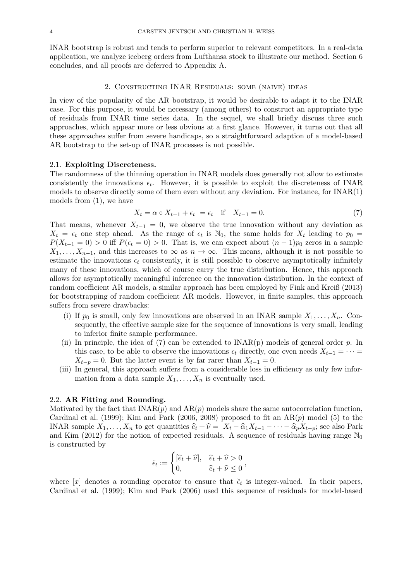INAR bootstrap is robust and tends to perform superior to relevant competitors. In a real-data application, we analyze iceberg orders from Lufthansa stock to illustrate our method. Section 6 concludes, and all proofs are deferred to Appendix A.

#### 2. Constructing INAR Residuals: some (naive) ideas

In view of the popularity of the AR bootstrap, it would be desirable to adapt it to the INAR case. For this purpose, it would be necessary (among others) to construct an appropriate type of residuals from INAR time series data. In the sequel, we shall briefly discuss three such approaches, which appear more or less obvious at a first glance. However, it turns out that all these approaches suffer from severe handicaps, so a straightforward adaption of a model-based AR bootstrap to the set-up of INAR processes is not possible.

#### 2.1. Exploiting Discreteness.

The randomness of the thinning operation in INAR models does generally not allow to estimate consistently the innovations  $\epsilon_t$ . However, it is possible to exploit the discreteness of INAR models to observe directly some of them even without any deviation. For instance, for INAR(1) models from (1), we have

$$
X_t = \alpha \circ X_{t-1} + \epsilon_t = \epsilon_t \quad \text{if} \quad X_{t-1} = 0. \tag{7}
$$

That means, whenever  $X_{t-1} = 0$ , we observe the true innovation without any deviation as  $X_t = \epsilon_t$  one step ahead. As the range of  $\epsilon_t$  is  $\mathbb{N}_0$ , the same holds for  $X_t$  leading to  $p_0 =$  $P(X_{t-1} = 0) > 0$  iff  $P(\epsilon_t = 0) > 0$ . That is, we can expect about  $(n-1)p_0$  zeros in a sample  $X_1, \ldots, X_{n-1}$ , and this increases to  $\infty$  as  $n \to \infty$ . This means, although it is not possible to estimate the innovations  $\epsilon_t$  consistently, it is still possible to observe asymptotically infinitely many of these innovations, which of course carry the true distribution. Hence, this approach allows for asymptotically meaningful inference on the innovation distribution. In the context of random coefficient AR models, a similar approach has been employed by Fink and Kreiß (2013) for bootstrapping of random coefficient AR models. However, in finite samples, this approach suffers from severe drawbacks:

- (i) If  $p_0$  is small, only few innovations are observed in an INAR sample  $X_1, \ldots, X_n$ . Consequently, the effective sample size for the sequence of innovations is very small, leading to inferior finite sample performance.
- (ii) In principle, the idea of (7) can be extended to  $INAR(p)$  models of general order p. In this case, to be able to observe the innovations  $\epsilon_t$  directly, one even needs  $X_{t-1} = \cdots =$  $X_{t-p} = 0$ . But the latter event is by far rarer than  $X_{t-1} = 0$ .
- (iii) In general, this approach suffers from a considerable loss in efficiency as only few information from a data sample  $X_1, \ldots, X_n$  is eventually used.

## 2.2. AR Fitting and Rounding.

Motivated by the fact that  $\text{INAR}(p)$  and  $\text{AR}(p)$  models share the same autocorrelation function, Cardinal et al. (1999); Kim and Park (2006, 2008) proposed to fit an  $AR(p)$  model (5) to the INAR sample  $X_1, \ldots, X_n$  to get quantities  $\hat{e}_t + \hat{\nu} = X_t - \hat{\alpha}_1 X_{t-1} - \cdots - \hat{\alpha}_p X_{t-p}$ ; see also Park and Kim (2012) for the notion of expected residuals. A sequence of residuals having range  $\mathbb{N}_0$ is constructed by

$$
\breve{\epsilon}_t := \begin{cases} [\widehat{e}_t + \widehat{\nu}], & \widehat{e}_t + \widehat{\nu} > 0 \\ 0, & \widehat{e}_t + \widehat{\nu} \le 0 \end{cases},
$$

where [x] denotes a rounding operator to ensure that  $\check{\epsilon}_t$  is integer-valued. In their papers, Cardinal et al. (1999); Kim and Park (2006) used this sequence of residuals for model-based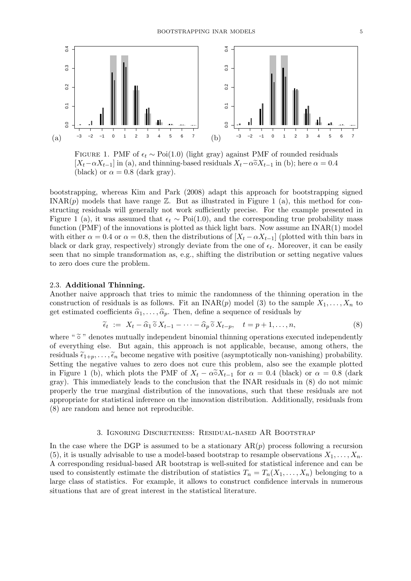

FIGURE 1. PMF of  $\epsilon_t \sim \text{Poi}(1.0)$  (light gray) against PMF of rounded residuals  $[X_t-\alpha X_{t-1}]$  in (a), and thinning-based residuals  $X_t-\alpha \tilde{\circ} X_{t-1}$  in (b); here  $\alpha = 0.4$ (black) or  $\alpha = 0.8$  (dark gray).

bootstrapping, whereas Kim and Park (2008) adapt this approach for bootstrapping signed INAR $(p)$  models that have range  $\mathbb{Z}$ . But as illustrated in Figure 1 (a), this method for constructing residuals will generally not work sufficiently precise. For the example presented in Figure 1 (a), it was assumed that  $\epsilon_t \sim \text{Poi}(1.0)$ , and the corresponding true probability mass function (PMF) of the innovations is plotted as thick light bars. Now assume an  $INAR(1)$  model with either  $\alpha = 0.4$  or  $\alpha = 0.8$ , then the distributions of  $[X_t - \alpha X_{t-1}]$  (plotted with thin bars in black or dark gray, respectively) strongly deviate from the one of  $\epsilon_t$ . Moreover, it can be easily seen that no simple transformation as, e.g., shifting the distribution or setting negative values to zero does cure the problem.

## 2.3. Additional Thinning.

Another naive approach that tries to mimic the randomness of the thinning operation in the construction of residuals is as follows. Fit an INAR $(p)$  model (3) to the sample  $X_1, \ldots, X_n$  to get estimated coefficients  $\hat{\alpha}_1, \ldots, \hat{\alpha}_p$ . Then, define a sequence of residuals by

$$
\widetilde{\epsilon}_t := X_t - \widehat{\alpha}_1 \widetilde{\circ} X_{t-1} - \dots - \widehat{\alpha}_p \widetilde{\circ} X_{t-p}, \quad t = p+1, \dots, n,\tag{8}
$$

where " $\tilde{\circ}$ " denotes mutually independent binomial thinning operations executed independently of everything else. But again, this approach is not applicable, because, among others, the residuals  $\tilde{\epsilon}_{1+p}, \ldots, \tilde{\epsilon}_n$  become negative with positive (asymptotically non-vanishing) probability. Setting the negative values to zero does not cure this problem, also see the example plotted in Figure 1 (b), which plots the PMF of  $X_t - \alpha \tilde{\alpha} X_{t-1}$  for  $\alpha = 0.4$  (black) or  $\alpha = 0.8$  (dark gray). This immediately leads to the conclusion that the INAR residuals in (8) do not mimic properly the true marginal distribution of the innovations, such that these residuals are not appropriate for statistical inference on the innovation distribution. Additionally, residuals from (8) are random and hence not reproducible.

#### 3. Ignoring Discreteness: Residual-based AR Bootstrap

In the case where the DGP is assumed to be a stationary  $AR(p)$  process following a recursion (5), it is usually advisable to use a model-based bootstrap to resample observations  $X_1, \ldots, X_n$ . A corresponding residual-based AR bootstrap is well-suited for statistical inference and can be used to consistently estimate the distribution of statistics  $T_n = T_n(X_1, \ldots, X_n)$  belonging to a large class of statistics. For example, it allows to construct confidence intervals in numerous situations that are of great interest in the statistical literature.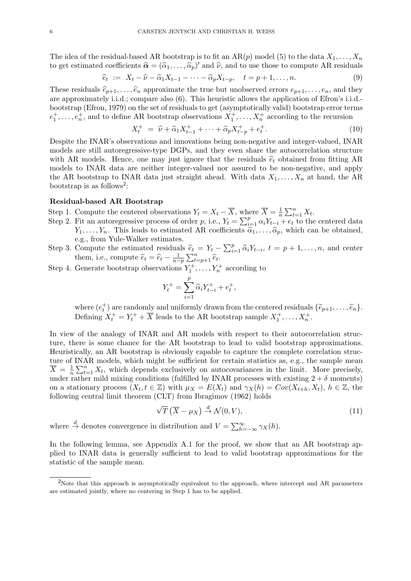The idea of the residual-based AR bootstrap is to fit an AR(p) model (5) to the data  $X_1, \ldots, X_n$ to get estimated coefficients  $\hat{\alpha} = (\hat{\alpha}_1, \dots, \hat{\alpha}_p)'$  and  $\hat{\nu}$ , and to use those to compute AR residuals

$$
\widehat{e}_t := X_t - \widehat{\nu} - \widehat{\alpha}_1 X_{t-1} - \dots - \widehat{\alpha}_p X_{t-p}, \quad t = p+1, \dots, n. \tag{9}
$$

These residuals  $\hat{e}_{p+1}, \ldots, \hat{e}_n$  approximate the true but unobserved errors  $e_{p+1}, \ldots, e_n$ , and they are approximately i.i.d.; compare also (6). This heuristic allows the application of Efron's i.i.d. bootstrap (Efron, 1979) on the set of residuals to get (asymptotically valid) bootstrap error terms  $e_1^+,\ldots,e_n^+$ , and to define AR bootstrap observations  $X_1^+,\ldots,X_n^+$  according to the recursion

$$
X_t^+ = \hat{\nu} + \hat{\alpha}_1 X_{t-1}^+ + \dots + \hat{\alpha}_p X_{t-p}^+ + e_t^+.
$$
 (10)

Despite the INAR's observations and innovations being non-negative and integer-valued, INAR models are still autoregressive-type DGPs, and they even share the autocorrelation structure with AR models. Hence, one may just ignore that the residuals  $\hat{e}_t$  obtained from fitting AR models to INAR data are neither integer-valued nor assured to be non-negative, and apply the AR bootstrap to INAR data just straight ahead. With data  $X_1, \ldots, X_n$  at hand, the AR bootstrap is as follows<sup>2</sup>:

## Residual-based AR Bootstrap

- Step 1. Compute the centered observations  $Y_t = X_t \overline{X}$ , where  $\overline{X} = \frac{1}{n}$  $\frac{1}{n} \sum_{t=1}^{n} X_t.$
- Step 2. Fit an autoregressive process of order p, i.e.,  $Y_t = \sum_{i=1}^p \alpha_i Y_{t-i} + e_t$  to the centered data  $Y_1, \ldots, Y_n$ . This leads to estimated AR coefficients  $\hat{\alpha}_1, \ldots, \hat{\alpha}_p$ , which can be obtained, e.g., from Yule-Walker estimates.
- Step 3. Compute the estimated residuals  $\hat{e}_t = Y_t \sum_{i=1}^p \hat{\alpha}_i Y_{t-i}, t = p+1, \ldots, n$ , and center them, i.e., compute  $\widetilde{e}_t = \widehat{e}_t - \frac{1}{n-p} \sum_{t=p+1}^n \widehat{e}_t$ .
- Step 4. Generate bootstrap observations  $Y_1^+, \ldots, Y_n^+$  according to

$$
Y_t^+ = \sum_{i=1}^p \widehat{\alpha}_i Y_{t-i}^+ + e_t^+,
$$

where  $(e_t^+)$  are randomly and uniformly drawn from the centered residuals  $\{\widetilde{e}_{p+1}, \ldots, \widetilde{e}_n\}$ .<br>Defining  $X_t^+ = Y_t^+ + \overline{X}$  leads to the AR bootstrap sample  $X_1^+, \ldots, X_n^+$ .

In view of the analogy of INAR and AR models with respect to their autocorrelation structure, there is some chance for the AR bootstrap to lead to valid bootstrap approximations. Heuristically, an AR bootstrap is obviously capable to capture the complete correlation structure of INAR models, which might be sufficient for certain statistics as, e.g., the sample mean  $\overline{X} = \frac{1}{n}$  $\frac{1}{n}\sum_{t=1}^{n} X_t$ , which depends exclusively on autocovariances in the limit. More precisely, under rather mild mixing conditions (fulfilled by INAR processes with existing  $2 + \delta$  moments) on a stationary process  $(X_t, t \in \mathbb{Z})$  with  $\mu_X = E(X_t)$  and  $\gamma_X(h) = Cov(X_{t+h}, X_t)$ ,  $h \in \mathbb{Z}$ , the following central limit theorem (CLT) from Ibragimov (1962) holds

$$
\sqrt{T}\left(\overline{X} - \mu_X\right) \stackrel{d}{\to} \mathcal{N}(0, V),\tag{11}
$$

where  $\stackrel{d}{\to}$  denotes convergence in distribution and  $V = \sum_{h=-\infty}^{\infty} \gamma_X(h)$ .

In the following lemma, see Appendix A.1 for the proof, we show that an AR bootstrap applied to INAR data is generally sufficient to lead to valid bootstrap approximations for the statistic of the sample mean.

<sup>&</sup>lt;sup>2</sup>Note that this approach is asymptotically equivalent to the approach, where intercept and AR parameters are estimated jointly, where no centering in Step 1 has to be applied.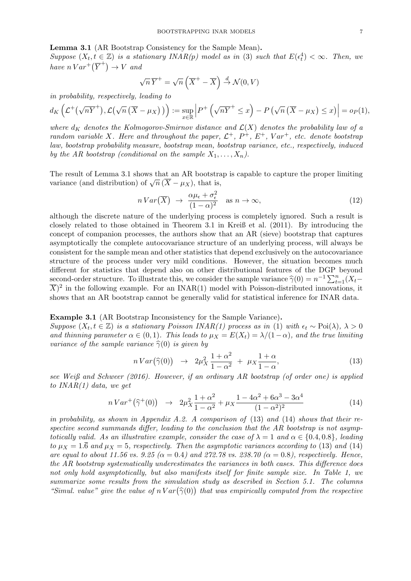Lemma 3.1 (AR Bootstrap Consistency for the Sample Mean).

Suppose  $(X_t, t \in \mathbb{Z})$  is a stationary INAR(p) model as in (3) such that  $E(\epsilon_t^4) < \infty$ . Then, we have  $n \text{Var}^+(\overline{Y}^+) \rightarrow V$  and

$$
\sqrt{n}\,\overline{Y}^+ = \sqrt{n}\left(\overline{X}^+ - \overline{X}\right) \stackrel{d}{\to} \mathcal{N}(0, V)
$$

in probability, respectively, leading to

$$
d_K\left(\mathcal{L}^+(\sqrt{nY}^+),\mathcal{L}(\sqrt{n}(\overline{X}-\mu_X))\right):=\sup_{x\in\mathbb{R}}\left|P^+\left(\sqrt{nY}^+\leq x\right)-P\left(\sqrt{n}(\overline{X}-\mu_X)\leq x\right)\right|=o_P(1),
$$

where  $d_K$  denotes the Kolmogorov-Smirnov distance and  $\mathcal{L}(X)$  denotes the probability law of a random variable X. Here and throughout the paper,  $\mathcal{L}^+$ ,  $P^+$ ,  $E^+$ ,  $Var^+$ , etc. denote bootstrap law, bootstrap probability measure, bootstrap mean, bootstrap variance, etc., respectively, induced by the AR bootstrap (conditional on the sample  $X_1, \ldots, X_n$ ).

The result of Lemma 3.1 shows that an AR bootstrap is capable to capture the proper limiting The result of Lemma 3.1 shows that an AR bootstrance (and distribution) of  $\sqrt{n}(\overline{X} - \mu_X)$ , that is,

$$
nVar\left(\overline{X}\right) \rightarrow \frac{\alpha\mu_{\epsilon} + \sigma_{\epsilon}^2}{(1-\alpha)^2} \quad \text{as } n \rightarrow \infty,
$$
\n(12)

although the discrete nature of the underlying process is completely ignored. Such a result is closely related to those obtained in Theorem 3.1 in Kreiß et al. (2011). By introducing the concept of companion processes, the authors show that an AR (sieve) bootstrap that captures asymptotically the complete autocovariance structure of an underlying process, will always be consistent for the sample mean and other statistics that depend exclusively on the autocovariance structure of the process under very mild conditions. However, the situation becomes much different for statistics that depend also on other distributional features of the DGP beyond second-order structure. To illustrate this, we consider the sample variance  $\hat{\gamma}(0) = n^{-1} \sum_{t=1}^{n} (X_t - \overline{X})^2$  in the following example. For an INAP(1) model with Poisson distributed innerations, it  $\overline{X})^2$  in the following example. For an INAR(1) model with Poisson-distributed innovations, it shows that an AR bootstrap cannot be generally valid for statistical inference for INAR data.

#### Example 3.1 (AR Bootstrap Inconsistency for the Sample Variance).

Suppose  $(X_t, t \in \mathbb{Z})$  is a stationary Poisson INAR(1) process as in (1) with  $\epsilon_t \sim \text{Poi}(\lambda)$ ,  $\lambda > 0$ and thinning parameter  $\alpha \in (0,1)$ . This leads to  $\mu_X = E(X_t) = \lambda/(1-\alpha)$ , and the true limiting variance of the sample variance  $\hat{\gamma}(0)$  is given by

$$
n\operatorname{Var}\left(\widehat{\gamma}(0)\right) \rightarrow 2\mu_X^2 \frac{1+\alpha^2}{1-\alpha^2} + \mu_X \frac{1+\alpha}{1-\alpha},\tag{13}
$$

see Weiß and Schweer (2016). However, if an ordinary AR bootstrap (of order one) is applied to  $INAR(1)$  data, we get

$$
nVar^{+}(\hat{\gamma}^{+}(0)) \rightarrow 2\mu_{X}^{2}\frac{1+\alpha^{2}}{1-\alpha^{2}} + \mu_{X}\frac{1-4\alpha^{2}+6\alpha^{3}-3\alpha^{4}}{(1-\alpha^{2})^{2}}
$$
(14)

in probability, as shown in Appendix A.2. A comparison of  $(13)$  and  $(14)$  shows that their respective second summands differ, leading to the conclusion that the AR bootstrap is not asymptotically valid. As an illustrative example, consider the case of  $\lambda = 1$  and  $\alpha \in \{0.4, 0.8\}$ , leading to  $\mu_X = 1.\overline{6}$  and  $\mu_X = 5$ , respectively. Then the asymptotic variances according to (13) and (14) are equal to about 11.56 vs. 9.25 ( $\alpha = 0.4$ ) and 272.78 vs. 238.70 ( $\alpha = 0.8$ ), respectively. Hence, the AR bootstrap systematically underestimates the variances in both cases. This difference does not only hold asymptotically, but also manifests itself for finite sample size. In Table 1, we summarize some results from the simulation study as described in Section 5.1. The columns "Simul. value" give the value of  $n Var(\hat{\gamma}(0))$  that was empirically computed from the respective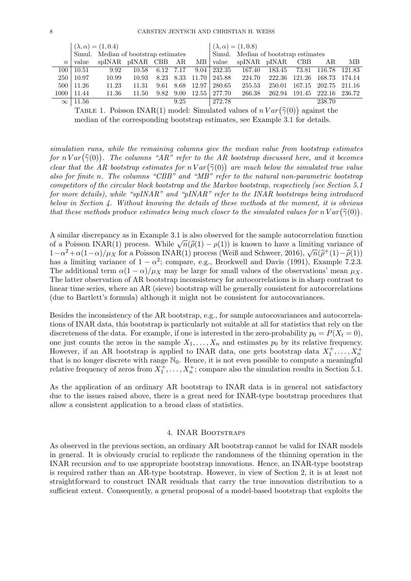|                  |                   | $(\lambda, \alpha) = (1, 0.4)$       |       |           |      |                               | $(\lambda, \alpha) = (1, 0.8)$ |                                      |        |               |               |        |
|------------------|-------------------|--------------------------------------|-------|-----------|------|-------------------------------|--------------------------------|--------------------------------------|--------|---------------|---------------|--------|
|                  |                   | Simul. Median of bootstrap estimates |       |           |      |                               |                                | Simul. Median of bootstrap estimates |        |               |               |        |
| $\boldsymbol{n}$ | value             | spINAR pINAR CBB AR                  |       |           |      | ΜВ                            | value                          | spINAR pINAR CBB                     |        |               | AR            | MВ     |
| 100 l            | 10.51             | 9.92                                 | 10.58 | 6.12 7.17 |      | 9.04                          | 232.35                         | -167.40                              | 183.45 | 73.81 116.78  |               | 121.83 |
| <b>250</b>       | 10.97             | 10.99                                | 10.93 |           |      | 8.23 8.33 11.70               | 245.88                         | 224.70                               | 222.36 | 121.26        | 168.73        | 174.14 |
|                  | $500 \mid 11.26$  | 11.23                                | 11.31 | 9.61      |      | 8.68 12.97                    | 280.65                         | 255.53                               | 250.01 |               | 167.15 202.75 | 211.16 |
|                  | $1000 \mid 11.44$ | 11.36                                | 11.50 |           |      | $9.82 \quad 9.00 \quad 12.55$ | 277.70                         | 266.38                               | 262.94 | 191.45 222.16 |               | 236.72 |
|                  | $\infty$   11.56  |                                      |       |           | 9.25 |                               | 272.78                         |                                      |        |               | 238.70        |        |

TABLE 1. Poisson INAR(1) model: Simulated values of  $nVar(\hat{\gamma}(0))$  against the modian of the corresponding bootstrap estimates, see Example 3.1 for datails median of the corresponding bootstrap estimates, see Example 3.1 for details.

simulation runs, while the remaining columns give the median value from bootstrap estimates for  $n \text{Var}(\hat{\gamma}(0))$ . The columns "AR" refer to the AR bootstrap discussed here, and it becomes<br>clean that the AR best trans estimates for  $n \text{Var}(\hat{\gamma}(0))$  are much below the simulated true value clear that the AR bootstrap estimates for  $n \text{Var}(\hat{\gamma}(0))$  are much below the simulated true value<br>also for finite n. The columns "CRR" and "MR" refer to the natural non narametric bootstrap also for finite n. The columns "CBB" and "MB" refer to the natural non-parametric bootstrap competitors of the circular block bootstrap and the Markov bootstrap, respectively (see Section 5.1 for more details), while "spINAR" and "pINAR" refer to the INAR bootstraps being introduced below in Section 4. Without knowing the details of these methods at the moment, it is obvious that these methods produce estimates being much closer to the simulated values for  $nVar(\hat{\gamma}(0))$ .

A similar discrepancy as in Example 3.1 is also observed for the sample autocorrelation function A similar discrepancy as in Example 3.1 is also observed for the sample autocorrelation function<br>of a Poisson INAR(1) process. While  $\sqrt{n}(\hat{\rho}(1) - \rho(1))$  is known to have a limiting variance of<br> $1 - \alpha^2 + \alpha(1 - \alpha)/(u_X)$  for a P or a Foisson INAR(1) process. While  $\sqrt{n}(\rho(1) - \rho(1))$  is known to flave a limiting variance of  $1 - \alpha^2 + \alpha(1 - \alpha)/\mu_X$  for a Poisson INAR(1) process (Weiß and Schweer, 2016),  $\sqrt{n}(\hat{\rho}^+(1) - \hat{\rho}(1))$  $1-\alpha^2+\alpha(1-\alpha)/\mu_X$  for a Poisson INAR(1) process (Weiß and Schweer, 2016),  $\sqrt{n}(\hat{\rho}^+(1)-\hat{\rho}(1))$  has a limiting variance of  $1-\alpha^2$ ; compare, e.g., Brockwell and Davis (1991), Example 7.2.3. The additional term  $\alpha(1-\alpha)/\mu_X$  may be large for small values of the observations' mean  $\mu_X$ . The latter observation of AR bootstrap inconsistency for autocorrelations is in sharp contrast to linear time series, where an AR (sieve) bootstrap will be generally consistent for autocorrelations (due to Bartlett's formula) although it might not be consistent for autocovariances.

Besides the inconsistency of the AR bootstrap, e.g., for sample autocovariances and autocorrelations of INAR data, this bootstrap is particularly not suitable at all for statistics that rely on the discreteness of the data. For example, if one is interested in the zero-probability  $p_0 = P(X_t = 0)$ , one just counts the zeros in the sample  $X_1, \ldots, X_n$  and estimates  $p_0$  by its relative frequency. However, if an AR bootstrap is applied to INAR data, one gets bootstrap data  $X_1^+,\ldots,X_n^+$ that is no longer discrete with range  $\mathbb{N}_0$ . Hence, it is not even possible to compute a meaningful relative frequency of zeros from  $X_1^{\pm}, \ldots, X_n^{\pm}$ ; compare also the simulation results in Section 5.1.

As the application of an ordinary AR bootstrap to INAR data is in general not satisfactory due to the issues raised above, there is a great need for INAR-type bootstrap procedures that allow a consistent application to a broad class of statistics.

#### 4. INAR Bootstraps

As observed in the previous section, an ordinary AR bootstrap cannot be valid for INAR models in general. It is obviously crucial to replicate the randomness of the thinning operation in the INAR recursion and to use appropriate bootstrap innovations. Hence, an INAR-type bootstrap is required rather than an AR-type bootstrap. However, in view of Section 2, it is at least not straightforward to construct INAR residuals that carry the true innovation distribution to a sufficient extent. Consequently, a general proposal of a model-based bootstrap that exploits the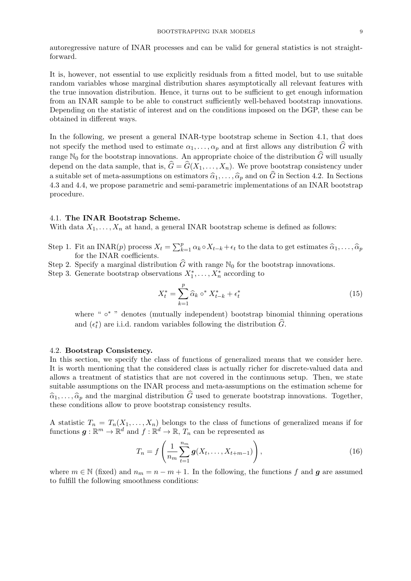autoregressive nature of INAR processes and can be valid for general statistics is not straightforward.

It is, however, not essential to use explicitly residuals from a fitted model, but to use suitable random variables whose marginal distribution shares asymptotically all relevant features with the true innovation distribution. Hence, it turns out to be sufficient to get enough information from an INAR sample to be able to construct sufficiently well-behaved bootstrap innovations. Depending on the statistic of interest and on the conditions imposed on the DGP, these can be obtained in different ways.

In the following, we present a general INAR-type bootstrap scheme in Section 4.1, that does not specify the method used to estimate  $\alpha_1, \ldots, \alpha_p$  and at first allows any distribution  $\widehat{G}$  with range  $\mathbb{N}_0$  for the bootstrap innovations. An appropriate choice of the distribution  $\widehat{G}$  will usually depend on the data sample, that is,  $\hat{G} = \hat{G}(X_1, \ldots, X_n)$ . We prove bootstrap consistency under a suitable set of meta-assumptions on estimators  $\widehat{\alpha}_1, \ldots, \widehat{\alpha}_p$  and on  $\widehat{G}$  in Section 4.2. In Sections 4.3 and 4.4, we propose parametric and semi-parametric implementations of an INAR bootstrap procedure.

#### 4.1. The INAR Bootstrap Scheme.

With data  $X_1, \ldots, X_n$  at hand, a general INAR bootstrap scheme is defined as follows:

- Step 1. Fit an INAR(p) process  $X_t = \sum_{k=1}^p \alpha_k \circ X_{t-k} + \epsilon_t$  to the data to get estimates  $\hat{\alpha}_1, \ldots, \hat{\alpha}_p$  for the INAR coefficients for the INAR coefficients.
- Step 2. Specify a marginal distribution  $\widehat{G}$  with range  $\mathbb{N}_0$  for the bootstrap innovations.
- Step 3. Generate bootstrap observations  $X_1^*, \ldots, X_n^*$  according to

$$
X_t^* = \sum_{k=1}^p \widehat{\alpha}_k \circ^* X_{t-k}^* + \epsilon_t^*
$$
\n(15)

where " ∘<sup>\*</sup> " denotes (mutually independent) bootstrap binomial thinning operations and  $(\epsilon_t^*)$  are i.i.d. random variables following the distribution  $\widehat{G}$ .

## 4.2. Bootstrap Consistency.

In this section, we specify the class of functions of generalized means that we consider here. It is worth mentioning that the considered class is actually richer for discrete-valued data and allows a treatment of statistics that are not covered in the continuous setup. Then, we state suitable assumptions on the INAR process and meta-assumptions on the estimation scheme for  $\hat{\alpha}_1, \ldots, \hat{\alpha}_p$  and the marginal distribution  $\hat{G}$  used to generate bootstrap innovations. Together, these conditions allow to prove bootstrap consistency results.

A statistic  $T_n = T_n(X_1, \ldots, X_n)$  belongs to the class of functions of generalized means if for functions  $g: \mathbb{R}^m \to \mathbb{R}^d$  and  $f: \mathbb{R}^d \to \mathbb{R}, T_n$  can be represented as

$$
T_n = f\left(\frac{1}{n_m} \sum_{t=1}^{n_m} \mathbf{g}(X_t, \dots, X_{t+m-1})\right),
$$
\n(16)

where  $m \in \mathbb{N}$  (fixed) and  $n_m = n - m + 1$ . In the following, the functions f and g are assumed to fulfill the following smoothness conditions: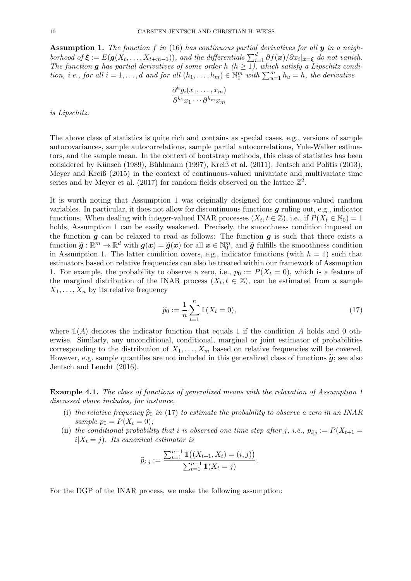**Assumption 1.** The function f in (16) has continuous partial derivatives for all  $y$  in a neighborhood of  $\xi := E(g(X_t, \ldots, X_{t+m-1}))$ , and the differentials  $\sum_{i=1}^d \partial f(x)/\partial x_i |_{x=\xi}$  do not vanish. The function g has partial derivatives of some order h  $(h \ge 1)$ , which satisfy a Lipschitz condition, i.e., for all  $i = 1, ..., d$  and for all  $(h_1, ..., h_m) \in \mathbb{N}_0^m$  with  $\sum_{u=1}^m h_u = h$ , the derivative

$$
\frac{\partial^h g_i(x_1,\ldots,x_m)}{\partial^{h_1} x_1\cdots\partial^{h_m} x_m}
$$

is Lipschitz.

The above class of statistics is quite rich and contains as special cases, e.g., versions of sample autocovariances, sample autocorrelations, sample partial autocorrelations, Yule-Walker estimators, and the sample mean. In the context of bootstrap methods, this class of statistics has been considered by Künsch (1989), Bühlmann (1997), Kreiß et al. (2011), Jentsch and Politis (2013), Meyer and Kreiß (2015) in the context of continuous-valued univariate and multivariate time series and by Meyer et al. (2017) for random fields observed on the lattice  $\mathbb{Z}^2$ .

It is worth noting that Assumption 1 was originally designed for continuous-valued random variables. In particular, it does not allow for discontinuous functions g ruling out, e.g., indicator functions. When dealing with integer-valued INAR processes  $(X_t, t \in \mathbb{Z})$ , i.e., if  $P(X_t \in \mathbb{N}_0) = 1$ holds, Assumption 1 can be easily weakened. Precisely, the smoothness condition imposed on the function  $g$  can be relaxed to read as follows: The function  $g$  is such that there exists a function  $\tilde{g}: \mathbb{R}^m \to \mathbb{R}^d$  with  $g(x) = \tilde{g}(x)$  for all  $x \in \mathbb{N}_0^m$ , and  $\tilde{g}$  fulfills the smoothness condition<br>in Assumption 1. The latter condition covers e.g. indicator functions (with  $h = 1$ ) such that in Assumption 1. The latter condition covers, e.g., indicator functions (with  $h = 1$ ) such that estimators based on relative frequencies can also be treated within our framework of Assumption 1. For example, the probability to observe a zero, i.e.,  $p_0 := P(X_t = 0)$ , which is a feature of the marginal distribution of the INAR process  $(X_t, t \in \mathbb{Z})$ , can be estimated from a sample  $X_1, \ldots, X_n$  by its relative frequency

$$
\widehat{p}_0 := \frac{1}{n} \sum_{t=1}^n \mathbb{1}(X_t = 0),\tag{17}
$$

where  $\mathbb{1}(A)$  denotes the indicator function that equals 1 if the condition A holds and 0 otherwise. Similarly, any unconditional, conditional, marginal or joint estimator of probabilities corresponding to the distribution of  $X_1, \ldots, X_m$  based on relative frequencies will be covered. However, e.g. sample quantiles are not included in this generalized class of functions  $\tilde{g}$ ; see also Jentsch and Leucht (2016).

Example 4.1. The class of functions of generalized means with the relaxation of Assumption 1 discussed above includes, for instance,

- (i) the relative frequency  $\hat{p}_0$  in (17) to estimate the probability to observe a zero in an INAR sample  $p_0 = P(X_t = 0);$
- (ii) the conditional probability that i is observed one time step after j, i.e.,  $p_{i|j} := P(X_{t+1} =$  $i|X_t = j$ . Its canonical estimator is

$$
\widehat{p}_{i|j} := \frac{\sum_{t=1}^{n-1} \mathbb{1}\big((X_{t+1}, X_t) = (i, j)\big)}{\sum_{t=1}^{n-1} \mathbb{1}(X_t = j)}.
$$

For the DGP of the INAR process, we make the following assumption: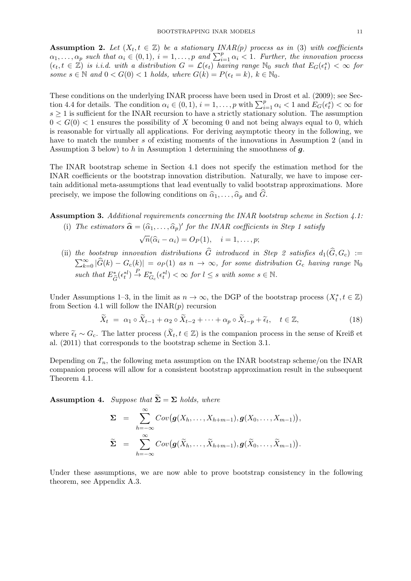**Assumption 2.** Let  $(X_t, t \in \mathbb{Z})$  be a stationary INAR(p) process as in (3) with coefficients  $\alpha_1, \ldots, \alpha_p$  such that  $\alpha_i \in (0,1)$ ,  $i = 1, \ldots, p$  and  $\sum_{i=1}^p \alpha_i < 1$ . Further, the innovation process  $(\epsilon_t, t \in \mathbb{Z})$  is i.i.d. with a distribution  $G = \mathcal{L}(\epsilon_t)$  having range  $\mathbb{N}_0$  such that  $E_G(\epsilon_t^s) < \infty$  for some  $s \in \mathbb{N}$  and  $0 < G(0) < 1$  holds, where  $G(k) = P(\epsilon_t = k)$ ,  $k \in \mathbb{N}_0$ .

These conditions on the underlying INAR process have been used in Drost et al. (2009); see Section 4.4 for details. The condition  $\alpha_i \in (0, 1), i = 1, \ldots, p$  with  $\sum_{i=1}^p \alpha_i < 1$  and  $E_G(\epsilon_i^s) < \infty$  for  $s \geq 1$  is sufficient for the INAR recursion to have a strictly stationary solution. The assumption  $0 < G(0) < 1$  ensures the possibility of X becoming 0 and not being always equal to 0, which is reasonable for virtually all applications. For deriving asymptotic theory in the following, we have to match the number s of existing moments of the innovations in Assumption 2 (and in Assumption 3 below) to h in Assumption 1 determining the smoothness of  $q$ .

The INAR bootstrap scheme in Section 4.1 does not specify the estimation method for the INAR coefficients or the bootstrap innovation distribution. Naturally, we have to impose certain additional meta-assumptions that lead eventually to valid bootstrap approximations. More precisely, we impose the following conditions on  $\hat{\alpha}_1, \ldots, \hat{\alpha}_p$  and  $\hat{G}$ .

Assumption 3. Additional requirements concerning the INAR bootstrap scheme in Section 4.1:

(i) The estimators  $\hat{\alpha} = (\hat{\alpha}_1, \dots, \hat{\alpha}_p)'$  for the INAR coefficients in Step 1 satisfy √

$$
\sqrt{n}(\widehat{\alpha}_i - \alpha_i) = O_P(1), \quad i = 1, \dots, p;
$$

(ii) the bootstrap innovation distributions G introduced in Step 2 satisfies  $d_1(G, G_c) :=$  $\sum_{k=0}^{\infty} |\widehat{G}(k) - G_{c}(k)| = o_{P}(1)$  as  $n \to \infty$ , for some distribution  $G_{c}$  having range  $\mathbb{N}_{0}$ such that  $E^*_{\hat{z}}$  $\hat{G}^{*}(\epsilon_t^{*l}) \stackrel{P}{\to} E^*_{G_c}(\epsilon_t^{*l}) < \infty$  for  $l \leq s$  with some  $s \in \mathbb{N}$ .

Under Assumptions 1–3, in the limit as  $n \to \infty$ , the DGP of the bootstrap process  $(X_t^*, t \in \mathbb{Z})$ from Section 4.1 will follow the  $\text{INAR}(p)$  recursion

$$
\widetilde{X}_t = \alpha_1 \circ \widetilde{X}_{t-1} + \alpha_2 \circ \widetilde{X}_{t-2} + \dots + \alpha_p \circ \widetilde{X}_{t-p} + \widetilde{\epsilon}_t, \quad t \in \mathbb{Z},\tag{18}
$$

where  $\tilde{\epsilon}_t \sim G_c$ . The latter process  $(\tilde{X}_t, t \in \mathbb{Z})$  is the companion process in the sense of Kreiß et al. (2011) that corresponds to the bootstrap scheme in Section 3.1 al. (2011) that corresponds to the bootstrap scheme in Section 3.1.

Depending on  $T_n$ , the following meta assumption on the INAR bootstrap scheme/on the INAR companion process will allow for a consistent bootstrap approximation result in the subsequent Theorem 4.1.

**Assumption 4.** Suppose that  $\widetilde{\Sigma} = \Sigma$  holds, where

$$
\Sigma = \sum_{h=-\infty}^{\infty} Cov(g(X_h, \ldots, X_{h+m-1}), g(X_0, \ldots, X_{m-1})),
$$
  

$$
\widetilde{\Sigma} = \sum_{h=-\infty}^{\infty} Cov(g(\widetilde{X}_h, \ldots, \widetilde{X}_{h+m-1}), g(\widetilde{X}_0, \ldots, \widetilde{X}_{m-1})).
$$

Under these assumptions, we are now able to prove bootstrap consistency in the following theorem, see Appendix A.3.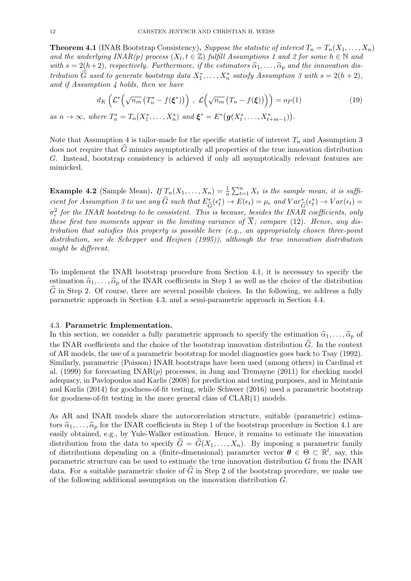**Theorem 4.1** (INAR Bootstrap Consistency). Suppose the statistic of interest  $T_n = T_n(X_1, \ldots, X_n)$ and the underlying  $INAR(p)$  process  $(X_t, t \in \mathbb{Z})$  fulfill Assumptions 1 and 2 for some  $h \in \mathbb{N}$  and with  $s = 2(h+2)$ , respectively. Furthermore, if the estimators  $\hat{\alpha}_1, \ldots, \hat{\alpha}_p$  and the innovation distribution  $\widehat{G}$  used to generate bootstrap data  $X_1^*, \ldots, X_n^*$  satisfy Assumption 3 with  $s = 2(h+2)$ , and if Assumption 4 holds, then we have

$$
d_K\left(\mathcal{L}^*\left(\sqrt{n_m}\left(T_n^* - f(\xi^*)\right)\right), \ \mathcal{L}\left(\sqrt{n_m}\left(T_n - f(\xi)\right)\right)\right) = o_P(1) \tag{19}
$$

as  $n \to \infty$ , where  $T_n^* = T_n(X_1^*, \ldots, X_n^*)$  and  $\boldsymbol{\xi}^* = E^* (\boldsymbol{g}(X_t^*, \ldots, X_{t+m-1}^*)).$ 

Note that Assumption 4 is tailor-made for the specific statistic of interest  $T_n$  and Assumption 3 does not require that  $\widehat{G}$  mimics asymptotically all properties of the true innovation distribution G. Instead, bootstrap consistency is achieved if only all asymptotically relevant features are mimicked.

**Example 4.2** (Sample Mean). If  $T_n(X_1, ..., X_n) = \frac{1}{n} \sum_{t=1}^n X_t$  is the sample mean, it is sufficient for Assumption 3 to use any  $\hat{G}$  such that  $E^*_{\hat{G}}(\epsilon^*_t) \to E(\epsilon_t) = \mu_{\epsilon}$  and  $Var^*_{\hat{G}}(\epsilon^*_t) \to Var(\epsilon_t) =$  $\sigma_{\epsilon}^2$  for the INAR bootstrap to be consistent. This is because, besides the INAR coefficients, only these first two moments appear in the limiting variance of  $\overline{X}$ ; compare (12). Hence, any distribution that satisfies this property is possible here  $(e.g., an appropriately chosen three-point$ distribution, see de Schepper and Heijnen (1995)), although the true innovation distribution might be different.

To implement the INAR bootstrap procedure from Section 4.1, it is necessary to specify the estimation  $\hat{\alpha}_1, \ldots, \hat{\alpha}_p$  of the INAR coefficients in Step 1 as well as the choice of the distribution  $\widehat{G}$  in Step 2. Of course, there are several possible choices. In the following, we address a fully parametric approach in Section 4.3, and a semi-parametric approach in Section 4.4.

#### 4.3. Parametric Implementation.

In this section, we consider a fully parametric approach to specify the estimation  $\hat{\alpha}_1, \ldots, \hat{\alpha}_p$  of the INAR coefficients and the choice of the bootstrap innovation distribution  $\widehat{G}$ . In the context of AR models, the use of a parametric bootstrap for model diagnostics goes back to Tsay (1992). Similarly, parametric (Poisson) INAR bootstraps have been used (among others) in Cardinal et al. (1999) for forecasting  $\text{INAR}(p)$  processes, in Jung and Tremayne (2011) for checking model adequacy, in Pavlopoulos and Karlis (2008) for prediction and testing purposes, and in Meintanis and Karlis (2014) for goodness-of-fit testing, while Schweer (2016) used a parametric bootstrap for goodness-of-fit testing in the more general class of CLAR(1) models.

As AR and INAR models share the autocorrelation structure, suitable (parametric) estimators  $\hat{\alpha}_1, \ldots, \hat{\alpha}_p$  for the INAR coefficients in Step 1 of the bootstrap procedure in Section 4.1 are easily obtained, e.g., by Yule-Walker estimation. Hence, it remains to estimate the innovation distribution from the data to specify  $\widehat{G} = \widehat{G}(X_1, \ldots, X_n)$ . By imposing a parametric family of distributions depending on a (finite-dimensional) parameter vector  $\theta \in \Theta \subset \mathbb{R}^l$ , say, this parametric structure can be used to estimate the true innovation distribution G from the INAR data. For a suitable parametric choice of  $\tilde{G}$  in Step 2 of the bootstrap procedure, we make use of the following additional assumption on the innovation distribution G.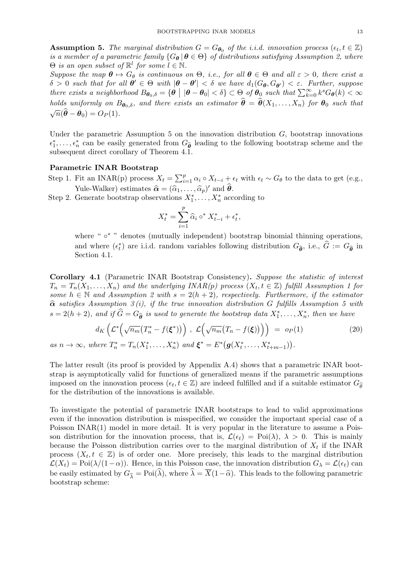**Assumption 5.** The marginal distribution  $G = G_{\theta_0}$  of the i.i.d. innovation process  $(\epsilon_t, t \in \mathbb{Z})$ is a member of a parametric family  ${G_{\theta} | \theta \in \Theta}$  of distributions satisfying Assumption 2, where  $\Theta$  is an open subset of  $\mathbb{R}^l$  for some  $l \in \mathbb{N}$ .

Suppose the map  $\theta \mapsto G_{\theta}$  is continuous on  $\Theta$ , i.e., for all  $\theta \in \Theta$  and all  $\varepsilon > 0$ , there exist a  $\delta > 0$  such that for all  $\theta' \in \Theta$  with  $|\theta - \theta'| < \delta$  we have  $d_1(G_{\theta}, G_{\theta'}) < \varepsilon$ . Further, suppose there exists a neighborhood  $B_{\theta_0,\delta} = {\theta \mid |\theta - \theta_0| < \delta} \subset \Theta$  of  $\theta_0$  such that  $\sum_{k=0}^{\infty} k^s G_{\theta}(k) < \infty$ holds uniformly on  $B_{\theta_0,\delta}$ , and there exists an estimator  $\hat{\theta} = \hat{\theta}(X_1, \ldots, X_n)$  for  $\theta_0$  such that  $\sqrt{n}(\widehat{\boldsymbol{\theta}} - \boldsymbol{\theta}_0) = O_P(1).$ 

Under the parametric Assumption 5 on the innovation distribution  $G$ , bootstrap innovations  $\epsilon_1^*, \ldots, \epsilon_n^*$  can be easily generated from  $G_{\hat{\theta}}$  leading to the following bootstrap scheme and the explorement direct consulary of Theorem 4.1 subsequent direct corollary of Theorem 4.1.

#### Parametric INAR Bootstrap

- Step 1. Fit an INAR(p) process  $X_t = \sum_{i=1}^p \alpha_i \circ X_{t-i} + \epsilon_t$  with  $\epsilon_t \sim G_\theta$  to the data to get (e.g., Yule-Walker) estimates  $\hat{\alpha} = (\hat{\alpha}_1, \dots, \hat{\alpha}_p)'$  and  $\hat{\theta}$ .<br>Congrate bootstrap observations  $X^*$
- Step 2. Generate bootstrap observations  $X_1^*, \ldots, X_n^*$  according to

$$
X_t^* = \sum_{i=1}^p \hat{\alpha}_i \circ^* X_{t-i}^* + \epsilon_t^*,
$$

where " ∘\* " denotes (mutually independent) bootstrap binomial thinning operations, and where  $(\epsilon_t^*)$  are i.i.d. random variables following distribution  $G_{\hat{\theta}}$ , i.e.,  $\hat{G} := G_{\hat{\theta}}$  in Section 4.1 Section 4.1.

Corollary 4.1 (Parametric INAR Bootstrap Consistency). Suppose the statistic of interest  $T_n = T_n(X_1, \ldots, X_n)$  and the underlying INAR(p) process  $(X_t, t \in \mathbb{Z})$  fulfill Assumption 1 for some  $h \in \mathbb{N}$  and Assumption 2 with  $s = 2(h + 2)$ , respectively. Furthermore, if the estimator  $\hat{\alpha}$  satisfies Assumption 3 (i), if the true innovation distribution G fulfills Assumption 5 with  $s = 2(h+2)$ , and if  $\widehat{G} = G_{\widehat{\theta}}$  is used to generate the bootstrap data  $X_1^*, \ldots, X_n^*$ , then we have

$$
d_K\left(\mathcal{L}^*\left(\sqrt{n_m}\left(T_n^* - f(\xi^*)\right)\right), \ \mathcal{L}\left(\sqrt{n_m}\left(T_n - f(\xi)\right)\right)\right) = o_P(1)
$$
\nas  $n \to \infty$ , where  $T_n^* = T_n(X_1^*, \dots, X_n^*)$  and  $\xi^* = E^*\left(g(X_t^*, \dots, X_{t+m-1}^*)\right)$ . (20)

The latter result (its proof is provided by Appendix A.4) shows that a parametric INAR bootstrap is asymptotically valid for functions of generalized means if the parametric assumptions imposed on the innovation process  $(\epsilon_t, t \in \mathbb{Z})$  are indeed fulfilled and if a suitable estimator  $G_{\hat{\theta}}$ <br>for the distribution of the innovations is smalled for the distribution of the innovations is available.

To investigate the potential of parametric INAR bootstraps to lead to valid approximations even if the innovation distribution is misspecified, we consider the important special case of a Poisson INAR(1) model in more detail. It is very popular in the literature to assume a Poisson distribution for the innovation process, that is,  $\mathcal{L}(\epsilon_t) = \text{Poi}(\lambda)$ ,  $\lambda > 0$ . This is mainly because the Poisson distribution carries over to the marginal distribution of  $X_t$  if the INAR process  $(X_t, t \in \mathbb{Z})$  is of order one. More precisely, this leads to the marginal distribution  $\mathcal{L}(X_t) = \text{Poi}(\lambda/(1-\alpha))$ . Hence, in this Poisson case, the innovation distribution  $G_\lambda = \mathcal{L}(\epsilon_t)$  can be easily estimated by  $G_{\hat{\lambda}} = \text{Poi}(\hat{\lambda})$ , where  $\hat{\lambda} = \overline{X}(1-\hat{\alpha})$ . This leads to the following parametric bootstrap scheme: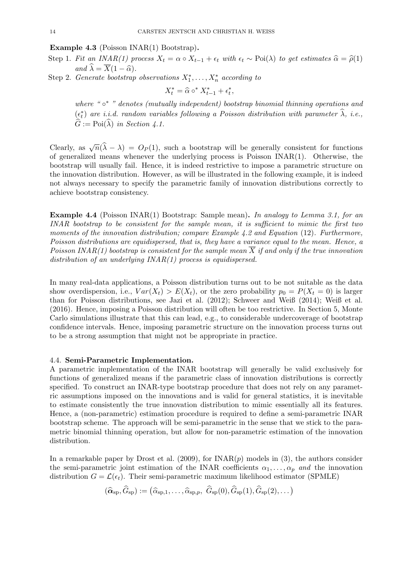Example 4.3 (Poisson INAR(1) Bootstrap).

Step 1. Fit an INAR(1) process  $X_t = \alpha \circ X_{t-1} + \epsilon_t$  with  $\epsilon_t \sim \text{Poi}(\lambda)$  to get estimates  $\hat{\alpha} = \hat{\rho}(1)$ and  $\widehat{\lambda} = \overline{X}(1 - \widehat{\alpha}).$ 

Step 2. Generate bootstrap observations  $X_1^*, \ldots, X_n^*$  according to

 $X_t^* = \hat{\alpha} \circ^* X_{t-1}^* + \epsilon_t^*,$ 

where "o\*" denotes (mutually independent) bootstrap binomial thinning operations and  $(\epsilon_t^*)$  are i.i.d. random variables following a Poisson distribution with parameter  $\widehat{\lambda}$ , i.e.,  $\widehat{G} := \mathrm{Poi}(\widehat{\lambda})$  in Section 4.1.

Clearly, as  $\sqrt{n}(\hat{\lambda} - \lambda) = O_P(1)$ , such a bootstrap will be generally consistent for functions of generalized means whenever the underlying process is Poisson INAR(1). Otherwise, the bootstrap will usually fail. Hence, it is indeed restrictive to impose a parametric structure on the innovation distribution. However, as will be illustrated in the following example, it is indeed not always necessary to specify the parametric family of innovation distributions correctly to achieve bootstrap consistency.

**Example 4.4** (Poisson INAR(1) Bootstrap: Sample mean). In analogy to Lemma 3.1, for an INAR bootstrap to be consistent for the sample mean, it is sufficient to mimic the first two moments of the innovation distribution; compare Example 4.2 and Equation (12). Furthermore, Poisson distributions are equidispersed, that is, they have a variance equal to the mean. Hence, a Poisson INAR(1) bootstrap is consistent for the sample mean  $\overline{X}$  if and only if the true innovation distribution of an underlying  $INAR(1)$  process is equidispersed.

In many real-data applications, a Poisson distribution turns out to be not suitable as the data show overdispersion, i.e.,  $Var(X_t) > E(X_t)$ , or the zero probability  $p_0 = P(X_t = 0)$  is larger than for Poisson distributions, see Jazi et al. (2012); Schweer and Weiß (2014); Weiß et al. (2016). Hence, imposing a Poisson distribution will often be too restrictive. In Section 5, Monte Carlo simulations illustrate that this can lead, e.g., to considerable undercoverage of bootstrap confidence intervals. Hence, imposing parametric structure on the innovation process turns out to be a strong assumption that might not be appropriate in practice.

## 4.4. Semi-Parametric Implementation.

A parametric implementation of the INAR bootstrap will generally be valid exclusively for functions of generalized means if the parametric class of innovation distributions is correctly specified. To construct an INAR-type bootstrap procedure that does not rely on any parametric assumptions imposed on the innovations and is valid for general statistics, it is inevitable to estimate consistently the true innovation distribution to mimic essentially all its features. Hence, a (non-parametric) estimation procedure is required to define a semi-parametric INAR bootstrap scheme. The approach will be semi-parametric in the sense that we stick to the parametric binomial thinning operation, but allow for non-parametric estimation of the innovation distribution.

In a remarkable paper by Drost et al.  $(2009)$ , for  $\text{INAR}(p)$  models in (3), the authors consider the semi-parametric joint estimation of the INAR coefficients  $\alpha_1, \ldots, \alpha_p$  and the innovation distribution  $G = \mathcal{L}(\epsilon_t)$ . Their semi-parametric maximum likelihood estimator (SPMLE)

$$
(\widehat{\alpha}_{sp}, \widehat{G}_{sp}) := (\widehat{\alpha}_{sp,1}, \ldots, \widehat{\alpha}_{sp,p}, \widehat{G}_{sp}(0), \widehat{G}_{sp}(1), \widehat{G}_{sp}(2), \ldots)
$$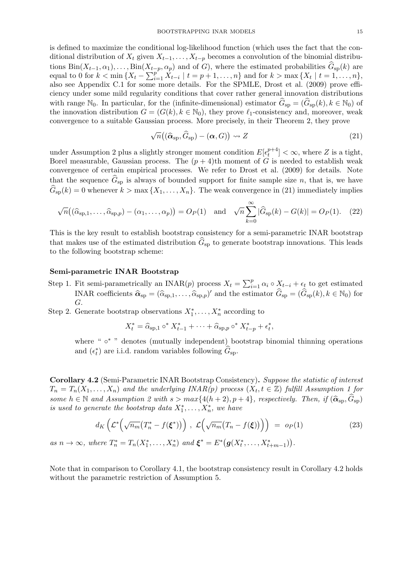is defined to maximize the conditional log-likelihood function (which uses the fact that the conditional distribution of  $X_t$  given  $X_{t-1}, \ldots, X_{t-p}$  becomes a convolution of the binomial distributions Bin( $X_{t-1}, \alpha_1$ ), ..., Bin( $X_{t-p}, \alpha_p$ ) and of G), where the estimated probabilities  $\widehat{G}_{sp}(k)$  are equal to 0 for  $k < \min\{X_t - \sum_{i=1}^{p^k} X_{t-i} \mid t = p+1, \ldots, n\}$  and for  $k > \max\{X_t \mid t = 1, \ldots, n\}$ , also see Appendix C.1 for some more details. For the SPMLE, Drost et al. (2009) prove efficiency under some mild regularity conditions that cover rather general innovation distributions with range  $\mathbb{N}_0$ . In particular, for the (infinite-dimensional) estimator  $\hat{G}_{\text{SD}} = (\hat{G}_{\text{SD}}(k), k \in \mathbb{N}_0)$  of the innovation distribution  $G = (G(k), k \in \mathbb{N}_0)$ , they prove  $\ell_1$ -consistency and, moreover, weak convergence to a suitable Gaussian process. More precisely, in their Theorem 2, they prove

$$
\sqrt{n}\big((\widehat{\alpha}_{\rm sp},\widehat{G}_{\rm sp})-(\boldsymbol{\alpha},G)\big) \rightsquigarrow Z
$$
\n(21)

under Assumption 2 plus a slightly stronger moment condition  $E[\epsilon_t^{p+4}]$  $\lfloor t^{p+4} \rfloor < \infty$ , where Z is a tight, Borel measurable, Gaussian process. The  $(p + 4)$ th moment of G is needed to establish weak convergence of certain empirical processes. We refer to Drost et al. (2009) for details. Note that the sequence  $G_{sp}$  is always of bounded support for finite sample size n, that is, we have  $\widehat{G}_{\text{sp}}(k) = 0$  whenever  $k > \max\{X_1, \ldots, X_n\}$ . The weak convergence in (21) immediately implies

$$
\sqrt{n}\big((\widehat{\alpha}_{\text{sp},1},\ldots,\widehat{\alpha}_{\text{sp},p})-(\alpha_1,\ldots,\alpha_p)\big)=O_P(1) \quad \text{and} \quad \sqrt{n}\sum_{k=0}^{\infty}|\widehat{G}_{\text{sp}}(k)-G(k)|=O_P(1). \tag{22}
$$

This is the key result to establish bootstrap consistency for a semi-parametric INAR bootstrap that makes use of the estimated distribution  $G_{\rm sp}$  to generate bootstrap innovations. This leads to the following bootstrap scheme:

#### Semi-parametric INAR Bootstrap

- Step 1. Fit semi-parametrically an INAR(p) process  $X_t = \sum_{i=1}^p \alpha_i \circ X_{t-i} + \epsilon_t$  to get estimated INAR coefficients  $\widehat{\alpha}_{sp} = (\widehat{\alpha}_{sp,1}, \ldots, \widehat{\alpha}_{sp,p})'$  and the estimator  $\widehat{G}_{sp} = (\widehat{G}_{sp}(k), k \in \mathbb{N}_0)$  for G.
- Step 2. Generate bootstrap observations  $X_1^*, \ldots, X_n^*$  according to

$$
X_t^* = \hat{\alpha}_{\text{sp},1} \circ^* X_{t-1}^* + \dots + \hat{\alpha}_{\text{sp},p} \circ^* X_{t-p}^* + \epsilon_t^*,
$$

where " ° " denotes (mutually independent) bootstrap binomial thinning operations and  $(\epsilon_t^*)$  are i.i.d. random variables following  $\widehat{G}_{sp}$ .

Corollary 4.2 (Semi-Parametric INAR Bootstrap Consistency). Suppose the statistic of interest  $T_n = T_n(X_1, \ldots, X_n)$  and the underlying INAR(p) process  $(X_t, t \in \mathbb{Z})$  fulfill Assumption 1 for some  $h \in \mathbb{N}$  and Assumption 2 with  $s > max\{4(h+2), p+4\}$ , respectively. Then, if  $(\widehat{\alpha}_{sp}, \widehat{G}_{sp})$ is used to generate the bootstrap data  $X_1^*, \ldots, X_n^*$ , we have

$$
d_K\left(\mathcal{L}^*\left(\sqrt{n_m}\left(T_n^*-f(\xi^*)\right)\right), \ \mathcal{L}\left(\sqrt{n_m}\left(T_n-f(\xi)\right)\right)\right) \ = \ o_P(1) \tag{23}
$$

as  $n \to \infty$ , where  $T_n^* = T_n(X_1^*, \ldots, X_n^*)$  and  $\boldsymbol{\xi}^* = E^* (\boldsymbol{g}(X_t^*, \ldots, X_{t+m-1}^*)).$ 

Note that in comparison to Corollary 4.1, the bootstrap consistency result in Corollary 4.2 holds without the parametric restriction of Assumption 5.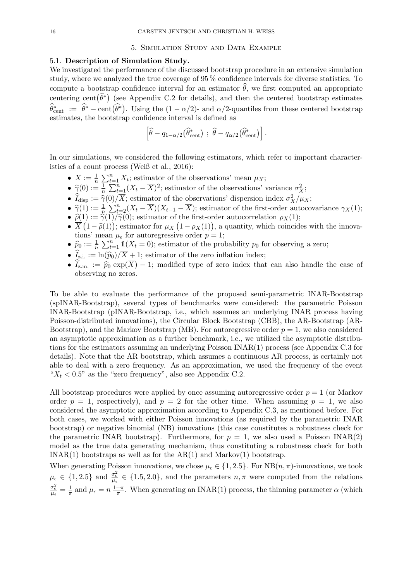#### 5. Simulation Study and Data Example

## 5.1. Description of Simulation Study.

We investigated the performance of the discussed bootstrap procedure in an extensive simulation study, where we analyzed the true coverage of 95 % confidence intervals for diverse statistics. To compute a bootstrap confidence interval for an estimator  $\hat{\theta}$ , we first computed an appropriate centering cent $(\widehat{\theta}^*)$  (see Appendix C.2 for details), and then the centered bootstrap estimates  $\widehat{\theta}_{\text{cent}}^* := \widehat{\theta}^* - \text{cent}(\widehat{\theta}^*)$ . Using the  $(1 - \alpha/2)$ - and  $\alpha/2$ -quantiles from these centered bootstrap estimates, the bootstrap confidence interval is defined as

$$
\left[\widehat{\theta} - q_{1-\alpha/2}(\widehat{\theta}_{\text{cent}}^*)\ ;\ \widehat{\theta} - q_{\alpha/2}(\widehat{\theta}_{\text{cent}}^*)\right].
$$

In our simulations, we considered the following estimators, which refer to important characteristics of a count process (Weiß et al., 2016):

- $\overline{X} := \frac{1}{n} \sum_{t=1}^{n} X_t$ ; estimator of the observations' mean  $\mu_X$ ;
- $\hat{\gamma}(0) := \frac{1}{n} \sum_{t=1}^{n} (X_t \overline{X})^2$ ; estimator of the observations' variance  $\sigma_X^2$ ;
- $\hat{I}_{\text{disp}} := \hat{\gamma}(0)/\overline{X}$ ; estimator of the observations' dispersion index  $\sigma_X^2/\mu_X$ ;
- $\hat{\gamma}(1) := \frac{1}{n} \sum_{t=2}^{n} (X_t \overline{X})(X_{t-1} \overline{X})$ ; estimator of the first-order autocovariance  $\gamma_X(1)$ ;
- $\hat{\rho}(1) := \hat{\gamma}(1)/\hat{\gamma}(0)$ ; estimator of the first-order autocorrelation  $\rho_X(1)$ ;<br> $\overline{X}(1-\hat{\gamma}(1))$ ; estimator for  $\mu_X(1-\alpha_X(1))$ , a quantity, which coincid
- $\overline{X}(1-\hat{\rho}(1))$ ; estimator for  $\mu_X(1-\rho_X(1))$ , a quantity, which coincides with the innovations' mean  $\mu_{\epsilon}$  for autoregressive order  $p=1$ ;
- $\hat{p}_0 := \frac{1}{n} \sum_{t=1}^n \mathbb{1}(X_t = 0)$ ; estimator of the probability  $p_0$  for observing a zero;
- $\widehat{I}_{z,i.} := \ln(\widehat{p}_0)/\overline{X} + 1$ ; estimator of the zero inflation index;
- $\hat{I}_{z.m.} := \hat{p}_0 \exp(\overline{X}) 1$ ; modified type of zero index that can also handle the case of observing no zeros.

To be able to evaluate the performance of the proposed semi-parametric INAR-Bootstrap (spINAR-Bootstrap), several types of benchmarks were considered: the parametric Poisson INAR-Bootstrap (pINAR-Bootstrap, i.e., which assumes an underlying INAR process having Poisson-distributed innovations), the Circular Block Bootstrap (CBB), the AR-Bootstrap (AR-Bootstrap), and the Markov Bootstrap (MB). For autoregressive order  $p = 1$ , we also considered an asymptotic approximation as a further benchmark, i.e., we utilized the asymptotic distributions for the estimators assuming an underlying Poisson INAR(1) process (see Appendix C.3 for details). Note that the AR bootstrap, which assumes a continuous AR process, is certainly not able to deal with a zero frequency. As an approximation, we used the frequency of the event " $X_t$  < 0.5" as the "zero frequency", also see Appendix C.2.

All bootstrap procedures were applied by once assuming autoregressive order  $p = 1$  (or Markov order  $p = 1$ , respectively), and  $p = 2$  for the other time. When assuming  $p = 1$ , we also considered the asymptotic approximation according to Appendix C.3, as mentioned before. For both cases, we worked with either Poisson innovations (as required by the parametric INAR bootstrap) or negative binomial (NB) innovations (this case constitutes a robustness check for the parametric INAR bootstrap). Furthermore, for  $p = 1$ , we also used a Poisson INAR(2) model as the true data generating mechanism, thus constituting a robustness check for both INAR(1) bootstraps as well as for the  $AR(1)$  and Markov(1) bootstrap.

When generating Poisson innovations, we chose  $\mu_{\epsilon} \in \{1, 2.5\}$ . For NB $(n, \pi)$ -innovations, we took  $\mu_{\epsilon} \in \{1, 2.5\}$  and  $\frac{\sigma_{\epsilon}^2}{\mu_{\epsilon}} \in \{1.5, 2.0\}$ , and the parameters  $n, \pi$  were computed from the relations  $\frac{\sigma_{\epsilon}^2}{\mu_{\epsilon}} = \frac{1}{\pi}$  $\frac{1}{\pi}$  and  $\mu_{\epsilon} = n \frac{1 - \pi}{\pi}$  $\frac{-\pi}{\pi}$ . When generating an INAR(1) process, the thinning parameter  $\alpha$  (which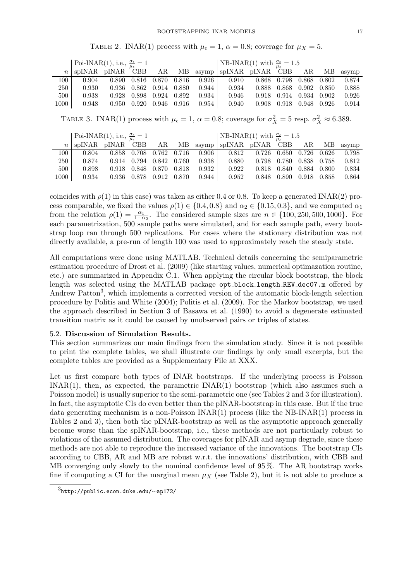TABLE 2. INAR(1) process with  $\mu_{\epsilon} = 1$ ,  $\alpha = 0.8$ ; coverage for  $\mu_X = 5$ .

|         | Poi-INAR(1), i.e., $\frac{\sigma_{\epsilon}}{\mu_{\epsilon}}=1$ |       |       |       |       |       | NB-INAR(1) with $\frac{\sigma_{\epsilon}}{\mu_{\epsilon}} = 1.5$ |       |       |       |       |          |
|---------|-----------------------------------------------------------------|-------|-------|-------|-------|-------|------------------------------------------------------------------|-------|-------|-------|-------|----------|
| $n_{-}$ | spINAR pINAR CBB                                                |       |       | AR MB |       |       | asymp   spINAR pINAR CBB                                         |       |       | AR    |       | MB asymp |
| 100     | 0.904                                                           | 0.890 | 0.816 | 0.870 | 0.816 | 0.926 | 0.910                                                            | 0.868 | 0.798 | 0.868 | 0.802 | 0.874    |
| 250     | 0.930                                                           | 0.936 | 0.862 | 0.914 | 0.880 | 0.944 | 0.934                                                            | 0.888 | 0.868 | 0.902 | 0.850 | 0.888    |
| 500     | 0.938                                                           | 0.928 | 0.898 | 0.924 | 0.892 | 0.934 | 0.946                                                            | 0.918 | 0.914 | 0.934 | 0.902 | 0.926    |
| 1000    | 0.948                                                           | 0.950 | 0.920 | 0.946 | 0.916 | 0.954 | 0.940                                                            | 0.908 | 0.918 | 0.948 | 0.926 | 0.914    |

TABLE 3. INAR(1) process with  $\mu_{\epsilon} = 1$ ,  $\alpha = 0.8$ ; coverage for  $\sigma_X^2 = 5$  resp.  $\sigma_X^2 \approx 6.389$ .

|      | Poi-INAR(1), i.e., $\frac{\sigma_{\epsilon}}{\mu_{\epsilon}} = 1$    |  |                         |         | NB-INAR(1) with $\frac{\sigma_{\epsilon}}{\mu_{\epsilon}} = 1.5$                  |                         |                         |  |  |       |  |  |
|------|----------------------------------------------------------------------|--|-------------------------|---------|-----------------------------------------------------------------------------------|-------------------------|-------------------------|--|--|-------|--|--|
|      | $n \mid$ spINAR pINAR CBB AR MB asymp   spINAR pINAR CBB AR MB asymp |  |                         |         |                                                                                   |                         |                         |  |  |       |  |  |
| 100- | 0.804                                                                |  |                         |         | $0.858$ $0.708$ $0.762$ $0.716$ $0.906$   $0.812$ $0.726$ $0.650$ $0.726$ $0.626$ |                         |                         |  |  | 0.798 |  |  |
| 250  | 0.874                                                                |  | 0.914 0.794 0.842 0.760 | 0.938   | 0.880                                                                             | 0.798 0.780 0.838 0.758 |                         |  |  | 0.812 |  |  |
| 500  | 0.898                                                                |  | 0.918 0.848 0.870 0.818 | $0.932$ | 0.922                                                                             |                         | 0.818 0.840 0.884 0.800 |  |  | 0.834 |  |  |
| 1000 | 0.934                                                                |  |                         |         | $0.936$ $0.878$ $0.912$ $0.870$ $0.944$   $0.952$ $0.848$ $0.890$ $0.918$ $0.858$ |                         |                         |  |  | 0.864 |  |  |

coincides with  $\rho(1)$  in this case) was taken as either 0.4 or 0.8. To keep a generated INAR(2) process comparable, we fixed the values  $\rho(1) \in \{0.4, 0.8\}$  and  $\alpha_2 \in \{0.15, 0.3\}$ , and we computed  $\alpha_1$ from the relation  $\rho(1) = \frac{\alpha_1}{1-\alpha_2}$ . The considered sample sizes are  $n \in \{100, 250, 500, 1000\}$ . For each parametrization, 500 sample paths were simulated, and for each sample path, every bootstrap loop ran through 500 replications. For cases where the stationary distribution was not directly available, a pre-run of length 100 was used to approximately reach the steady state.

All computations were done using MATLAB. Technical details concerning the semiparametric estimation procedure of Drost et al. (2009) (like starting values, numerical optimazation routine, etc.) are summarized in Appendix C.1. When applying the circular block bootstrap, the block length was selected using the MATLAB package opt block length REV dec07.m offered by Andrew Patton<sup>3</sup>, which implements a corrected version of the automatic block-length selection procedure by Politis and White (2004); Politis et al. (2009). For the Markov bootstrap, we used the approach described in Section 3 of Basawa et al. (1990) to avoid a degenerate estimated transition matrix as it could be caused by unobserved pairs or triples of states.

## 5.2. Discussion of Simulation Results.

This section summarizes our main findings from the simulation study. Since it is not possible to print the complete tables, we shall illustrate our findings by only small excerpts, but the complete tables are provided as a Supplementary File at XXX.

Let us first compare both types of INAR bootstraps. If the underlying process is Poisson INAR(1), then, as expected, the parametric INAR(1) bootstrap (which also assumes such a Poisson model) is usually superior to the semi-parametric one (see Tables 2 and 3 for illustration). In fact, the asymptotic CIs do even better than the pINAR-bootstrap in this case. But if the true data generating mechanism is a non-Poisson  $INAR(1)$  process (like the NB-INAR(1) process in Tables 2 and 3), then both the pINAR-bootstrap as well as the asymptotic approach generally become worse than the spINAR-bootstrap, i.e., these methods are not particularly robust to violations of the assumed distribution. The coverages for pINAR and asymp degrade, since these methods are not able to reproduce the increased variance of the innovations. The bootstrap CIs according to CBB, AR and MB are robust w.r.t. the innovations' distribution, with CBB and MB converging only slowly to the nominal confidence level of 95 %. The AR bootstrap works fine if computing a CI for the marginal mean  $\mu_X$  (see Table 2), but it is not able to produce a

<sup>3</sup>http://public.econ.duke.edu/∼ap172/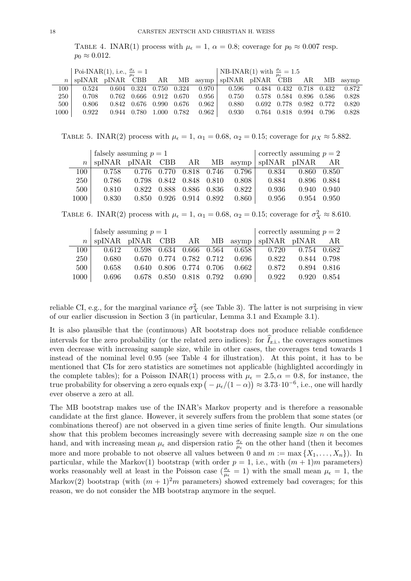TABLE 4. INAR(1) process with  $\mu_{\epsilon} = 1$ ,  $\alpha = 0.8$ ; coverage for  $p_0 \approx 0.007$  resp.  $p_0 \approx 0.012$ .

|      | Poi-INAR(1), i.e., $\frac{\sigma_{\epsilon}}{\mu_{\epsilon}} = 1$ |               |             |                                 |                     |         | NB-INAR(1) with $\frac{\sigma_{\epsilon}}{\mu_{c}} = 1.5$ |       |                         |             |  |       |  |
|------|-------------------------------------------------------------------|---------------|-------------|---------------------------------|---------------------|---------|-----------------------------------------------------------|-------|-------------------------|-------------|--|-------|--|
|      | spINAR pINAR CBB                                                  |               |             |                                 |                     |         | AR MB asymp spINAR pINAR CBB AR MB asymp                  |       |                         |             |  |       |  |
| 100- | 0.524                                                             |               | 0.604 0.324 | 0.750 0.324                     |                     | 0.970 L | 0.596                                                     |       | 0.484 0.432 0.718 0.432 |             |  | 0.872 |  |
| 250  | 0.708                                                             |               |             | $0.762$ $0.666$ $0.912$ $0.670$ |                     | $0.956$ | 0.750                                                     |       | 0.578 0.584 0.896 0.586 |             |  | 0.828 |  |
| 500  | 0.806                                                             | $0.842$ 0.676 |             |                                 | $0.990 \quad 0.676$ | 0.962   | 0.880                                                     | 0.692 | 0.778                   | 0.982 0.772 |  | 0.820 |  |
| 1000 | 0.922                                                             | 0.944         | 0.780       |                                 | 1.000 0.782         | 0.962   | 0.930                                                     |       | 0.764 0.818             | 0.994 0.796 |  | 0.828 |  |

TABLE 5. INAR(2) process with  $\mu_{\epsilon} = 1$ ,  $\alpha_1 = 0.68$ ,  $\alpha_2 = 0.15$ ; coverage for  $\mu_X \approx 5.882$ .

|                | falsely assuming $p=1$ |       |       |                         |         |         | correctly assuming $p=2$                     |                     |       |  |  |  |
|----------------|------------------------|-------|-------|-------------------------|---------|---------|----------------------------------------------|---------------------|-------|--|--|--|
| n <sub>1</sub> |                        |       |       |                         |         |         | spINAR pINAR CBB AR MB asymp spINAR pINAR AR |                     |       |  |  |  |
| 100 l          | 0.758                  |       |       | 0.776 0.770 0.818 0.746 |         | 0.796   | 0.834                                        | $0.860 \quad 0.850$ |       |  |  |  |
| 250            | 0.786                  | 0.798 | 0.842 | 0.848                   | 0.810   | 0.808 1 | 0.884                                        | 0.896 0.884         |       |  |  |  |
| $500-1$        | 0.810                  | 0.822 | 0.888 | 0.886                   | - 0.836 | 0.822   | 0.936                                        | 0.940               | 0.940 |  |  |  |
| 1000           | 0.830                  | 0.850 | 0.926 | 0.914                   | 0.892   | 0.860   | 0.956                                        | 0.954               | 0.950 |  |  |  |

TABLE 6. INAR(2) process with  $\mu_{\epsilon} = 1$ ,  $\alpha_1 = 0.68$ ,  $\alpha_2 = 0.15$ ; coverage for  $\sigma_X^2 \approx 8.610$ .

|                  | falsely assuming $p = 1$ |       |  |                                 | correctly assuming $p = 2$ |               |                                              |             |        |
|------------------|--------------------------|-------|--|---------------------------------|----------------------------|---------------|----------------------------------------------|-------------|--------|
| $n_{\perp}$      |                          |       |  |                                 |                            |               | spINAR pINAR CBB AR MB asymp spINAR pINAR AR |             |        |
| 100 l            | 0.612                    |       |  |                                 | 0.598 0.634 0.666 0.564    |               | $0.658$   $0.720$                            | 0.754 0.682 |        |
| 250 <sup>1</sup> | 0.680                    |       |  | $0.670$ $0.774$ $0.782$ $0.712$ |                            | $0.696$ 1     | 0.822                                        | 0.844 0.798 |        |
| 500              | 0.658                    | 0.640 |  | 0.806 0.774 0.706               |                            | $0.662$       | 0.872                                        | 0.894       | -0.816 |
| 1000             | 0.696                    |       |  | 0.678 0.850 0.818 0.792         |                            | $0.690 \perp$ | 0.922                                        | 0.920       | 0.854  |

reliable CI, e.g., for the marginal variance  $\sigma_X^2$  (see Table 3). The latter is not surprising in view of our earlier discussion in Section 3 (in particular, Lemma 3.1 and Example 3.1).

It is also plausible that the (continuous) AR bootstrap does not produce reliable confidence intervals for the zero probability (or the related zero indices): for  $\tilde{I}_{z,i}$ , the coverages sometimes even decrease with increasing sample size, while in other cases, the coverages tend towards 1 instead of the nominal level 0.95 (see Table 4 for illustration). At this point, it has to be mentioned that CIs for zero statistics are sometimes not applicable (highlighted accordingly in the complete tables); for a Poisson INAR(1) process with  $\mu_{\epsilon} = 2.5, \alpha = 0.8$ , for instance, the true probability for observing a zero equals  $\exp(-\mu_{\epsilon}/(1-\alpha)) \approx 3.73 \cdot 10^{-6}$ , i.e., one will hardly ever observe a zero at all.

The MB bootstrap makes use of the INAR's Markov property and is therefore a reasonable candidate at the first glance. However, it severely suffers from the problem that some states (or combinations thereof) are not observed in a given time series of finite length. Our simulations show that this problem becomes increasingly severe with decreasing sample size  $n$  on the one hand, and with increasing mean  $\mu_{\epsilon}$  and dispersion ratio  $\frac{\sigma_{\epsilon}}{\mu_{\epsilon}}$  on the other hand (then it becomes more and more probable to not observe all values between 0 and  $m := \max\{X_1, \ldots, X_n\}$ . In particular, while the Markov(1) bootstrap (with order  $p = 1$ , i.e., with  $(m + 1)m$  parameters) works reasonably well at least in the Poisson case  $(\frac{\sigma_{\epsilon}}{\mu_{\epsilon}}=1)$  with the small mean  $\mu_{\epsilon}=1$ , the Markov(2) bootstrap (with  $(m + 1)^2m$  parameters) showed extremely bad coverages; for this reason, we do not consider the MB bootstrap anymore in the sequel.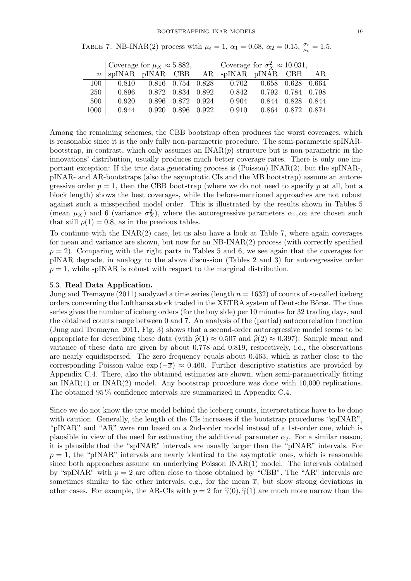TABLE 7. NB-INAR(2) process with  $\mu_{\epsilon} = 1$ ,  $\alpha_1 = 0.68$ ,  $\alpha_2 = 0.15$ ,  $\frac{\sigma_{\epsilon}}{\mu_{\epsilon}} = 1.5$ .

|            | Coverage for $\mu_X \approx 5.882$ , |       |                   |             | Coverage for $\sigma_X^2 \approx 10.031$ ,                            |  |                   |       |  |  |  |
|------------|--------------------------------------|-------|-------------------|-------------|-----------------------------------------------------------------------|--|-------------------|-------|--|--|--|
|            |                                      |       |                   |             | $n \mid \text{spINAR}$ pINAR CBB AR $\mid \text{spINAR}$ pINAR CBB AR |  |                   |       |  |  |  |
| $100\,$    | 0.810                                |       |                   |             | $0.816$ $0.754$ $0.828$ 0.702                                         |  | 0.658 0.628 0.664 |       |  |  |  |
| <b>250</b> | 0.896                                |       | 0.872 0.834 0.892 |             | 0.842                                                                 |  | 0.792 0.784 0.798 |       |  |  |  |
| 500        | 0.920                                |       | 0.896 0.872 0.924 |             | 0.904                                                                 |  | 0.844 0.828       | 0.844 |  |  |  |
| 1000       | 0.944                                | 0.920 |                   | 0.896 0.922 | 0.910                                                                 |  | 0.864 0.872 0.874 |       |  |  |  |

Among the remaining schemes, the CBB bootstrap often produces the worst coverages, which is reasonable since it is the only fully non-parametric procedure. The semi-parametric spINARbootstrap, in contrast, which only assumes an  $\text{INAR}(p)$  structure but is non-parametric in the innovations' distribution, usually produces much better coverage rates. There is only one important exception: If the true data generating process is (Poisson)  $INAR(2)$ , but the spINAR-, pINAR- and AR-bootstraps (also the asymptotic CIs and the MB bootstrap) assume an autoregressive order  $p = 1$ , then the CBB bootstrap (where we do not need to specify p at all, but a block length) shows the best coverages, while the before-mentioned approaches are not robust against such a misspecified model order. This is illustrated by the results shown in Tables 5 (mean  $\mu_X$ ) and 6 (variance  $\sigma_X^2$ ), where the autoregressive parameters  $\alpha_1, \alpha_2$  are chosen such that still  $\rho(1) = 0.8$ , as in the previous tables.

To continue with the  $INAR(2)$  case, let us also have a look at Table 7, where again coverages for mean and variance are shown, but now for an NB-INAR(2) process (with correctly specified  $p = 2$ . Comparing with the right parts in Tables 5 and 6, we see again that the coverages for pINAR degrade, in analogy to the above discussion (Tables 2 and 3) for autoregressive order  $p = 1$ , while spINAR is robust with respect to the marginal distribution.

## 5.3. Real Data Application.

Jung and Tremayne (2011) analyzed a time series (length  $n = 1632$ ) of counts of so-called iceberg orders concerning the Lufthansa stock traded in the XETRA system of Deutsche Börse. The time series gives the number of iceberg orders (for the buy side) per 10 minutes for 32 trading days, and the obtained counts range between 0 and 7. An analysis of the (partial) autocorrelation function (Jung and Tremayne, 2011, Fig. 3) shows that a second-order autoregressive model seems to be appropriate for describing these data (with  $\hat{\rho}(1) \approx 0.507$  and  $\hat{\rho}(2) \approx 0.397$ ). Sample mean and variance of these data are given by about 0.778 and 0.819, respectively, i.e., the observations are nearly equidispersed. The zero frequency equals about 0.463, which is rather close to the corresponding Poisson value  $\exp(-\overline{x}) \approx 0.460$ . Further descriptive statistics are provided by Appendix C.4. There, also the obtained estimates are shown, when semi-parametrically fitting an  $INAR(1)$  or  $INAR(2)$  model. Any bootstrap procedure was done with 10,000 replications. The obtained 95 % confidence intervals are summarized in Appendix C.4.

Since we do not know the true model behind the iceberg counts, interpretations have to be done with caution. Generally, the length of the CIs increases if the bootstrap procedures "spINAR". "pINAR" and "AR" were run based on a 2nd-order model instead of a 1st-order one, which is plausible in view of the need for estimating the additional parameter  $\alpha_2$ . For a similar reason, it is plausible that the "spINAR" intervals are usually larger than the "pINAR" intervals. For  $p = 1$ , the "pINAR" intervals are nearly identical to the asymptotic ones, which is reasonable since both approaches assume an underlying Poisson INAR(1) model. The intervals obtained by "spINAR" with  $p = 2$  are often close to those obtained by "CBB". The "AR" intervals are sometimes similar to the other intervals, e.g., for the mean  $\bar{x}$ , but show strong deviations in other cases. For example, the AR-CIs with  $p = 2$  for  $\hat{\gamma}(0), \hat{\gamma}(1)$  are much more narrow than the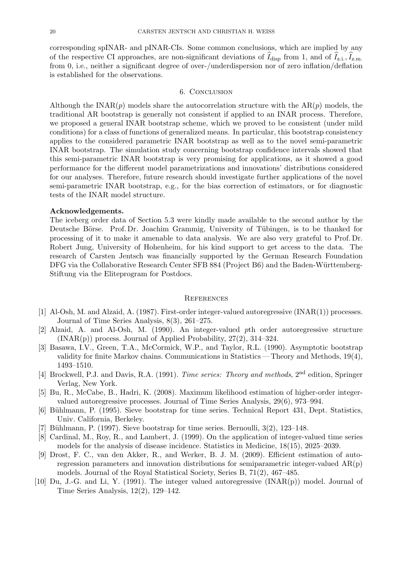corresponding spINAR- and pINAR-CIs. Some common conclusions, which are implied by any of the respective CI approaches, are non-significant deviations of  $\hat{I}_{\text{disp}}$  from 1, and of  $\hat{I}_{z,i}$ ,  $\hat{I}_{z,m}$ . from 0, i.e., neither a significant degree of over-/underdispersion nor of zero inflation/deflation is established for the observations.

#### 6. Conclusion

Although the INAR $(p)$  models share the autocorrelation structure with the AR $(p)$  models, the traditional AR bootstrap is generally not consistent if applied to an INAR process. Therefore, we proposed a general INAR bootstrap scheme, which we proved to be consistent (under mild conditions) for a class of functions of generalized means. In particular, this bootstrap consistency applies to the considered parametric INAR bootstrap as well as to the novel semi-parametric INAR bootstrap. The simulation study concerning bootstrap confidence intervals showed that this semi-parametric INAR bootstrap is very promising for applications, as it showed a good performance for the different model parametrizations and innovations' distributions considered for our analyses. Therefore, future research should investigate further applications of the novel semi-parametric INAR bootstrap, e.g., for the bias correction of estimators, or for diagnostic tests of the INAR model structure.

#### Acknowledgements.

The iceberg order data of Section 5.3 were kindly made available to the second author by the Deutsche Börse. Prof. Dr. Joachim Grammig, University of Tübingen, is to be thanked for processing of it to make it amenable to data analysis. We are also very grateful to Prof. Dr. Robert Jung, University of Hohenheim, for his kind support to get access to the data. The research of Carsten Jentsch was financially supported by the German Research Foundation DFG via the Collaborative Research Center SFB 884 (Project B6) and the Baden-Württemberg-Stiftung via the Eliteprogram for Postdocs.

## **REFERENCES**

- [1] Al-Osh, M. and Alzaid, A. (1987). First-order integer-valued autoregressive (INAR(1)) processes. Journal of Time Series Analysis, 8(3), 261–275.
- [2] Alzaid, A. and Al-Osh, M. (1990). An integer-valued pth order autoregressive structure  $(INAR(p))$  process. Journal of Applied Probability,  $27(2)$ ,  $314-324$ .
- [3] Basawa, I.V., Green, T.A., McCormick, W.P., and Taylor, R.L. (1990). Asymptotic bootstrap validity for finite Markov chains. Communications in Statistics — Theory and Methods, 19(4), 1493–1510.
- [4] Brockwell, P.J. and Davis, R.A. (1991). Time series: Theory and methods, 2<sup>nd</sup> edition, Springer Verlag, New York.
- [5] Bu, R., McCabe, B., Hadri, K. (2008). Maximum likelihood estimation of higher-order integervalued autoregressive processes. Journal of Time Series Analysis, 29(6), 973–994.
- [6] Bühlmann, P. (1995). Sieve bootstrap for time series. Technical Report 431, Dept. Statistics, Univ. California, Berkeley.
- [7] Bühlmann, P. (1997). Sieve bootstrap for time series. Bernoulli,  $3(2)$ ,  $123-148$ .
- [8] Cardinal, M., Roy, R., and Lambert, J. (1999). On the application of integer-valued time series models for the analysis of disease incidence. Statistics in Medicine, 18(15), 2025–2039.
- [9] Drost, F. C., van den Akker, R., and Werker, B. J. M. (2009). Efficient estimation of autoregression parameters and innovation distributions for semiparametric integer-valued  $AR(p)$ models. Journal of the Royal Statistical Society, Series B, 71(2), 467–485.
- [10] Du, J.-G. and Li, Y. (1991). The integer valued autoregressive (INAR(p)) model. Journal of Time Series Analysis, 12(2), 129–142.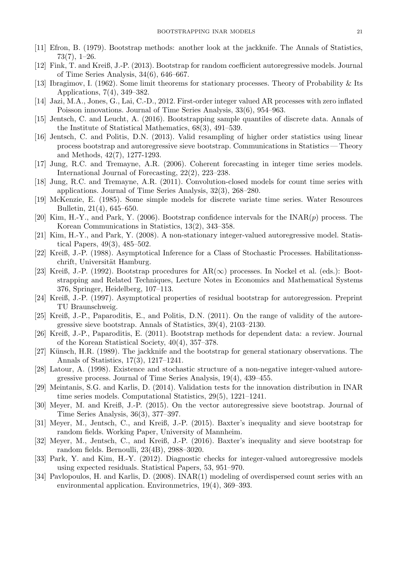- [11] Efron, B. (1979). Bootstrap methods: another look at the jackknife. The Annals of Statistics, 73(7), 1–26.
- [12] Fink, T. and Kreiß, J.-P. (2013). Bootstrap for random coefficient autoregressive models. Journal of Time Series Analysis, 34(6), 646–667.
- [13] Ibragimov, I. (1962). Some limit theorems for stationary processes. Theory of Probability & Its Applications, 7(4), 349–382.
- [14] Jazi, M.A., Jones, G., Lai, C.-D., 2012. First-order integer valued AR processes with zero inflated Poisson innovations. Journal of Time Series Analysis, 33(6), 954–963.
- [15] Jentsch, C. and Leucht, A. (2016). Bootstrapping sample quantiles of discrete data. Annals of the Institute of Statistical Mathematics, 68(3), 491–539.
- [16] Jentsch, C. and Politis, D.N. (2013). Valid resampling of higher order statistics using linear process bootstrap and autoregressive sieve bootstrap. Communications in Statistics — Theory and Methods, 42(7), 1277-1293.
- [17] Jung, R.C. and Tremayne, A.R. (2006). Coherent forecasting in integer time series models. International Journal of Forecasting, 22(2), 223–238.
- [18] Jung, R.C. and Tremayne, A.R. (2011). Convolution-closed models for count time series with applications. Journal of Time Series Analysis, 32(3), 268–280.
- [19] McKenzie, E. (1985). Some simple models for discrete variate time series. Water Resources Bulletin, 21(4), 645–650.
- [20] Kim, H.-Y., and Park, Y. (2006). Bootstrap confidence intervals for the  $\text{INAR}(p)$  process. The Korean Communications in Statistics, 13(2), 343–358.
- [21] Kim, H.-Y., and Park, Y. (2008). A non-stationary integer-valued autoregressive model. Statistical Papers, 49(3), 485–502.
- [22] Kreiß, J.-P. (1988). Asymptotical Inference for a Class of Stochastic Processes. Habilitationsschrift, Universität Hamburg.
- [23] Kreiß, J.-P. (1992). Bootstrap procedures for  $AR(\infty)$  processes. In Nockel et al. (eds.): Bootstrapping and Related Techniques, Lecture Notes in Economics and Mathematical Systems 376, Springer, Heidelberg, 107–113.
- [24] Kreiß, J.-P. (1997). Asymptotical properties of residual bootstrap for autoregression. Preprint TU Braunschweig.
- [25] Kreiß, J.-P., Paparoditis, E., and Politis, D.N. (2011). On the range of validity of the autoregressive sieve bootstrap. Annals of Statistics, 39(4), 2103–2130.
- [26] Kreiß, J.-P., Paparoditis, E. (2011). Bootstrap methods for dependent data: a review. Journal of the Korean Statistical Society, 40(4), 357–378.
- [27] Künsch, H.R. (1989). The jackknife and the bootstrap for general stationary observations. The Annals of Statistics, 17(3), 1217–1241.
- [28] Latour, A. (1998). Existence and stochastic structure of a non-negative integer-valued autoregressive process. Journal of Time Series Analysis, 19(4), 439–455.
- [29] Meintanis, S.G. and Karlis, D. (2014). Validation tests for the innovation distribution in INAR time series models. Computational Statistics, 29(5), 1221–1241.
- [30] Meyer, M. and Kreiß, J.-P. (2015). On the vector autoregressive sieve bootstrap. Journal of Time Series Analysis, 36(3), 377–397.
- [31] Meyer, M., Jentsch, C., and Kreiß, J.-P. (2015). Baxter's inequality and sieve bootstrap for random fields. Working Paper, University of Mannheim.
- [32] Meyer, M., Jentsch, C., and Kreiß, J.-P. (2016). Baxter's inequality and sieve bootstrap for random fields. Bernoulli, 23(4B), 2988–3020.
- [33] Park, Y. and Kim, H.-Y. (2012). Diagnostic checks for integer-valued autoregressive models using expected residuals. Statistical Papers, 53, 951–970.
- [34] Pavlopoulos, H. and Karlis, D. (2008). INAR(1) modeling of overdispersed count series with an environmental application. Environmetrics, 19(4), 369–393.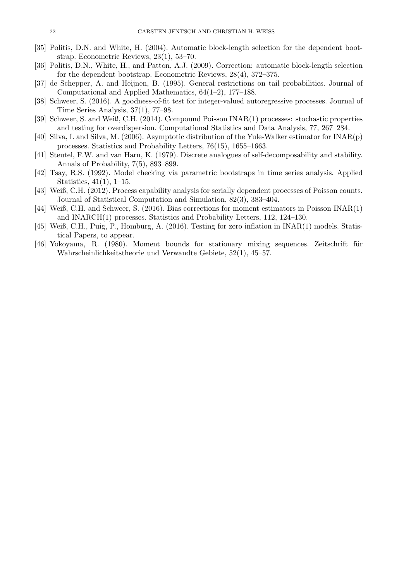- [35] Politis, D.N. and White, H. (2004). Automatic block-length selection for the dependent bootstrap. Econometric Reviews, 23(1), 53–70.
- [36] Politis, D.N., White, H., and Patton, A.J. (2009). Correction: automatic block-length selection for the dependent bootstrap. Econometric Reviews, 28(4), 372–375.
- [37] de Schepper, A. and Heijnen, B. (1995). General restrictions on tail probabilities. Journal of Computational and Applied Mathematics, 64(1–2), 177–188.
- [38] Schweer, S. (2016). A goodness-of-fit test for integer-valued autoregressive processes. Journal of Time Series Analysis, 37(1), 77–98.
- [39] Schweer, S. and Weiß, C.H. (2014). Compound Poisson INAR(1) processes: stochastic properties and testing for overdispersion. Computational Statistics and Data Analysis, 77, 267–284.
- [40] Silva, I. and Silva, M. (2006). Asymptotic distribution of the Yule-Walker estimator for INAR(p) processes. Statistics and Probability Letters, 76(15), 1655–1663.
- [41] Steutel, F.W. and van Harn, K. (1979). Discrete analogues of self-decomposability and stability. Annals of Probability, 7(5), 893–899.
- [42] Tsay, R.S. (1992). Model checking via parametric bootstraps in time series analysis. Applied Statistics, 41(1), 1–15.
- [43] Weiß, C.H. (2012). Process capability analysis for serially dependent processes of Poisson counts. Journal of Statistical Computation and Simulation, 82(3), 383–404.
- [44] Weiß, C.H. and Schweer, S. (2016). Bias corrections for moment estimators in Poisson INAR(1) and INARCH(1) processes. Statistics and Probability Letters, 112, 124–130.
- [45] Weiß, C.H., Puig, P., Homburg, A. (2016). Testing for zero inflation in INAR(1) models. Statistical Papers, to appear.
- [46] Yokoyama, R. (1980). Moment bounds for stationary mixing sequences. Zeitschrift für Wahrscheinlichkeitstheorie und Verwandte Gebiete, 52(1), 45–57.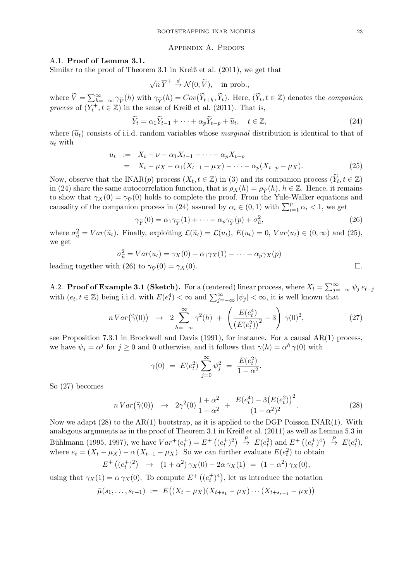#### Appendix A. Proofs

#### A.1. Proof of Lemma 3.1.

Similar to the proof of Theorem 3.1 in Kreiß et al. (2011), we get that

$$
\sqrt{n}\,\overline{Y}^+\stackrel{d}{\to} \mathcal{N}(0,\widetilde{V}),\quad\text{in prob.},
$$

where  $\widetilde{V} = \sum_{k=0}^{\infty} \gamma_{\widetilde{V}}(h)$  with  $\gamma_{\widetilde{Y}}(h) = Cov(\widetilde{Y}_{t+h}, \widetilde{Y}_t)$ . Here,  $(\widetilde{Y}_t, t \in \mathbb{Z})$  denotes the *companion* process of  $(Y_t^+, t \in \mathbb{Z})$  in the sense of Kreiß et al. (2011). That is,

$$
\widetilde{Y}_t = \alpha_1 \widetilde{Y}_{t-1} + \dots + \alpha_p \widetilde{Y}_{t-p} + \widetilde{u}_t, \quad t \in \mathbb{Z},\tag{24}
$$

where  $(\tilde{u}_t)$  consists of i.i.d. random variables whose marginal distribution is identical to that of  $u_t$  with

$$
u_t := X_t - \nu - \alpha_1 X_{t-1} - \dots - \alpha_p X_{t-p}
$$
  
=  $X_t - \mu_X - \alpha_1 (X_{t-1} - \mu_X) - \dots - \alpha_p (X_{t-p} - \mu_X).$  (25)

Now, observe that the INAR(p) process  $(X_t, t \in \mathbb{Z})$  in (3) and its companion process  $(\widetilde{Y}_t, t \in \mathbb{Z})$ in (24) share the same autocorrelation function, that is  $\rho_X(h) = \rho_{\tilde{Y}}(h)$ ,  $h \in \mathbb{Z}$ . Hence, it remains to show that  $\gamma_X(0) = \gamma_{\widetilde{Y}}(0)$  holds to complete the proof. From the Yule-Walker equations and causality of the companion process in (24) assured by  $\alpha_i \in (0,1)$  with  $\sum_{i=1}^p \alpha_i < 1$ , we get

$$
\gamma_{\widetilde{Y}}(0) = \alpha_1 \gamma_{\widetilde{Y}}(1) + \dots + \alpha_p \gamma_{\widetilde{Y}}(p) + \sigma_{\widetilde{u}}^2,\tag{26}
$$

where  $\sigma_{\tilde{u}}^2 = Var(\tilde{u}_t)$ . Finally, exploiting  $\mathcal{L}(\tilde{u}_t) = \mathcal{L}(u_t)$ ,  $E(u_t) = 0$ ,  $Var(u_t) \in (0, \infty)$  and (25), we get

$$
\sigma_{\tilde{u}}^2 = Var(u_t) = \gamma_X(0) - \alpha_1 \gamma_X(1) - \dots - \alpha_p \gamma_X(p)
$$
  
leading together with (26) to  $\gamma_{\tilde{Y}}(0) = \gamma_X(0)$ .

A.2. **Proof of Example 3.1 (Sketch).** For a (centered) linear process, where  $X_t = \sum_{j=-\infty}^{\infty} \psi_j e_{t-j}$ with  $(e_t, t \in \mathbb{Z})$  being i.i.d. with  $E(e_t^4) < \infty$  and  $\sum_{j=-\infty}^{\infty} |\psi_j| < \infty$ , it is well known that

$$
nVar(\hat{\gamma}(0)) \rightarrow 2\sum_{h=-\infty}^{\infty} \gamma^2(h) + \left(\frac{E(e_t^4)}{(E(e_t^2))^2} - 3\right) \gamma(0)^2, \tag{27}
$$

see Proposition 7.3.1 in Brockwell and Davis (1991), for instance. For a causal AR(1) process, we have  $\psi_j = \alpha^j$  for  $j \geq 0$  and 0 otherwise, and it follows that  $\gamma(h) = \alpha^h \gamma(0)$  with

$$
\gamma(0) = E(e_t^2) \sum_{j=0}^{\infty} \psi_j^2 = \frac{E(e_t^2)}{1 - \alpha^2}
$$

So (27) becomes

$$
n\operatorname{Var}\left(\widehat{\gamma}(0)\right) \quad \to \quad 2\gamma^2(0)\,\frac{1+\alpha^2}{1-\alpha^2} \;+\; \frac{E(e_t^4)-3\big(E(e_t^2)\big)^2}{(1-\alpha^2)^2}.\tag{28}
$$

.

Now we adapt  $(28)$  to the AR(1) bootstrap, as it is applied to the DGP Poisson INAR(1). With analogous arguments as in the proof of Theorem 3.1 in Kreiß et al. (2011) as well as Lemma 5.3 in Bühlmann (1995, 1997), we have  $Var^+(e_t^+) = E^+\left((e_t^+)^2\right) \stackrel{P}{\rightarrow} E(e_t^2)$  and  $E^+\left((e_t^+)^4\right) \stackrel{P}{\rightarrow} E(e_t^4)$ , where  $e_t = (X_t - \mu_X) - \alpha (X_{t-1} - \mu_X)$ . So we can further evaluate  $E(e_t^2)$  to obtain

$$
E^+\left((e_t^+)^2\right) \rightarrow (1+\alpha^2)\,\gamma_X(0)-2\alpha\,\gamma_X(1) = (1-\alpha^2)\,\gamma_X(0),
$$

using that  $\gamma_X(1) = \alpha \gamma_X(0)$ . To compute  $E^+((e_t^+)^4)$ , let us introduce the notation

$$
\bar{\mu}(s_1,\ldots,s_{r-1}) := E\big((X_t - \mu_X)(X_{t+s_1} - \mu_X) \cdots (X_{t+s_{r-1}} - \mu_X)\big)
$$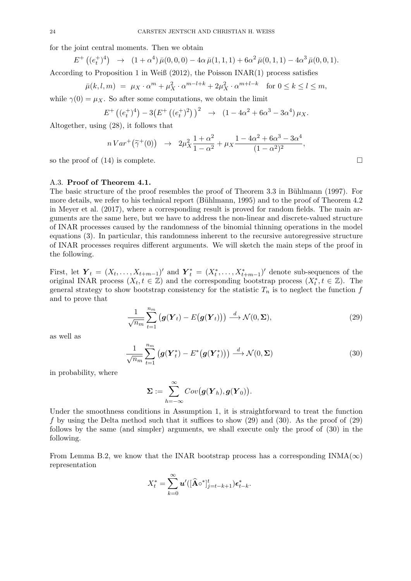for the joint central moments. Then we obtain

$$
E^+\left((e_t^+)^4\right) \rightarrow (1+\alpha^4)\bar{\mu}(0,0,0) - 4\alpha \bar{\mu}(1,1,1) + 6\alpha^2 \bar{\mu}(0,1,1) - 4\alpha^3 \bar{\mu}(0,0,1).
$$

According to Proposition 1 in Weiß  $(2012)$ , the Poisson INAR(1) process satisfies

$$
\bar{\mu}(k,l,m) = \mu_X \cdot \alpha^m + \mu_X^2 \cdot \alpha^{m-l+k} + 2\mu_X^2 \cdot \alpha^{m+l-k} \quad \text{for } 0 \le k \le l \le m,
$$

while  $\gamma(0) = \mu_X$ . So after some computations, we obtain the limit

$$
E^+\left((e_t^+)^4\right) - 3\left(E^+\left((e_t^+)^2\right)\right)^2 \rightarrow (1 - 4\alpha^2 + 6\alpha^3 - 3\alpha^4)\,\mu_X.
$$

Altogether, using (28), it follows that

$$
nVar^{+}(\widetilde{\gamma}^{+}(0)) \rightarrow 2\mu_{X}^{2}\frac{1+\alpha^{2}}{1-\alpha^{2}} + \mu_{X}\frac{1-4\alpha^{2}+6\alpha^{3}-3\alpha^{4}}{(1-\alpha^{2})^{2}},
$$

so the proof of  $(14)$  is complete.

#### A.3. Proof of Theorem 4.1.

The basic structure of the proof resembles the proof of Theorem 3.3 in Bühlmann (1997). For more details, we refer to his technical report (Bühlmann, 1995) and to the proof of Theorem 4.2 in Meyer et al. (2017), where a corresponding result is proved for random fields. The main arguments are the same here, but we have to address the non-linear and discrete-valued structure of INAR processes caused by the randomness of the binomial thinning operations in the model equations (3). In particular, this randomness inherent to the recursive autoregressive structure of INAR processes requires different arguments. We will sketch the main steps of the proof in the following.

First, let  $\mathbf{Y}_t = (X_t, \ldots, X_{t+m-1})'$  and  $\mathbf{Y}_t^* = (X_t^*, \ldots, X_{t+m-1}^*)'$  denote sub-sequences of the original INAR process  $(X_t, t \in \mathbb{Z})$  and the corresponding bootstrap process  $(X_t^*, t \in \mathbb{Z})$ . The general strategy to show bootstrap consistency for the statistic  $T_n$  is to neglect the function f and to prove that

$$
\frac{1}{\sqrt{n_m}} \sum_{t=1}^{n_m} \left( \mathbf{g}(\mathbf{Y}_t) - E(\mathbf{g}(\mathbf{Y}_t)) \right) \stackrel{d}{\longrightarrow} \mathcal{N}(0, \Sigma), \tag{29}
$$

as well as

$$
\frac{1}{\sqrt{n_m}} \sum_{t=1}^{n_m} \left( \mathbf{g}(\mathbf{Y}_t^*) - E^* \big(\mathbf{g}(\mathbf{Y}_t^*) \big) \right) \stackrel{d}{\longrightarrow} \mathcal{N}(0, \Sigma) \tag{30}
$$

in probability, where

$$
\boldsymbol{\Sigma} := \sum_{h=-\infty}^{\infty} Cov\big(\boldsymbol{g}(\boldsymbol{Y}_h),\boldsymbol{g}(\boldsymbol{Y}_0)\big).
$$

Under the smoothness conditions in Assumption 1, it is straightforward to treat the function f by using the Delta method such that it suffices to show (29) and (30). As the proof of (29) follows by the same (and simpler) arguments, we shall execute only the proof of (30) in the following.

From Lemma B.2, we know that the INAR bootstrap process has a corresponding  $INMA(\infty)$ representation

$$
X_t^* = \sum_{k=0}^{\infty} \boldsymbol{u}'(\hat{[{\bf A}} \circ^* ]_{j=t-k+1}^t) \boldsymbol{\epsilon}_{t-k}^*.
$$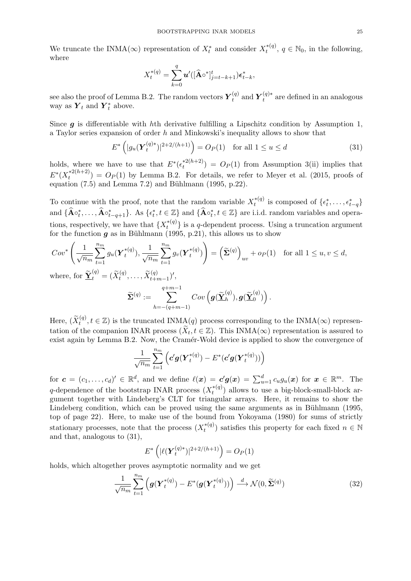We truncate the INMA( $\infty$ ) representation of  $X_t^*$  and consider  $X_t^{*(q)}$  $t_t^{*(q)}$ ,  $q \in \mathbb{N}_0$ , in the following, where

$$
X_t^{*(q)} = \sum_{k=0}^q \boldsymbol{u}'([\widehat{\mathbf{A}} \circ^*]_{j=t-k+1}^t) \boldsymbol{\epsilon}_{t-k}^*,
$$

see also the proof of Lemma B.2. The random vectors  $Y_t^{(q)}$  $_t^{(q)}$  and  $\boldsymbol{Y}_t^{(q)*}$  $t^{(q)*}$  are defined in an analogous way as  $\boldsymbol{Y}_t$  and  $\boldsymbol{Y}_t^*$  above.

Since  $g$  is differentiable with hth derivative fulfilling a Lipschitz condition by Assumption 1, a Taylor series expansion of order h and Minkowski's inequality allows to show that

$$
E^* \left( |g_u(\boldsymbol{Y}_t^{(q)*})|^{2+2/(h+1)} \right) = O_P(1) \quad \text{for all } 1 \le u \le d \tag{31}
$$

holds, where we have to use that  $E^*(\epsilon_t^{*2(h+2)})$  $(t_t^{*2(n+2)}) = O_P(1)$  from Assumption 3(ii) implies that  $E^*(X_t^{*2(h+2)}$  $(t_t^{*2(h+2)}) = O_P(1)$  by Lemma B.2. For details, we refer to Meyer et al. (2015, proofs of equation  $(7.5)$  and Lemma 7.2) and Bühlmann  $(1995, p.22)$ .

To continue with the proof, note that the random variable  $X_t^{*(q)}$  $\mathbf{t}^{*(q)}$  is composed of  $\{\epsilon_t^*, \ldots, \epsilon_{t-q}^*\}$ and  $\{\widehat{\mathbf{A}}\circ_t^*,\ldots,\widehat{\mathbf{A}}\circ_{t-q+1}^*\}$ . As  $\{\epsilon_t^*,t\in\mathbb{Z}\}$  and  $\{\widehat{\mathbf{A}}\circ_t^*,t\in\mathbb{Z}\}$  are i.i.d. random variables and operations, respectively, we have that  $\{X_t^{*(q)}\}$  $\{t_i^{*(q)}\}$  is a q-dependent process. Using a truncation argument for the function  $g$  as in Bühlmann (1995, p.21), this allows us to show

$$
Cov^* \left( \frac{1}{\sqrt{n_m}} \sum_{t=1}^{n_m} g_u(\boldsymbol{Y}_t^{*(q)}), \frac{1}{\sqrt{n_m}} \sum_{t=1}^{n_m} g_v(\boldsymbol{Y}_t^{*(q)}) \right) = \left( \widetilde{\boldsymbol{\Sigma}}^{(q)} \right)_{uv} + o_P(1) \quad \text{for all } 1 \le u, v \le d,
$$

where, for  $\underline{\tilde{\mathbf{Y}}}_t^{(q)} = (\widetilde{X}_t^{(q)}, \dots, \widetilde{X}_{t+m-1}^{(q)})'$ ,

$$
\widetilde{\mathbf{\Sigma}}^{(q)}:=\sum_{h=-(q+m-1)}^{q+m-1}Cov\left(\boldsymbol{g}(\widetilde{\boldsymbol{\underline{Y}}}_{h}^{(q)}),\boldsymbol{g}(\widetilde{\boldsymbol{\underline{Y}}}^{(q)}_{0})\right).
$$

Here,  $(\widetilde{X}_{t}^{(q)}, t \in \mathbb{Z})$  is the truncated INMA $(q)$  process corresponding to the INMA $(\infty)$  representation of the companion INAR process  $(\widetilde{X}_t, t \in \mathbb{Z})$ . This INMA( $\infty$ ) representation is assured to exist again by Lemma B.2. Now, the Cramér-Wold device is applied to show the convergence of

$$
\frac{1}{\sqrt{n_m}}\sum_{t=1}^{n_m}\left(\boldsymbol{c}'\boldsymbol{g}(\boldsymbol{Y}_t^{*(q)})-\boldsymbol{E}^*(\boldsymbol{c}'\boldsymbol{g}(\boldsymbol{Y}_t^{*(q)}))\right)
$$

for  $\boldsymbol{c} = (c_1, \ldots, c_d)' \in \mathbb{R}^d$ , and we define  $\ell(\boldsymbol{x}) = \boldsymbol{c}'\boldsymbol{g}(\boldsymbol{x}) = \sum_{u=1}^d c_u g_u(\boldsymbol{x})$  for  $\boldsymbol{x} \in \mathbb{R}^m$ . The q-dependence of the bootstrap INAR process  $(X_t^{*(q)})$  $t^{*(q)}$ ) allows to use a big-block-small-block argument together with Lindeberg's CLT for triangular arrays. Here, it remains to show the Lindeberg condition, which can be proved using the same arguments as in Bühlmann (1995, top of page 22). Here, to make use of the bound from Yokoyama (1980) for sums of strictly stationary processes, note that the process  $(X_t^{*(q)})$  $t^{*(q)}$ ) satisfies this property for each fixed  $n \in \mathbb{N}$ and that, analogous to (31),

$$
E^*\left(|\ell(\boldsymbol{Y}_t^{(q)*})|^{2+2/(h+1)}\right) = O_P(1)
$$

holds, which altogether proves asymptotic normality and we get

$$
\frac{1}{\sqrt{n_m}} \sum_{t=1}^{n_m} \left( \boldsymbol{g}(\boldsymbol{Y}_t^{*(q)}) - E^*(\boldsymbol{g}(\boldsymbol{Y}_t^{*(q)})) \right) \stackrel{d}{\longrightarrow} \mathcal{N}(0, \widetilde{\boldsymbol{\Sigma}}^{(q)}) \tag{32}
$$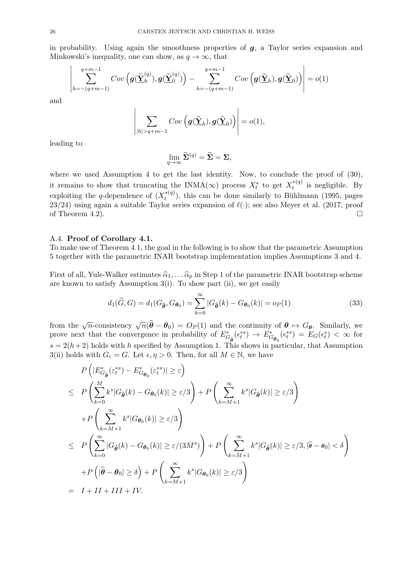in probability. Using again the smoothness properties of  $g$ , a Taylor series expansion and Minkowski's inequality, one can show, as  $q \to \infty$ , that

$$
\left| \sum_{h=-\left(q+m-1\right)}^{q+m-1}Cov\left(\mathbf{g}(\widetilde{\mathbf{\underline{Y}}}_{h}^{\left(q\right)}),\mathbf{g}(\widetilde{\mathbf{\underline{Y}}}_{0}^{\left(q\right)})\right)-\sum_{h=-\left(q+m-1\right)}^{q+m-1}Cov\left(\mathbf{g}(\widetilde{\mathbf{\underline{Y}}}_{h}),\mathbf{g}(\widetilde{\mathbf{\underline{Y}}}_{0})\right)\right|=o(1)
$$

and

$$
\left|\sum_{|h|>q+m-1}Cov\left(\boldsymbol{g}(\widetilde{\boldsymbol{\underline{Y}}}_h),\boldsymbol{g}(\widetilde{\boldsymbol{\underline{Y}}}_0)\right)\right|=o(1),
$$

leading to

$$
\lim_{q \to \infty} \widetilde{\Sigma}^{(q)} = \widetilde{\Sigma} = \Sigma,
$$

where we used Assumption 4 to get the last identity. Now, to conclude the proof of  $(30)$ , it remains to show that truncating the INMA( $\infty$ ) process  $X_t^*$  to get  $X_t^{*(q)}$  $t^{*(q)}$  is negligible. By exploiting the q-dependence of  $(X_t^{*(q)})$  $t^{*(q)}$ , this can be done similarly to Bühlmann (1995, pages 23/24) using again a suitable Taylor series expansion of  $\ell(\cdot)$ ; see also Meyer et al. (2017, proof of Theorem 4.2).

## A.4. Proof of Corollary 4.1.

 $\mathbf{I}$ 

To make use of Theorem 4.1, the goal in the following is to show that the parametric Assumption 5 together with the parametric INAR bootstrap implementation implies Assumptions 3 and 4.

First of all, Yule-Walker estimates  $\hat{\alpha}_1, \dots, \hat{\alpha}_p$  in Step 1 of the parametric INAR bootstrap scheme are known to satisfy Assumption 3(i). To show part (ii), we get easily

$$
d_1(\widehat{G}, G) = d_1(G_{\widehat{\theta}}, G_{\theta_0}) = \sum_{k=0}^{\infty} |G_{\widehat{\theta}}(k) - G_{\theta_0}(k)| = o_P(1)
$$
\n(33)

from the  $\sqrt{n}$ -consistency  $\sqrt{n}(\hat{\theta} - \theta_0) = O_P(1)$  and the continuity of  $\theta \mapsto G_{\theta}$ . Similarly, we prove next that the convergence in probability of  $E_{G_{\theta_0}}^*(\epsilon_t^{*s}) \to E_{G_{\theta_0}}^*(\epsilon_t^{*s}) = E_G(\epsilon_t^{s}) < \infty$  for  $s = 2(h+2)$  holds with h specified by Assumption 1. This shows in particular, that Assumption 3(ii) holds with  $G_c = G$ . Let  $\epsilon, \eta > 0$ . Then, for all  $M \in \mathbb{N}$ , we have

$$
P\left(|E_{G_{\tilde{\theta}}}^{*}( \varepsilon_{t}^{*s}) - E_{G_{\theta_{0}}}^{*}( \varepsilon_{t}^{*s})| \geq \varepsilon\right)
$$
  
\n
$$
\leq P\left(\sum_{k=0}^{M} k^{s} |G_{\hat{\theta}}(k) - G_{\theta_{0}}(k)| \geq \varepsilon/3\right) + P\left(\sum_{k=M+1}^{\infty} k^{s} |G_{\hat{\theta}}(k)| \geq \varepsilon/3\right)
$$
  
\n
$$
+ P\left(\sum_{k=M+1}^{\infty} k^{s} |G_{\theta_{0}}(k)| \geq \varepsilon/3\right)
$$
  
\n
$$
\leq P\left(\sum_{k=0}^{\infty} |G_{\hat{\theta}}(k) - G_{\theta_{0}}(k)| \geq \varepsilon/(3M^{s})\right) + P\left(\sum_{k=M+1}^{\infty} k^{s} |G_{\hat{\theta}}(k)| \geq \varepsilon/3, |\hat{\theta} - \theta_{0}| < \delta\right)
$$
  
\n
$$
+ P\left(|\hat{\theta} - \theta_{0}| \geq \delta\right) + P\left(\sum_{k=M+1}^{\infty} k^{s} |G_{\theta_{0}}(k)| \geq \varepsilon/3\right)
$$
  
\n
$$
= I + II + III + IV.
$$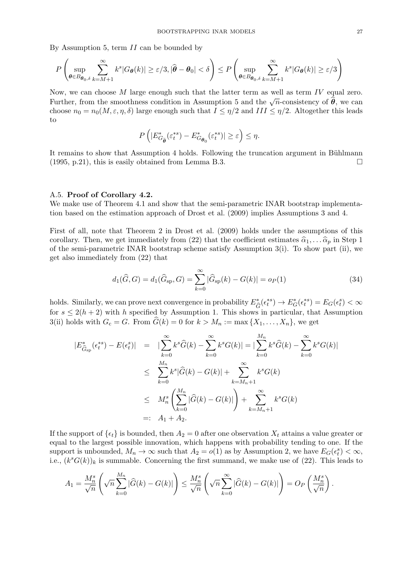By Assumption 5, term II can be bounded by

$$
P\left(\sup_{\theta\in B_{\theta_0,\delta}}\sum_{k=M+1}^{\infty}k^s|G_{\theta}(k)|\geq \varepsilon/3, |\widehat{\theta}-\theta_0|<\delta\right)\leq P\left(\sup_{\theta\in B_{\theta_0,\delta}}\sum_{k=M+1}^{\infty}k^s|G_{\theta}(k)|\geq \varepsilon/3\right)
$$

Now, we can choose M large enough such that the latter term as well as term IV equal zero. Further, from the smoothness condition in Assumption 5 and the  $\sqrt{n}$ -consistency of  $\hat{\theta}$ , we can choose  $n_0 = n_0(M, \varepsilon, \eta, \delta)$  large enough such that  $I \leq \eta/2$  and  $III \leq \eta/2$ . Altogether this leads to

$$
P\left(|E_{G_{\widetilde{\boldsymbol{\theta}}}^*}^*(\varepsilon_t^{*s}) - E_{G_{\boldsymbol{\theta}_0}}^*(\varepsilon_t^{*s})| \geq \varepsilon\right) \leq \eta.
$$

It remains to show that Assumption 4 holds. Following the truncation argument in Bühlmann  $(1995, p.21)$ , this is easily obtained from Lemma B.3.

#### A.5. Proof of Corollary 4.2.

We make use of Theorem 4.1 and show that the semi-parametric INAR bootstrap implementation based on the estimation approach of Drost et al. (2009) implies Assumptions 3 and 4.

First of all, note that Theorem 2 in Drost et al. (2009) holds under the assumptions of this corollary. Then, we get immediately from (22) that the coefficient estimates  $\hat{\alpha}_1, \ldots, \hat{\alpha}_p$  in Step 1 of the semi-parametric INAR bootstrap scheme satisfy Assumption 3(i). To show part (ii), we get also immediately from (22) that

$$
d_1(\widehat{G}, G) = d_1(\widehat{G}_{\rm sp}, G) = \sum_{k=0}^{\infty} |\widehat{G}_{\rm sp}(k) - G(k)| = o_P(1)
$$
\n(34)

holds. Similarly, we can prove next convergence in probability  $E^*_{\ell}$  $E_G^*(\epsilon_t^{*s}) \to E_G^*(\epsilon_t^{*s}) = E_G(\epsilon_t^{s}) < \infty$ for  $s \leq 2(h+2)$  with h specified by Assumption 1. This shows in particular, that Assumption 3(ii) holds with  $G_c = G$ . From  $\widehat{G}(k) = 0$  for  $k > M_n := \max\{X_1, \ldots, X_n\}$ , we get

$$
|E_{\hat{G}_{sp}}^{*}(\epsilon_{t}^{*}) - E(\epsilon_{t}^{s})| = |\sum_{k=0}^{\infty} k^{s} \hat{G}(k) - \sum_{k=0}^{\infty} k^{s} G(k)| = |\sum_{k=0}^{M_{n}} k^{s} \hat{G}(k) - \sum_{k=0}^{\infty} k^{s} G(k)|
$$
  

$$
\leq \sum_{k=0}^{M_{n}} k^{s} |\hat{G}(k) - G(k)| + \sum_{k=M_{n}+1}^{\infty} k^{s} G(k)
$$
  

$$
\leq M_{n}^{s} \left( \sum_{k=0}^{M_{n}} |\hat{G}(k) - G(k)| \right) + \sum_{k=M_{n}+1}^{\infty} k^{s} G(k)
$$
  

$$
=: A_{1} + A_{2}.
$$

If the support of  $\{\epsilon_t\}$  is bounded, then  $A_2 = 0$  after one observation  $X_t$  attains a value greater or equal to the largest possible innovation, which happens with probability tending to one. If the support is unbounded,  $M_n \to \infty$  such that  $A_2 = o(1)$  as by Assumption 2, we have  $E_G(\epsilon_t^s) < \infty$ , i.e.,  $(k^s G(k))_k$  is summable. Concerning the first summand, we make use of (22). This leads to

$$
A_1 = \frac{M_n^s}{\sqrt{n}} \left( \sqrt{n} \sum_{k=0}^{M_n} |\widehat{G}(k) - G(k)| \right) \le \frac{M_n^s}{\sqrt{n}} \left( \sqrt{n} \sum_{k=0}^{\infty} |\widehat{G}(k) - G(k)| \right) = O_P\left( \frac{M_n^s}{\sqrt{n}} \right).
$$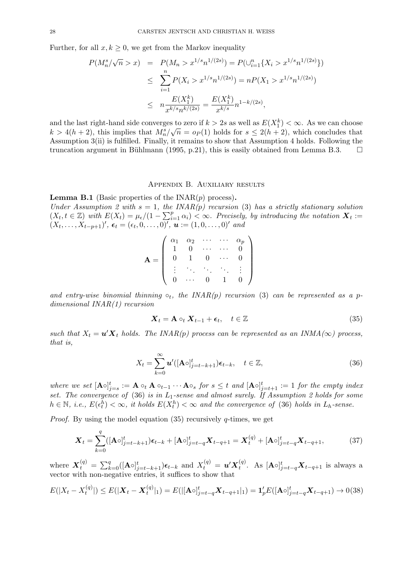Further, for all  $x, k \geq 0$ , we get from the Markov inequality

$$
P(M_n^s/\sqrt{n} > x) = P(M_n > x^{1/s} n^{1/(2s)}) = P(\bigcup_{i=1}^n \{X_i > x^{1/s} n^{1/(2s)}\})
$$
  
\n
$$
\leq \sum_{i=1}^n P(X_i > x^{1/s} n^{1/(2s)}) = n P(X_1 > x^{1/s} n^{1/(2s)})
$$
  
\n
$$
\leq n \frac{E(X_1^k)}{x^{k/s} n^{k/(2s)}} = \frac{E(X_1^k)}{x^{k/s}} n^{1-k/(2s)},
$$

and the last right-hand side converges to zero if  $k > 2s$  as well as  $E(X_1^k) < \infty$ . As we can choose  $k > 4(h+2)$ , this implies that  $M_n^s/\sqrt{n} = o_P(1)$  holds for  $s \leq 2(h+2)$ , which concludes that Assumption 3(ii) is fulfilled. Finally, it remains to show that Assumption 4 holds. Following the truncation argument in Bühlmann (1995, p.21), this is easily obtained from Lemma B.3.  $\square$ 

## Appendix B. Auxiliary results

**Lemma B.1** (Basic properties of the  $INAR(p)$  process). Under Assumption 2 with  $s = 1$ , the INAR(p) recursion (3) has a strictly stationary solution  $(X_t, t \in \mathbb{Z})$  with  $E(X_t) = \mu_{\epsilon}/(1 - \sum_{i=1}^p \alpha_i) \leq \infty$ . Precisely, by introducing the notation  $\mathbf{X}_t :=$  $(X_t, \ldots, X_{t-p+1})'$ ,  $\epsilon_t = (\epsilon_t, 0, \ldots, 0)'$ ,  $u := (1, 0, \ldots, 0)'$  and

$$
\mathbf{A} = \left( \begin{array}{cccc} \alpha_1 & \alpha_2 & \cdots & \cdots & \alpha_p \\ 1 & 0 & \cdots & \cdots & 0 \\ 0 & 1 & 0 & \cdots & 0 \\ \vdots & \ddots & \ddots & \ddots & \vdots \\ 0 & \cdots & 0 & 1 & 0 \end{array} \right)
$$

and entry-wise binomial thinning  $\circ_t$ , the INAR(p) recursion (3) can be represented as a pdimensional INAR(1) recursion

$$
\mathbf{X}_t = \mathbf{A} \circ_t \mathbf{X}_{t-1} + \boldsymbol{\epsilon}_t, \quad t \in \mathbb{Z} \tag{35}
$$

such that  $X_t = \mathbf{u}'\mathbf{X}_t$  holds. The INAR(p) process can be represented as an INMA( $\infty$ ) process, that is,

$$
X_t = \sum_{k=0}^{\infty} \mathbf{u}' ( [\mathbf{A} \circ]_{j=t-k+1}^t) \epsilon_{t-k}, \quad t \in \mathbb{Z},
$$
\n(36)

where we set  $[\mathbf{A} \circ]_{j=s}^t := \mathbf{A} \circ_t \mathbf{A} \circ_{t-1} \cdots \mathbf{A} \circ_s \text{ for } s \leq t \text{ and } [\mathbf{A} \circ]_{j=t+1}^t := 1 \text{ for the empty index }$ set. The convergence of  $(36)$  is in  $L_1$ -sense and almost surely. If Assumption 2 holds for some  $h \in \mathbb{N}, i.e., E(\epsilon_t^h) < \infty, it holds E(X_t^h) < \infty$  and the convergence of (36) holds in  $L_h$ -sense.

*Proof.* By using the model equation  $(35)$  recursively q-times, we get

$$
\boldsymbol{X}_{t} = \sum_{k=0}^{q} ([\mathbf{A}\circ]_{j=t-k+1}^{t}) \boldsymbol{\epsilon}_{t-k} + [\mathbf{A}\circ]_{j=t-q}^{t} \boldsymbol{X}_{t-q+1} = \boldsymbol{X}_{t}^{(q)} + [\mathbf{A}\circ]_{j=t-q}^{t} \boldsymbol{X}_{t-q+1},
$$
(37)

where  $\bm{X}_t^{(q)} = \sum_{k=0}^q ( [\mathbf{A} \circ]_{j=t-k+1}^t) \bm{\epsilon}_{t-k}$  and  $X_t^{(q)} = \bm{u}' \bm{X}_t^{(q)}$  $_{t}^{\left( q\right) }.$  As  $[\mathbf{A}\circ ]_{j=t-q}^{t} \boldsymbol{X}_{t-q+1}$  is always a vector with non-negative entries, it suffices to show that

$$
E(|X_t - X_t^{(q)}|) \le E(|\mathbf{X}_t - \mathbf{X}_t^{(q)}|_1) = E(||\mathbf{A} \circ \mathbf{X}_t - \mathbf{A}_t|_1) = \mathbf{1}_p'E([\mathbf{A} \circ \mathbf{X}_t - \mathbf{A}_t]) \to 0
$$
(38)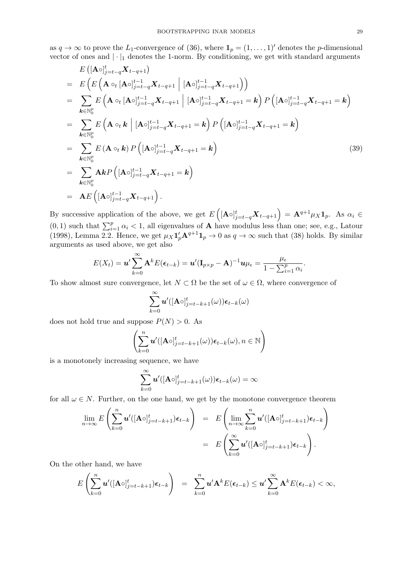as  $q \to \infty$  to prove the L<sub>1</sub>-convergence of (36), where  $\mathbf{1}_p = (1, \ldots, 1)'$  denotes the p-dimensional vector of ones and  $|\cdot|_1$  denotes the 1-norm. By conditioning, we get with standard arguments

$$
E\left([\mathbf{A}\circ]_{j=t-q}^{t} \mathbf{X}_{t-q+1}\right)
$$
\n
$$
= E\left(E\left(\mathbf{A}\circ_{t} [\mathbf{A}\circ]_{j=t-q}^{t-1} \mathbf{X}_{t-q+1} \middle| [\mathbf{A}\circ]_{j=t-q}^{t-1} \mathbf{X}_{t-q+1}\right)\right)
$$
\n
$$
= \sum_{\mathbf{k}\in\mathbb{N}_{0}^{p}} E\left(\mathbf{A}\circ_{t} [\mathbf{A}\circ]_{j=t-q}^{t-1} \mathbf{X}_{t-q+1} \middle| [\mathbf{A}\circ]_{j=t-q}^{t-1} \mathbf{X}_{t-q+1} = \mathbf{k}\right) P\left([\mathbf{A}\circ]_{j=t-q}^{t-1} \mathbf{X}_{t-q+1} = \mathbf{k}\right)
$$
\n
$$
= \sum_{\mathbf{k}\in\mathbb{N}_{0}^{p}} E\left(\mathbf{A}\circ_{t} \mathbf{k} \middle| [\mathbf{A}\circ]_{j=t-q}^{t-1} \mathbf{X}_{t-q+1} = \mathbf{k}\right) P\left([\mathbf{A}\circ]_{j=t-q}^{t-1} \mathbf{X}_{t-q+1} = \mathbf{k}\right)
$$
\n
$$
= \sum_{\mathbf{k}\in\mathbb{N}_{0}^{p}} E\left(\mathbf{A}\circ_{t} \mathbf{k}\right) P\left([\mathbf{A}\circ]_{j=t-q}^{t-1} \mathbf{X}_{t-q+1} = \mathbf{k}\right)
$$
\n
$$
= \sum_{\mathbf{k}\in\mathbb{N}_{0}^{p}} \mathbf{A}\mathbf{k} P\left([\mathbf{A}\circ]_{j=t-q}^{t-1} \mathbf{X}_{t-q+1} = \mathbf{k}\right)
$$
\n
$$
= \mathbf{A}E\left([\mathbf{A}\circ]_{j=t-q}^{t-1} \mathbf{X}_{t-q+1}\right).
$$
\n(39)

By successive application of the above, we get  $E\left([\mathbf{A}\circ]_{j=t-q}^t \mathbf{X}_{t-q+1}\right) = \mathbf{A}^{q+1} \mu_X \mathbf{1}_p$ . As  $\alpha_i \in$  $(0, 1)$  such that  $\sum_{i=1}^{p} \alpha_i < 1$ , all eigenvalues of **A** have modulus less than one; see, e.g., Latour (1998), Lemma 2.2. Hence, we get  $\mu_X \mathbf{1}'_p \mathbf{A}^{q+1} \mathbf{1}_p \to 0$  as  $q \to \infty$  such that (38) holds. By similar arguments as used above, we get also

$$
E(X_t) = \boldsymbol{u}' \sum_{k=0}^{\infty} \mathbf{A}^k E(\boldsymbol{\epsilon}_{t-k}) = \boldsymbol{u}'(\mathbf{I}_{p \times p} - \mathbf{A})^{-1} \boldsymbol{u} \mu_{\epsilon} = \frac{\mu_{\epsilon}}{1 - \sum_{i=1}^p \alpha_i}.
$$

To show almost sure convergence, let  $N \subset \Omega$  be the set of  $\omega \in \Omega$ , where convergence of

$$
\sum_{k=0}^{\infty}\boldsymbol{u}'([{\mathbf {A}}\circ ]_{j=t-k+1}^t(\omega))\boldsymbol{\epsilon}_{t-k}(\omega)
$$

does not hold true and suppose  $P(N) > 0$ . As

$$
\left(\sum_{k=0}^n \boldsymbol{u}'([\mathbf{A}\circ]_{j=t-k+1}^t(\omega))\boldsymbol{\epsilon}_{t-k}(\omega),n\in\mathbb{N}\right)
$$

is a monotonely increasing sequence, we have

$$
\sum_{k=0}^{\infty} \boldsymbol{u}'([{\bf A}\circ]_{j=t-k+1}^t(\omega))\boldsymbol{\epsilon}_{t-k}(\omega)=\infty
$$

for all  $\omega \in N$ . Further, on the one hand, we get by the monotone convergence theorem

$$
\lim_{n \to \infty} E\left(\sum_{k=0}^n \boldsymbol{u}' ([\mathbf{A} \circ]_{j=t-k+1}^t) \boldsymbol{\epsilon}_{t-k}\right) = E\left(\lim_{n \to \infty} \sum_{k=0}^n \boldsymbol{u}' ([\mathbf{A} \circ]_{j=t-k+1}^t) \boldsymbol{\epsilon}_{t-k}\right)
$$

$$
= E\left(\sum_{k=0}^\infty \boldsymbol{u}' ([\mathbf{A} \circ]_{j=t-k+1}^t) \boldsymbol{\epsilon}_{t-k}\right).
$$

On the other hand, we have

$$
E\left(\sum_{k=0}^n \boldsymbol{u}'(|\mathbf{A}\circ j_{j=t-k+1}^t)\boldsymbol{\epsilon}_{t-k}\right) = \sum_{k=0}^n \boldsymbol{u}'\mathbf{A}^k E(\boldsymbol{\epsilon}_{t-k}) \leq \boldsymbol{u}'\sum_{k=0}^\infty \mathbf{A}^k E(\boldsymbol{\epsilon}_{t-k}) < \infty,
$$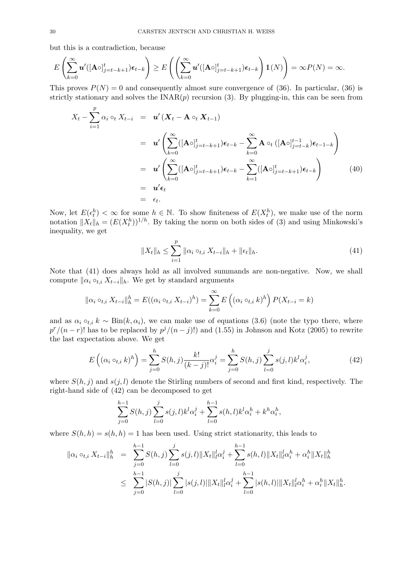but this is a contradiction, because

$$
E\left(\sum_{k=0}^{\infty} \boldsymbol{u}'([{\bf A}\circ]_{j=t-k+1}^t)\boldsymbol{\epsilon}_{t-k}\right) \geq E\left(\left(\sum_{k=0}^{\infty} \boldsymbol{u}'([{\bf A}\circ]_{j=t-k+1}^t)\boldsymbol{\epsilon}_{t-k}\right)1\!\!1(N)\right) = \infty P(N) = \infty.
$$

This proves  $P(N) = 0$  and consequently almost sure convergence of (36). In particular, (36) is strictly stationary and solves the  $\text{INAR}(p)$  recursion (3). By plugging-in, this can be seen from

$$
X_t - \sum_{i=1}^p \alpha_i \circ_t X_{t-i} = \boldsymbol{u}' (\boldsymbol{X}_t - \mathbf{A} \circ_t \boldsymbol{X}_{t-1})
$$
  
\n
$$
= \boldsymbol{u}' \left( \sum_{k=0}^\infty ([\mathbf{A} \circ]_{j=t-k+1}^t) \boldsymbol{\epsilon}_{t-k} - \sum_{k=0}^\infty \mathbf{A} \circ_t ([\mathbf{A} \circ]_{j=t-k}^{t-1}) \boldsymbol{\epsilon}_{t-1-k} \right)
$$
  
\n
$$
= \boldsymbol{u}' \left( \sum_{k=0}^\infty ([\mathbf{A} \circ]_{j=t-k+1}^t) \boldsymbol{\epsilon}_{t-k} - \sum_{k=1}^\infty ([\mathbf{A} \circ]_{j=t-k+1}^t) \boldsymbol{\epsilon}_{t-k} \right)
$$
  
\n
$$
= \boldsymbol{u}' \boldsymbol{\epsilon}_t
$$
  
\n
$$
= \boldsymbol{\epsilon}_t.
$$
 (40)

Now, let  $E(\epsilon_t^h) < \infty$  for some  $h \in \mathbb{N}$ . To show finiteness of  $E(X_t^h)$ , we make use of the norm notation  $||X_t||_h = (E(X_t^h))^{1/h}$ . By taking the norm on both sides of (3) and using Minkowski's inequality, we get

$$
||X_t||_h \le \sum_{i=1}^p ||\alpha_i \circ_{t,i} X_{t-i}||_h + ||\epsilon_t||_h.
$$
\n(41)

Note that (41) does always hold as all involved summands are non-negative. Now, we shall compute  $\|\alpha_i \circ_{t,i} X_{t-i}\|_h$ . We get by standard arguments

$$
\|\alpha_i \circ_{t,i} X_{t-i}\|_{h}^{h} = E((\alpha_i \circ_{t,i} X_{t-i})^h) = \sum_{k=0}^{\infty} E\left((\alpha_i \circ_{t,i} k)^h\right) P(X_{t-i} = k)
$$

and as  $\alpha_i \circ_{t,i} k \sim Bin(k, \alpha_i)$ , we can make use of equations (3.6) (note the typo there, where  $p^{r}/(n-r)!$  has to be replaced by  $p^{j}/(n-j)!$  and  $(1.55)$  in Johnson and Kotz (2005) to rewrite the last expectation above. We get

$$
E\left((\alpha_i \circ_{t,i} k)^h\right) = \sum_{j=0}^h S(h,j) \frac{k!}{(k-j)!} \alpha_i^j = \sum_{j=0}^h S(h,j) \sum_{l=0}^j s(j,l) k^l \alpha_i^j,
$$
(42)

where  $S(h, j)$  and  $s(j, l)$  denote the Stirling numbers of second and first kind, respectively. The right-hand side of (42) can be decomposed to get

$$
\sum_{j=0}^{h-1} S(h,j) \sum_{l=0}^{j} s(j,l) k^{l} \alpha_{i}^{j} + \sum_{l=0}^{h-1} s(h,l) k^{l} \alpha_{i}^{h} + k^{h} \alpha_{i}^{h},
$$

where  $S(h, h) = s(h, h) = 1$  has been used. Using strict stationarity, this leads to

$$
\begin{array}{rcl} \|\alpha_i \circ_{t,i} X_{t-i}\|_h^h & = & \sum_{j=0}^{h-1} S(h,j) \sum_{l=0}^j s(j,l) \|X_t\|_l^l \alpha_i^j + \sum_{l=0}^{h-1} s(h,l) \|X_t\|_l^l \alpha_i^h + \alpha_i^h \|X_t\|_h^h \\ & \leq & \sum_{j=0}^{h-1} |S(h,j)| \sum_{l=0}^j |s(j,l)| \|X_t\|_l^l \alpha_i^j + \sum_{l=0}^{h-1} |s(h,l)| \|X_t\|_l^l \alpha_i^h + \alpha_i^h \|X_t\|_h^h. \end{array}
$$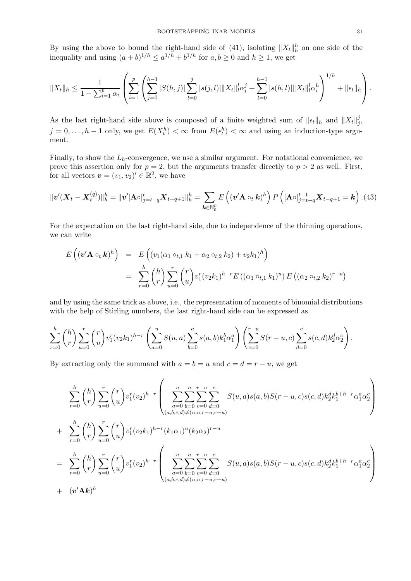By using the above to bound the right-hand side of (41), isolating  $||X_t||_h^h$  on one side of the inequality and using  $(a+b)^{1/h} \le a^{1/h} + b^{1/h}$  for  $a, b \ge 0$  and  $h \ge 1$ , we get

$$
||X_t||_h \leq \frac{1}{1 - \sum_{i=1}^p \alpha_i} \left( \sum_{i=1}^p \left( \sum_{j=0}^{h-1} |S(h,j)| \sum_{l=0}^j |s(j,l)| ||X_t||_l^l \alpha_i^j + \sum_{l=0}^{h-1} |s(h,l)||X_t||_l^l \alpha_i^h \right)^{1/h} + ||\epsilon_t||_h \right).
$$

As the last right-hand side above is composed of a finite weighted sum of  $||\epsilon_t||_h$  and  $||X_t||_q^q$ j ,  $j = 0, \ldots, h-1$  only, we get  $E(X_t^h) < \infty$  from  $E(\epsilon_t^h) < \infty$  and using an induction-type argument.

Finally, to show the  $L<sub>h</sub>$ -convergence, we use a similar argument. For notational convenience, we prove this assertion only for  $p = 2$ , but the arguments transfer directly to  $p > 2$  as well. First, for all vectors  $\mathbf{v} = (v_1, v_2)' \in \mathbb{R}^2$ , we have

$$
\|v'(X_t - X_t^{(q)})\|_h^h = \|v'[\mathbf{A}\circ]_{j=t-q}^t X_{t-q+1}\|_h^h = \sum_{\mathbf{k}\in\mathbb{N}_0^p} E\left((v'\mathbf{A}\circ_t\mathbf{k})^h\right) P\left([\mathbf{A}\circ]_{j=t-q}^{t-1} X_{t-q+1} = \mathbf{k}\right). (43)
$$

For the expectation on the last right-hand side, due to independence of the thinning operations, we can write

$$
E\left((\mathbf{v}'\mathbf{A} \circ_t \mathbf{k})^h\right) = E\left((v_1(\alpha_1 \circ_{t,1} k_1 + \alpha_2 \circ_{t,2} k_2) + v_2 k_1)^h\right)
$$
  

$$
= \sum_{r=0}^h {h \choose r} \sum_{u=0}^r {r \choose u} v_1^r (v_2 k_1)^{h-r} E\left((\alpha_1 \circ_{t,1} k_1)^u\right) E\left((\alpha_2 \circ_{t,2} k_2)^{r-u}\right)
$$

and by using the same trick as above, i.e., the representation of moments of binomial distributions with the help of Stirling numbers, the last right-hand side can be expressed as

$$
\sum_{r=0}^{h} {h \choose r} \sum_{u=0}^{r} {r \choose u} v_1^r (v_2 k_1)^{h-r} \left( \sum_{a=0}^{u} S(u, a) \sum_{b=0}^{a} s(a, b) k_1^b \alpha_1^a \right) \left( \sum_{c=0}^{r-u} S(r-u, c) \sum_{d=0}^{c} s(c, d) k_2^d \alpha_2^c \right).
$$

By extracting only the summand with  $a = b = u$  and  $c = d = r - u$ , we get

$$
\sum_{r=0}^{h} {h \choose r} \sum_{u=0}^{r} {r \choose u} v_1^r (v_2)^{h-r} \left( \sum_{\substack{a=0 \ b=0 \ c=0}}^{u} \sum_{c=0}^{a} \sum_{d=0}^{r-u} S(u,a)s(a,b)S(r-u,c)s(c,d)k_2^d k_1^{b+h-r} \alpha_1^a \alpha_2^c \right) \n+ \sum_{r=0}^{h} {h \choose r} \sum_{u=0}^{r} {r \choose u} v_1^r (v_2 k_1)^{h-r} (k_1 \alpha_1)^u (k_2 \alpha_2)^{r-u} \n= \sum_{r=0}^{h} {h \choose r} \sum_{u=0}^{r} {r \choose u} v_1^r (v_2)^{h-r} \left( \sum_{\substack{a=0 \ b=0 \ c=0 \ d=0}}^{u} \sum_{c=0}^{a} \sum_{d=0}^{r-u} S(u,a)s(a,b)S(r-u,c)s(c,d)k_2^d k_1^{h+h-r} \alpha_1^a \alpha_2^c \right) \n+ (v' \mathbf{A} \mathbf{k})^h
$$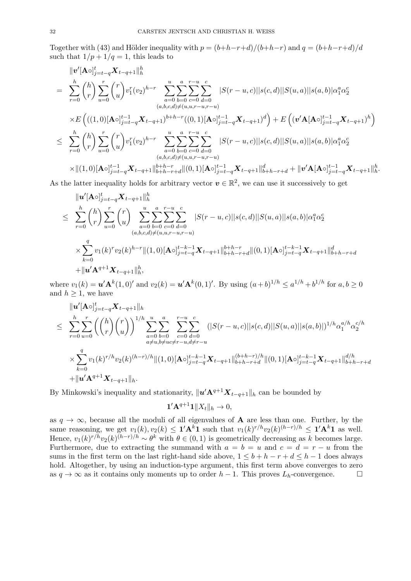Together with (43) and Hölder inequality with  $p = (b+h-r+d)/(b+h-r)$  and  $q = (b+h-r+d)/d$ such that  $1/p + 1/q = 1$ , this leads to

$$
\|v'[A\circ]_{j=t-q}^{t} X_{t-q+1}\|_{h}^{h}
$$
\n
$$
= \sum_{r=0}^{h} {h \choose r} \sum_{u=0}^{r} {r \choose u} v_{1}^{r} (v_{2})^{h-r} \sum_{a=0}^{u} \sum_{b=0}^{a} \sum_{c=0}^{r-u} |S(r-u,c)||s(c,d)||S(u,a)||s(a,b)|\alpha_{1}^{a} \alpha_{2}^{c}
$$
\n
$$
\times E \left(((1,0)[A\circ]_{j=t-q}^{t-1} X_{t-q+1})^{b+h-r}((0,1)[A\circ]_{j=t-q}^{t-1} X_{t-q+1})^{d}\right) + E \left((v'A[A\circ]_{j=t-q}^{t-1} X_{t-q+1})^{h}\right)
$$
\n
$$
\leq \sum_{r=0}^{h} {h \choose r} \sum_{u=0}^{r} {r \choose u} v_{1}^{r} (v_{2})^{h-r} \sum_{a=0}^{u} \sum_{b=0}^{a} \sum_{c=0}^{r-u} |S(r-u,c)||s(c,d)||S(u,a)||s(a,b)|\alpha_{1}^{a} \alpha_{2}^{c}
$$
\n
$$
(a,b,c,d) \neq (u,u,r-u,r-u)
$$
\n
$$
\times ||(1,0)[A\circ]_{j=t-q}^{t-1} X_{t-q+1}||_{b+h-r+d}^{b+h-r} ||(0,1)[A\circ]_{j=t-q}^{t-1} X_{t-q+1}||_{b+h-r+d}^{d} + ||v'A[A\circ]_{j=t-q}^{t-1} X_{t-q+1}||_{h}^{h}
$$

.

As the latter inequality holds for arbitrary vector  $v \in \mathbb{R}^2$ , we can use it successively to get

$$
\|u'[\mathbf{A}\circ]_{j=t-q}^{t} \mathbf{X}_{t-q+1}\|_{h}^{h}
$$
\n
$$
\leq \sum_{r=0}^{h} {h \choose r} \sum_{u=0}^{r} {r \choose u} \sum_{a=0}^{u} \sum_{b=0}^{a} \sum_{c=0}^{r-u} \sum_{d=0}^{c} |S(r-u,c)||s(c,d)||S(u,a)||s(a,b)|\alpha_{1}^{a}\alpha_{2}^{c}
$$
\n
$$
\times \sum_{k=0}^{q} v_{1}(k)^{r} v_{2}(k)^{h-r} \|(1,0)[\mathbf{A}\circ]_{j=t-q}^{t-k-1} \mathbf{X}_{t-q+1}\|_{b+h-r+d}^{b+h-r} \|(0,1)[\mathbf{A}\circ]_{j=t-q}^{t-k-1} \mathbf{X}_{t-q+1}\|_{b+h-r+d}^{d}
$$
\n
$$
+ \|\mathbf{u}'\mathbf{A}^{q+1}\mathbf{X}_{t-q+1}\|_{h}^{h},
$$

where  $v_1(k) = \mathbf{u}' \mathbf{A}^k(1,0)'$  and  $v_2(k) = \mathbf{u}' \mathbf{A}^k(0,1)'$ . By using  $(a+b)^{1/h} \le a^{1/h} + b^{1/h}$  for  $a, b \ge 0$ and  $h > 1$ , we have

$$
\|u'[\mathbf{A}\circ]_{j=t-q}^{t} \mathbf{X}_{t-q+1}\|_{h}
$$
\n
$$
\leq \sum_{r=0}^{h} \sum_{u=0}^{r} \left( \binom{h}{r} \binom{r}{u} \right)^{1/h} \sum_{a=0}^{u} \sum_{b=0}^{a} \sum_{c=0}^{r-u} \sum_{d=0}^{c} (|S(r-u,c)||s(c,d)||S(u,a)||s(a,b)|)^{1/h} \alpha_1^{a/h} \alpha_2^{c/h}
$$
\n
$$
\times \sum_{k=0}^{q} v_1(k)^{r/h} v_2(k)^{(h-r)/h} \|(1,0)[\mathbf{A}\circ]_{j=t-q}^{t-k-1} \mathbf{X}_{t-q+1}\|_{b+h-r+d}^{(b+h-r)/h} \|(0,1)[\mathbf{A}\circ]_{j=t-q}^{t-k-1} \mathbf{X}_{t-q+1}\|_{b+h-r+d}^{d/h}
$$
\n
$$
+ \|u' \mathbf{A}^{q+1} \mathbf{X}_{t-q+1}\|_{h}.
$$

By Minkowski's inequality and stationarity,  $||u' \mathbf{A}^{q+1} X_{t-q+1}||_h$  can be bounded by

$$
\mathbf{1}'\mathbf{A}^{q+1}\mathbf{1}\|X_t\|_h\to 0,
$$

as  $q \to \infty$ , because all the moduli of all eigenvalues of **A** are less than one. Further, by the same reasoning, we get  $v_1(k), v_2(k) \leq \mathbf{1}' \mathbf{A}^k \mathbf{1}$  such that  $v_1(k)^{r/h} v_2(k)^{(h-r)/h} \leq \mathbf{1}' \mathbf{A}^k \mathbf{1}$  as well. Hence,  $v_1(k)^{r/h}v_2(k)^{(h-r)/h} \sim \theta^k$  with  $\theta \in (0,1)$  is geometrically decreasing as k becomes large. Furthermore, due to extracting the summand with  $a = b = u$  and  $c = d = r - u$  from the sums in the first term on the last right-hand side above,  $1 \leq b + h - r + d \leq h - 1$  does always hold. Altogether, by using an induction-type argument, this first term above converges to zero as  $q \to \infty$  as it contains only moments up to order  $h-1$ . This proves  $L_h$ -convergence.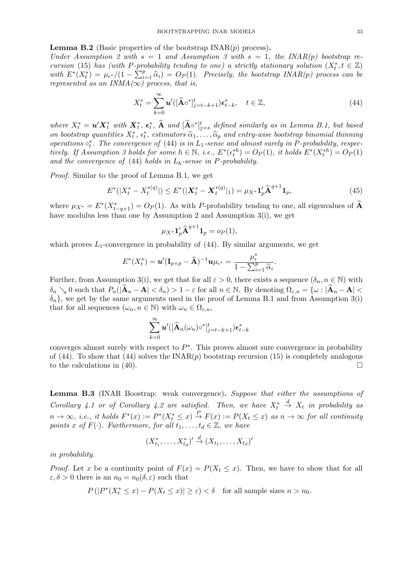#### **Lemma B.2** (Basic properties of the bootstrap  $INAR(p)$  process).

Under Assumption 2 with  $s = 1$  and Assumption 3 with  $s = 1$ , the INAR(p) bootstrap recursion (15) has (with P-probability tending to one) a strictly stationary solution  $(X_t^*, t \in \mathbb{Z})$ with  $E^*(X_t^*) = \mu_{\epsilon^*}/(1 - \sum_{i=1}^p \hat{\alpha}_i) = O_P(1)$ . Precisely, the bootstrap INAR(p) process can be represented as an INMA( $\infty$ ) process that is represented as an  $INMA(\infty)$  process, that is,

$$
X_t^* = \sum_{k=0}^{\infty} \mathbf{u}'([\widehat{\mathbf{A}} \circ^*]_{j=t-k+1}^t) \epsilon_{t-k}^*, \quad t \in \mathbb{Z},
$$
\n(44)

where  $X_t^* = \boldsymbol{u}' \boldsymbol{X}_t^*$  with  $\boldsymbol{X}_t^*, \boldsymbol{\epsilon}_t^*$ ,  $\widehat{\mathbf{A}}$  and  $[\widehat{\mathbf{A}} \circ^*]_{j=s}^t$  defined similarly as in Lemma B.1, but based on bootstrap quantities  $X_t^*$ ,  $\epsilon_t^*$ , estimators  $\hat{\alpha}_1, \dots, \hat{\alpha}_p$  and entry-wise bootstrap binomial thinning operations  $\circ_t^*$ . The convergence of (44) is in  $L_1$ -sense and almost surely in P-probability, respectively. If Assumption 3 holds for some  $h \in \mathbb{N}$ , i.e.,  $E^*(\epsilon_t^{*h}) = O_P(1)$ , it holds  $E^*(X_t^{*h}) = O_P(1)$ and the convergence of  $(44)$  holds in  $L_h$ -sense in P-probability.

Proof. Similar to the proof of Lemma B.1, we get

$$
E^*(|X_t^* - X_t^{*(q)}|) \le E^*(|\mathbf{X}_t^* - \mathbf{X}_t^{*(q)}|_1) = \mu_{X^*} \mathbf{1}_p' \mathbf{\hat{A}}^{q+1} \mathbf{1}_p,\tag{45}
$$

where  $\mu_{X^*} = E^*(X^*_{t-q+1}) = O_P(1)$ . As with P-probability tending to one, all eigenvalues of  $\widehat{A}$ have modulus less than one by Assumption 2 and Assumption 3(i), we get

$$
\mu_{X^*} \mathbf{1}_p' \mathbf{\widehat{A}}^{q+1} \mathbf{1}_p = o_P(1),
$$

which proves  $L_1$ -convergence in probability of (44). By similar arguments, we get

$$
E^*(X_t^*) = \mathbf{u}'(\mathbf{I}_{p \times p} - \widehat{\mathbf{A}})^{-1} \mathbf{u} \mu_{\epsilon^*} = \frac{\mu_{\epsilon}^*}{1 - \sum_{i=1}^p \widehat{\alpha}_i}.
$$

Further, from Assumption 3(i), we get that for all  $\varepsilon > 0$ , there exists a sequence  $(\delta_n, n \in \mathbb{N})$  with  $\delta_n \searrow 0$  such that  $P_n(|\hat{A}_n - A| < \delta_n) > 1 - \varepsilon$  for all  $n \in \mathbb{N}$ . By denoting  $\Omega_{\varepsilon,n} = {\omega : |\hat{A}_n - A| < \varepsilon_n}$  $\{\delta_n\}$ , we get by the same arguments used in the proof of Lemma B.1 and from Assumption 3(i) that for all sequences  $(\omega_n, n \in \mathbb{N})$  with  $\omega_n \in \Omega_{\varepsilon,n}$ ,

$$
\sum_{k=0}^{\infty}\boldsymbol{u}'([\widehat{\mathbf{A}}_n(\omega_n)\circ{}^*\!]_{j=t-k+1}^t)\boldsymbol{\epsilon}_{t-k}^*
$$

converges almost surely with respect to  $P^*$ . This proves almost sure convergence in probability of (44). To show that (44) solves the  $INAR(p)$  bootstrap recursion (15) is completely analogous to the calculations in (40).

Lemma B.3 (INAR Boostrap: weak convergence). Suppose that either the assumptions of Corollary 4.1 or of Corollary 4.2 are satisfied. Then, we have  $X_t^*$  $\stackrel{d}{\rightarrow} X_t$  in probability as  $n \to \infty$ , i.e., it holds  $F^*(x) := P^*(X_t^* \leq x) \stackrel{P}{\to} F(x) := P(X_t \leq x)$  as  $n \to \infty$  for all continuity points x of  $F(\cdot)$ . Furthermore, for all  $t_1, \ldots, t_d \in \mathbb{Z}$ , we have

$$
(X_{t_1}^*,\ldots,X_{t_d}^*)' \stackrel{d}{\rightarrow} (X_{t_1},\ldots,X_{t_d})'
$$

in probability.

*Proof.* Let x be a continuity point of  $F(x) = P(X_t \leq x)$ . Then, we have to show that for all  $\varepsilon, \delta > 0$  there is an  $n_0 = n_0(\delta, \varepsilon)$  such that

$$
P(|P^*(X_t^* \le x) - P(X_t \le x)| \ge \varepsilon) < \delta \quad \text{for all sample sizes } n > n_0.
$$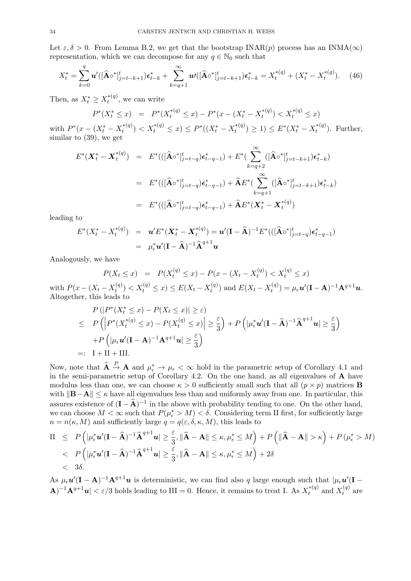Let  $\varepsilon, \delta > 0$ . From Lemma B.2, we get that the bootstrap INAR(p) process has an INMA( $\infty$ ) representation, which we can decompose for any  $q \in \mathbb{N}_0$  such that

$$
X_t^* = \sum_{k=0}^q \boldsymbol{u}' ( [\widehat{\mathbf{A}} \circ^* ]_{j=t-k+1}^t ) \epsilon_{t-k}^* + \sum_{k=q+1}^\infty \boldsymbol{u}' ( [\widehat{\mathbf{A}} \circ^* ]_{j=t-k+1}^t ) \epsilon_{t-k}^* = X_t^{*(q)} + (X_t^* - X_t^{*(q)} ). \tag{46}
$$

Then, as  $X_t^* \geq X_t^{*(q)}$  $t^{*(q)}$ , we can write

$$
P^*(X_t^* \le x) = P^*(X_t^{*(q)} \le x) - P^*(x - (X_t^* - X_t^{*(q)}) < X_t^{*(q)} \le x)
$$

with  $P^*(x - (X_t^* - X_t^{*(q)}))$  $\mathcal{L}_t^{*(q)}$ ) <  $X_t^{*(q)} \leq x$ )  $\leq P^*((X_t^* - X_t^{*(q)})$  $(t_t^{*(q)}) \geq 1) \leq E^*(X_t^* - X_t^{*(q)})$  $t^{*(q)}$ ). Further, similar to (39), we get

$$
E^*(\mathbf{X}_t^* - \mathbf{X}_t^{*(q)}) = E^*(( [\hat{\mathbf{A}} \circ^*]_{j=t-q}^t) \epsilon_{t-q-1}^* ) + E^*( \sum_{k=q+2}^{\infty} ([\hat{\mathbf{A}} \circ^*]_{j=t-k+1}^t) \epsilon_{t-k}^* )
$$
  

$$
= E^*(( [\hat{\mathbf{A}} \circ^*]_{j=t-q}^t) \epsilon_{t-q-1}^* ) + \hat{\mathbf{A}} E^*( \sum_{k=q+1}^{\infty} ([\hat{\mathbf{A}} \circ^*]_{j=t-k+1}^t) \epsilon_{t-k}^* )
$$
  

$$
= E^*(( [\hat{\mathbf{A}} \circ^*]_{j=t-q}^t) \epsilon_{t-q-1}^* ) + \hat{\mathbf{A}} E^*(\mathbf{X}_t^* - \mathbf{X}_t^{*(q)})
$$

leading to

$$
E^*(X_t^* - X_t^{*(q)}) = \mathbf{u}'E^*(\mathbf{X}_t^* - \mathbf{X}_t^{*(q)}) = \mathbf{u}'(\mathbf{I} - \mathbf{\widehat{A}})^{-1}E^*(([\mathbf{\widehat{A}}^{\circ}]_{j=t-q}^t)\boldsymbol{\epsilon}_{t-q-1}^*)
$$
  
=  $\mu_{\epsilon}^*\mathbf{u}'(\mathbf{I} - \mathbf{\widehat{A}})^{-1}\mathbf{\widehat{A}}^{q+1}\mathbf{u}$ 

Analogously, we have

$$
P(X_t \le x) = P(X_t^{(q)} \le x) - P(x - (X_t - X_t^{(q)}) < X_t^{(q)} \le x)
$$
\nwith  $P(x - (X_t - X_t^{(q)}) < X_t^{(q)} \le x) \le E(X_t - X_t^{(q)})$  and  $E(X_t - X_t^{(q)}) = \mu_{\epsilon} \mathbf{u}'(\mathbf{I} - \mathbf{A})^{-1} \mathbf{A}^{q+1} \mathbf{u}$ . Altogether, this leads to

$$
P(|P^*(X_t^* \le x) - P(X_t \le x)| \ge \varepsilon)
$$
  
\n
$$
\le P(|P^*(X_t^{*(q)} \le x) - P(X_t^{(q)} \le x)| \ge \frac{\varepsilon}{3}) + P(|\mu_t^* \mathbf{u}'(\mathbf{I} - \mathbf{\hat{A}})^{-1}\mathbf{\hat{A}}^{q+1}\mathbf{u}| \ge \frac{\varepsilon}{3})
$$
  
\n
$$
+ P(|\mu_t \mathbf{u}'(\mathbf{I} - \mathbf{A})^{-1}\mathbf{A}^{q+1}\mathbf{u}| \ge \frac{\varepsilon}{3})
$$
  
\n
$$
=: \ \mathbf{I} + \mathbf{II} + \mathbf{III}.
$$

Now, note that  $\hat{\mathbf{A}} \stackrel{P}{\to} \mathbf{A}$  and  $\mu_{\epsilon}^* \to \mu_{\epsilon} < \infty$  hold in the parametric setup of Corollary 4.1 and in the semi-parametric setup of Corollary 4.2. On the one hand, as all eigenvalues of A have modulus less than one, we can choose  $\kappa > 0$  sufficiently small such that all  $(p \times p)$  matrices **B** with  $||\mathbf{B}-\mathbf{A}|| \leq \kappa$  have all eigenvalues less than and uniformly away from one. In particular, this assures existence of  $(I - \hat{A})^{-1}$  in the above with probability tending to one. On the other hand, we can choose  $M < \infty$  such that  $P(\mu_{\epsilon}^* > M) < \delta$ . Considering term II first, for sufficiently large  $n = n(\kappa, M)$  and sufficiently large  $q = q(\varepsilon, \delta, \kappa, M)$ , this leads to

II 
$$
\leq P(|\mu_{\epsilon}^* \mathbf{u}'(\mathbf{I} - \widehat{\mathbf{A}})^{-1} \widehat{\mathbf{A}}^{q+1} \mathbf{u}| \geq \frac{\varepsilon}{3}, ||\widehat{\mathbf{A}} - \mathbf{A}|| \leq \kappa, \mu_{\epsilon}^* \leq M) + P(|\widehat{\mathbf{A}} - \mathbf{A}|| > \kappa) + P(\mu_{\epsilon}^* > M) \n $P(|\mu_{\epsilon}^* \mathbf{u}'(\mathbf{I} - \widehat{\mathbf{A}})^{-1} \widehat{\mathbf{A}}^{q+1} \mathbf{u}| \geq \frac{\varepsilon}{3}, ||\widehat{\mathbf{A}} - \mathbf{A}|| \leq \kappa, \mu_{\epsilon}^* \leq M) + 2\delta \n< 3\delta.$
$$

As  $\mu_{\epsilon} u'(\mathbf{I}-\mathbf{A})^{-1} \mathbf{A}^{q+1} u$  is deterministic, we can find also q large enough such that  $|\mu_{\epsilon} u'(\mathbf{I}-\mathbf{A})|$  $\mathbf{A}$ )<sup>-1</sup> $\mathbf{A}^{q+1}$ **u**|  $\lt \varepsilon/3$  holds leading to III = 0. Hence, it remains to treat I. As  $X_t^{*(q)}$  $t^{*(q)}$  and  $X_t^{(q)}$  $t^{(q)}$  are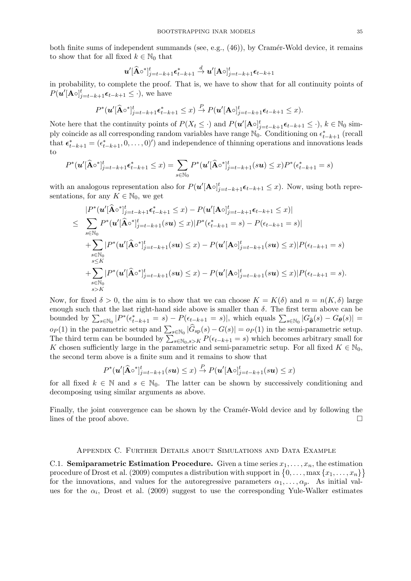both finite sums of independent summands (see, e.g.,  $(46)$ ), by Cramér-Wold device, it remains to show that for all fixed  $k \in \mathbb{N}_0$  that

$$
\boldsymbol{u}'[\widehat{\mathbf{A}}\circ{}^*\!]_{j=t-k+1}^t \boldsymbol{\epsilon}_{t-k+1}^* \overset{d}{\to} \boldsymbol{u}'[\mathbf{A}\circ]_{j=t-k+1}^t \boldsymbol{\epsilon}_{t-k+1}
$$

in probability, to complete the proof. That is, we have to show that for all continuity points of  $P(\boldsymbol{u}'[\mathbf{A}\circ]_{j=t-k+1}^t \boldsymbol{\epsilon}_{t-k+1} \leq \cdot)$ , we have

$$
P^*(\boldsymbol{u}'[\widehat{\mathbf{A}} \circ^*]_{j=t-k+1}^t \boldsymbol{\epsilon}_{t-k+1}^* \leq x) \stackrel{P}{\to} P(\boldsymbol{u}'[\mathbf{A} \circ]_{j=t-k+1}^t \boldsymbol{\epsilon}_{t-k+1} \leq x).
$$

Note here that the continuity points of  $P(X_t \leq \cdot)$  and  $P(\boldsymbol{u}'[\mathbf{A} \circ]_{j=t-k+1}^t \boldsymbol{\epsilon}_{t-k+1} \leq \cdot), k \in \mathbb{N}_0$  simply coincide as all corresponding random variables have range  $\mathbb{N}_0$ . Conditioning on  $\epsilon_{t-k+1}^*$  (recall that  $\epsilon_{t-k+1}^* = (\epsilon_{t-k+1}^*, 0, \ldots, 0)')$  and independence of thinning operations and innovations leads to

$$
P^*(\mathbf{u}'[\widehat{\mathbf{A}} \circ^*]_{j=t-k+1}^t \epsilon_{t-k+1}^* \le x) = \sum_{s \in \mathbb{N}_0} P^*(\mathbf{u}'[\widehat{\mathbf{A}} \circ^*]_{j=t-k+1}^t(s\mathbf{u}) \le x) P^*(\epsilon_{t-k+1}^* = s)
$$

with an analogous representation also for  $P(u'[\mathbf{A} \circ]_{j=t-k+1}^t \epsilon_{t-k+1} \leq x)$ . Now, using both representations, for any  $K \in \mathbb{N}_0$ , we get

$$
|P^*(u'|\hat{A}\circ^*]_{j=t-k+1}^t \epsilon_{t-k+1}^* \leq x) - P(u'|\mathbf{A}\circ]_{j=t-k+1}^t \epsilon_{t-k+1} \leq x)|
$$
  
\n
$$
\leq \sum_{s \in \mathbb{N}_0} P^*(u'|\hat{A}\circ^*]_{j=t-k+1}^t (su) \leq x) |P^*(\epsilon_{t-k+1}^* = s) - P(\epsilon_{t-k+1} = s)|
$$
  
\n
$$
+ \sum_{s \in \mathbb{N}_0} |P^*(u'|\hat{A}\circ^*]_{j=t-k+1}^t (su) \leq x) - P(u'|\mathbf{A}\circ]_{j=t-k+1}^t (su) \leq x) |P(\epsilon_{t-k+1} = s)|
$$
  
\n
$$
+ \sum_{s \in \mathbb{N}_0} |P^*(u'|\hat{A}\circ^*]_{j=t-k+1}^t (su) \leq x) - P(u'|\mathbf{A}\circ]_{j=t-k+1}^t (su) \leq x) |P(\epsilon_{t-k+1} = s).
$$
  
\n
$$
s > K
$$

Now, for fixed  $\delta > 0$ , the aim is to show that we can choose  $K = K(\delta)$  and  $n = n(K, \delta)$  large enough such that the last right-hand side above is smaller than  $\delta$ . The first term above can be bounded by  $\sum_{s \in \mathbb{N}_0} |P^*(\epsilon_{t-k+1}^* = s) - P(\epsilon_{t-k+1} = s)|$ , which equals  $\sum_{s \in \mathbb{N}_0} |G_{\hat{\theta}}(s) - G_{\theta}(s)| =$  $o_P(1)$  in the parametric setup and  $\sum_{s \in \mathbb{N}_0} |G_{\text{sp}}(s) - G(s)| = o_P(1)$  in the semi-parametric setup. The third term can be bounded by  $\sum_{s \in \mathbb{N}_0, s > K} P(\epsilon_{t-k+1} = s)$  which becomes arbitrary small for K chosen sufficiently large in the parametric and semi-parametric setup. For all fixed  $K \in \mathbb{N}_0$ , the second term above is a finite sum and it remains to show that

$$
P^*(\mathbf{u}'[\widehat{\mathbf{A}} \circ^*]_{j=t-k+1}^t(s\mathbf{u}) \leq x) \stackrel{P}{\to} P(\mathbf{u}'[\mathbf{A} \circ]_{j=t-k+1}^t(s\mathbf{u}) \leq x)
$$

for all fixed  $k \in \mathbb{N}$  and  $s \in \mathbb{N}_0$ . The latter can be shown by successively conditioning and decomposing using similar arguments as above.

Finally, the joint convergence can be shown by the Cramér-Wold device and by following the lines of the proof above.

#### Appendix C. Further Details about Simulations and Data Example

C.1. Semiparametric Estimation Procedure. Given a time series  $x_1, \ldots, x_n$ , the estimation procedure of Drost et al. (2009) computes a distribution with support in  $\{0, \ldots, \max\{x_1, \ldots, x_n\}\}$ for the innovations, and values for the autoregressive parameters  $\alpha_1, \ldots, \alpha_p$ . As initial values for the  $\alpha_i$ , Drost et al. (2009) suggest to use the corresponding Yule-Walker estimates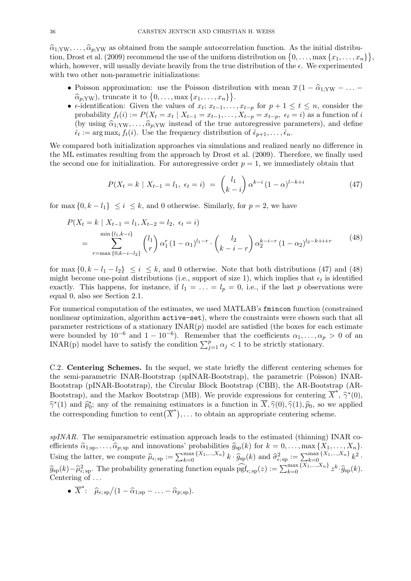$\hat{\alpha}_{1:YW}, \dots, \hat{\alpha}_{p:YW}$  as obtained from the sample autocorrelation function. As the initial distribution, Drost et al. (2009) recommend the use of the uniform distribution on  $\{0, \ldots, \max\{x_1, \ldots, x_n\}\}\$ which, however, will usually deviate heavily from the true distribution of the  $\epsilon$ . We experimented with two other non-parametric initializations:

- Poisson approximation: use the Poisson distribution with mean  $\overline{x} (1 \hat{\alpha}_1; y_W \dots \hat{\alpha}_{p;YW}$ , truncate it to  $\{0,\ldots,\max\{x_1,\ldots,x_n\}\}\$ .
- $\epsilon$ -identification: Given the values of  $x_t$ ;  $x_{t-1}, \ldots, x_{t-p}$  for  $p+1 \leq t \leq n$ , consider the probability  $f_t(i) := P(X_t = x_t | X_{t-1} = x_{t-1}, \ldots, X_{t-p} = x_{t-p}, \epsilon_t = i)$  as a function of i (by using  $\hat{\alpha}_{1:YW}, \ldots, \hat{\alpha}_{p:YW}$  instead of the true autoregressive parameters), and define  $\hat{\epsilon}_t := \arg \max_i f_t(i)$ . Use the frequency distribution of  $\hat{\epsilon}_{p+1}, \dots, \hat{\epsilon}_n$ .

We compared both initialization approaches via simulations and realized nearly no difference in the ML estimates resulting from the approach by Drost et al. (2009). Therefore, we finally used the second one for initialization. For autoregressive order  $p = 1$ , we immediately obtain that

$$
P(X_t = k \mid X_{t-1} = l_1, \ \epsilon_t = i) \ = \ \binom{l_1}{k-i} \alpha^{k-i} (1-\alpha)^{l-k+i} \tag{47}
$$

for max  $\{0, k - l_1\} \leq i \leq k$ , and 0 otherwise. Similarly, for  $p = 2$ , we have

$$
P(X_t = k \mid X_{t-1} = l_1, X_{t-2} = l_2, \epsilon_t = i)
$$
  
= 
$$
\sum_{r=\max\{0, k-i-l_2\}}^{\min\{l_1, k-i\}} {l_1 \choose r} \alpha_1^r (1-\alpha_1)^{l_1-r} \cdot {l_2 \choose k-i-r} \alpha_2^{k-i-r} (1-\alpha_2)^{l_2-k+i+r}
$$
 (48)

for max  $\{0, k - l_1 - l_2\} \le i \le k$ , and 0 otherwise. Note that both distributions (47) and (48) might become one-point distributions (i.e., support of size 1), which implies that  $\epsilon_t$  is identified exactly. This happens, for instance, if  $l_1 = \ldots = l_p = 0$ , i.e., if the last p observations were equal 0, also see Section 2.1.

For numerical computation of the estimates, we used MATLAB's fmincon function (constrained nonlinear optimization, algorithm active-set), where the constraints were chosen such that all parameter restrictions of a stationary  $INAR(p)$  model are satisfied (the boxes for each estimate were bounded by  $10^{-6}$  and  $1-10^{-6}$ ). Remember that the coefficients  $\alpha_1, \ldots, \alpha_p > 0$  of an INAR(p) model have to satisfy the condition  $\sum_{j=1}^{p} \alpha_j < 1$  to be strictly stationary.

C.2. Centering Schemes. In the sequel, we state briefly the different centering schemes for the semi-parametric INAR-Bootstrap (spINAR-Bootstrap), the parametric (Poisson) INAR-Bootstrap (pINAR-Bootstrap), the Circular Block Bootstrap (CBB), the AR-Bootstrap (AR-Bootstrap), and the Markov Bootstrap (MB). We provide expressions for centering  $\overline{X}^*, \hat{\gamma}^*(0)$ ,  $\hat{\gamma}^*(0)$ ,  $\hat{\gamma}^*(0)$  $\hat{\gamma}^*(1)$  and  $\hat{p}_0^*$ ; any of the remaining estimators is a function in  $\overline{X}, \hat{\gamma}(0), \hat{\gamma}(1), \hat{p}_0$ , so we applied the convenient function to eart  $(\overline{Y}^*)$  to obtain an appropriate containing scheme. the corresponding function to cent  $(\overline{X}^*)$ ,... to obtain an appropriate centering scheme.

spINAR. The semiparametric estimation approach leads to the estimated (thinning) INAR coefficients  $\widehat{\alpha}_{1;\text{sp}}, \ldots, \widehat{\alpha}_{p;\text{sp}}$  and innovations' probabilities  $\widehat{g}_{\text{sp}}(k)$  for  $k = 0, \ldots, \max\{X_1, \ldots, X_n\}$ . Using the latter, we compute  $\hat{\mu}_{\epsilon,sp} := \sum_{k=0}^{\max\{X_1,\dots,X_n\}} k \cdot \hat{g}_{sp}(k)$  and  $\hat{\sigma}_{\epsilon,sp}^2 := \sum_{k=0}^{\max\{X_1,\dots,X_n\}} k^2$ .  $\widehat{g}_{sp}(k)-\widehat{\mu}_{\epsilon,sp}^2$ . The probability generating function equals  $\widehat{\text{pgf}}_{\epsilon,sp}(z):=\sum_{k=0}^{\max\{X_1,\dots,X_n\}}z^k \cdot \widehat{g}_{sp}(k)$ . Centering of ...

•  $\overline{X}^*$ :  $\widehat{\mu}_{\epsilon; \text{ sp}}/(1 - \widehat{\alpha}_{1; \text{ sp}} - \ldots - \widehat{\alpha}_{p; \text{ sp}}).$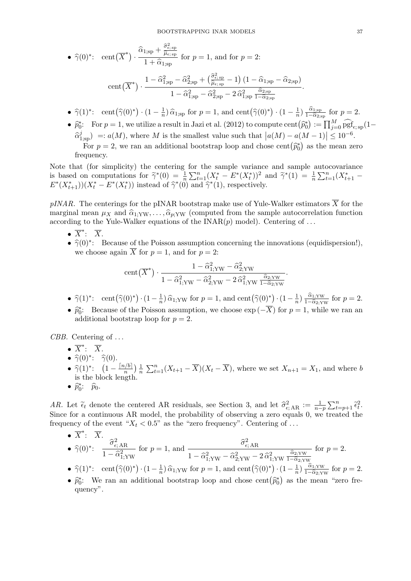• 
$$
\widehat{\gamma}(0)^*
$$
: cent $(\overline{X}^*) \cdot \frac{\widehat{\alpha}_{1,\text{sp}} + \frac{\widehat{\sigma}_{\epsilon,\text{sp}}^2}{\widehat{\mu}_{\epsilon,\text{sp}}}}{1 + \widehat{\alpha}_{1,\text{sp}}}$  for  $p = 1$ , and for  $p = 2$ :  
cent $(\overline{X}^*) \cdot \frac{1 - \widehat{\alpha}_{1,\text{sp}}^2 - \widehat{\alpha}_{2,\text{sp}}^2 + \left(\frac{\widehat{\sigma}_{\epsilon,\text{sp}}^2}{\widehat{\mu}_{\epsilon,\text{sp}}} - 1\right)(1 - \widehat{\alpha}_{1,\text{sp}} - \widehat{\alpha}_{2,\text{sp}})}{\widehat{\alpha}_{1,\text{sp}}^2 - \widehat{\alpha}_{2,\text{sp}}^2}$ .

$$
\operatorname{cent}(\overline{X}^*) \cdot \frac{1}{1 - \widehat{\alpha}_{1;\mathrm{sp}}^2 - \widehat{\alpha}_{2;\mathrm{sp}}^2 - 2\widehat{\alpha}_{1;\mathrm{sp}}^2 \frac{\widehat{\alpha}_{2;\mathrm{sp}}}{1 - \widehat{\alpha}_{2;\mathrm{sp}}} - \widehat{\alpha}_{1;\mathrm{sp}}^2 \frac{\widehat{\alpha}_{2;\mathrm{sp}}}{1 - \widehat{\alpha}_{2;\mathrm{sp}}}}
$$

- $\hat{\gamma}(1)^*$ : cent $(\hat{\gamma}(0)^*) \cdot (1 \frac{1}{n})$  $\frac{1}{n}$ )  $\hat{\alpha}_{1;\text{sp}}$  for  $p = 1$ , and cent $(\hat{\gamma}(0)^*) \cdot (1 - \frac{1}{n})$  $\frac{1}{n}$ )  $\frac{\widehat{\alpha}_{1;\text{sp}}}{1-\widehat{\alpha}_{2;\text{sp}}}$  $\frac{\alpha_{1,\text{sp}}}{1-\widehat{\alpha}_{2,\text{sp}}}$  for  $p=2$ .
- $\hat{p}_0^*$ : For  $p = 1$ , we utilize a result in Jazi et al. (2012) to compute cent  $(\hat{p}_0^*) := \prod_{j=0}^M \widehat{\text{pgf}}_{\epsilon, \text{sp}}(1 \hat{p}_0^j)$  $\widehat{\alpha}_{1,\text{sp}}^j$  =:  $a(M)$ , where M is the smallest value such that  $|a(M) - a(M-1)| \leq 10^{-6}$ . For  $p = 2$ , we ran an additional bootstrap loop and chose cent  $(\hat{p}_0^*)$  as the mean zero quancy frequency.

Note that (for simplicity) the centering for the sample variance and sample autocovariance is based on computations for  $\tilde{\gamma}^*(0) = \frac{1}{n} \sum_{t=1}^n (X_t^* - E^*(X_t^*))^2$  and  $\tilde{\gamma}^*(1) = \frac{1}{n} \sum_{t=1}^n (X_{t+1}^* - E^*(X_t^*)) (X_t^* - E^*(X_t^*))$  instead of  $\hat{\gamma}^*(0)$  and  $\hat{\gamma}^*(1)$  respectively.  $E^*(X_{t+1}^*))(X_t^* - E^*(X_t^*))$  instead of  $\hat{\gamma}^*(0)$  and  $\hat{\gamma}^*(1)$ , respectively.

pINAR. The centerings for the pINAR bootstrap make use of Yule-Walker estimators  $\overline{X}$  for the marginal mean  $\mu_X$  and  $\hat{\alpha}_{1;YW}, \ldots, \hat{\alpha}_{p;YW}$  (computed from the sample autocorrelation function according to the Yule-Walker equations of the  $\text{INAR}(p)$  model). Centering of ...

- $\overline{X}^*$ :  $\overline{X}$ .
- $\hat{\gamma}(0)^*$ : Because of the Poisson assumption concerning the innovations (equidispersion!),<br>we ghosen again  $\overline{Y}$  for  $n = 1$ , and for  $n = 2$ . we choose again  $\overline{X}$  for  $p = 1$ , and for  $p = 2$ :

$$
cent(\overline{X}^*) \cdot \frac{1 - \widehat{\alpha}_{1;YW}^2 - \widehat{\alpha}_{2;YW}^2}{1 - \widehat{\alpha}_{1;YW}^2 - \widehat{\alpha}_{2;YW}^2 - 2\widehat{\alpha}_{1;YW}^2 \frac{\widehat{\alpha}_{2;YW}}{1 - \widehat{\alpha}_{2;YW}}}.
$$

•  $\hat{\gamma}(1)^*$ : cent $(\hat{\gamma}(0)^*) \cdot (1 - \frac{1}{n})$  $\frac{1}{n}$ )  $\widehat{\alpha}_{1;YW}$  for  $p = 1$ , and cent  $(\widehat{\gamma}(0)^*) \cdot (1 - \frac{1}{n})$  $\frac{1}{n}$ )  $\frac{\widehat{\alpha}_{1;YW}}{1-\widehat{\alpha}_{2;Y}}$  $\frac{\alpha_{1;YW}}{1-\widehat{\alpha}_{2;YW}}$  for  $p=2$ .

•  $\hat{p}_0^*$ : Because of the Poisson assumption, we choose  $\exp(-\overline{X})$  for  $p = 1$ , while we ran an additional bootstrap loop for  $n = 2$ additional bootstrap loop for  $p = 2$ .

CBB. Centering of ...

- $\overline{X}^*$ :  $\overline{X}$ .
- $\hat{\gamma}(0)^*$ :  $\hat{\gamma}(0)$ .
- $\hat{\gamma}(1)^*$ :  $\left(1 \frac{\lceil n/b \rceil}{n} \right)$  $rac{h/b}{n}\Big)\frac{1}{n}$  $\frac{1}{n} \sum_{t=1}^{n} (X_{t+1} - \overline{X})(X_t - \overline{X})$ , where we set  $X_{n+1} = X_1$ , and where b is the block length.
- $\widehat{p}_0^*$ :  $\widehat{p}_0$ .

AR. Let  $\tilde{\epsilon}_t$  denote the centered AR residuals, see Section 3, and let  $\hat{\sigma}_{\epsilon,AR}^2 := \frac{1}{n-p} \sum_{t=p+1}^n \tilde{\epsilon}_t^2$ .<br>Since for a continuous AP model, the probability of observing a zero couple 0, we tracted the Since for a continuous AR model, the probability of observing a zero equals 0, we treated the frequency of the event " $X_t < 0.5$ " as the "zero frequency". Centering of ...

• 
$$
\overline{X}^*
$$
:  $\overline{X}$ .  
\n•  $\hat{\gamma}(0)^*$ :  $\frac{\hat{\sigma}_{\epsilon, \text{AR}}^2}{1 - \hat{\alpha}_{1; \text{YW}}^2}$  for  $p = 1$ , and  $\frac{\hat{\sigma}_{\epsilon, \text{AR}}^2}{1 - \hat{\alpha}_{1; \text{YW}}^2 - \hat{\alpha}_{2; \text{YW}}^2 - 2 \hat{\alpha}_{1; \text{YW}}^2}$  for  $p = 2$ .

- $\hat{\gamma}(1)^*$ : cent $(\hat{\gamma}(0)^*) \cdot (1 \frac{1}{n})$  $\frac{1}{n}$ )  $\hat{\alpha}_{1, \text{YW}}$  for  $p = 1$ , and cent  $(\hat{\gamma}(0)^*) \cdot (1 - \frac{1}{n})$  $\frac{1}{n}$ )  $\frac{\widehat{\alpha}_{1;YW}}{1-\widehat{\alpha}_{2;Y}}$  $rac{\alpha_{1;YW}}{1-\widehat{\alpha}_{2;YW}}$  for  $p=2$ .
- $\hat{p}_0^*$ : We ran an additional bootstrap loop and chose cent  $(\hat{p}_0^*)$  as the mean "zero frequency".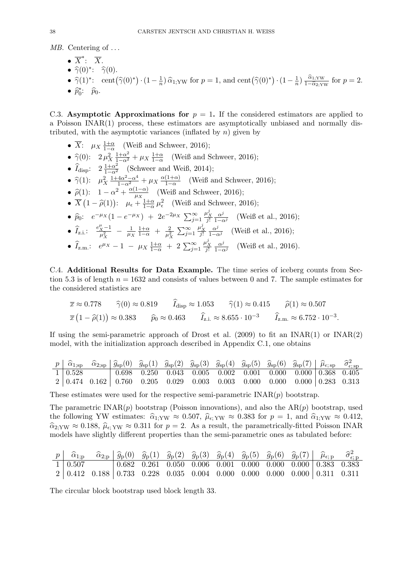MB. Centering of ...

- $\overline{X}^*$ :  $\overline{X}$ . •  $\hat{\gamma}(0)^*$ :  $\hat{\gamma}(0)$ . •  $\hat{\gamma}(1)^*$ : cent $(\hat{\gamma}(0)^*) \cdot (1 - \frac{1}{n})$  $\frac{1}{n}$ )  $\hat{\alpha}_{1;YW}$  for  $p=1$ , and cent $(\hat{\gamma}(0)^*) \cdot (1-\frac{1}{n})$  $\frac{1}{n}$ )  $\frac{\widehat{\alpha}_{1;YW}}{1-\widehat{\alpha}_{2;Y}}$  $\frac{\alpha_{1;YW}}{1-\widehat{\alpha}_{2;YW}}$  for  $p=2$ .
- $\widehat{p}_0^*$ :  $\widehat{p}_0$ .

C.3. Asymptotic Approximations for  $p = 1$ . If the considered estimators are applied to a Poisson INAR(1) process, these estimators are asymptotically unbiased and normally distributed, with the asymptotic variances (inflated by  $n$ ) given by

- $\overline{X}$ :  $\mu_X \frac{1+\alpha}{1-\alpha}$  (Weiß and Schweer, 2016);
- $\hat{\gamma}(0)$ :  $2 \mu_X^2 \frac{1+\alpha^2}{1-\alpha^2} + \mu_X \frac{1+\alpha}{1-\alpha}$  (Weiß and Schweer, 2016);
- $\hat{I}_{\text{disp}}$ :  $2 \frac{1+\alpha^2}{1-\alpha^2}$  (Schweer and Weiß, 2014);
- $\hat{\gamma}(1)$ :  $\mu_X^2 \frac{1+4\alpha^2-\alpha^4}{1-\alpha^2} + \mu_X \frac{\alpha(1+\alpha)}{1-\alpha}$  $\frac{(1+\alpha)}{1-\alpha}$  (Weiß and Schweer, 2016);
- $\widehat{\rho}(1)$ :  $1 \alpha^2 + \frac{\alpha(1-\alpha)}{\mu_X}$  $\frac{1-\alpha}{\mu_X}$  (Weiß and Schweer, 2016);
- $\overline{X}(1-\hat{\rho}(1))$ :  $\mu_{\epsilon} + \frac{1+\alpha}{1-\alpha}\mu_{\epsilon}^2$  (Weiß and Schweer, 2016);  $\frac{1+\alpha}{\mu^2}$
- $\hat{p}_0$ :  $e^{-\mu_X}(1 e^{-\mu_X}) + 2e^{-2\mu_X} \sum_{j=1}^{\infty}$  $\frac{\mu_X^j}{j!}$  $\frac{\alpha^j}{1-\alpha^j}$  (Weiß et al., 2016);
- $\hat{I}_{z.i.}: \frac{e_{X}^{\mu}-1}{\mu_{X}^{2}}$  $\frac{x-1}{\mu_X^2} - \frac{1}{\mu_Y^2}$  $\mu_X$  $rac{1+\alpha}{1-\alpha}$  +  $rac{2}{\mu^2}$  $\frac{2}{\mu_X^2}$   $\sum_{j=1}^{\infty}$  $\frac{\mu_X^j}{j!}$  $\frac{\alpha^j}{1-\alpha^j}$  (Weiß et al., 2016);
- $\hat{I}_{z.m.}: e^{\mu_X} 1 \mu_X \frac{1+\alpha}{1-\alpha} + 2 \sum_{j=1}^{\infty}$  $\frac{\mu_X^j}{j!}$  $\frac{\alpha^j}{1-\alpha^j}$  (Weiß et al., 2016).

C.4. Additional Results for Data Example. The time series of iceberg counts from Section 5.3 is of length  $n = 1632$  and consists of values between 0 and 7. The sample estimates for the considered statistics are

$$
\overline{x} \approx 0.778 \qquad \widehat{\gamma}(0) \approx 0.819 \qquad \widehat{I}_{\text{disp}} \approx 1.053 \qquad \widehat{\gamma}(1) \approx 0.415 \qquad \widehat{\rho}(1) \approx 0.507
$$

$$
\overline{x}(1-\widehat{\rho}(1)) \approx 0.383 \qquad \widehat{p}_0 \approx 0.463 \qquad \widehat{I}_{z.i.} \approx 8.655 \cdot 10^{-3} \qquad \widehat{I}_{z.m.} \approx 6.752 \cdot 10^{-3}.
$$

If using the semi-parametric approach of Drost et al.  $(2009)$  to fit an INAR(1) or INAR(2) model, with the initialization approach described in Appendix C.1, one obtains

| $p \mid \hat{\alpha}_{1;sp}$ |  | $\widehat{\alpha}_{2;\text{sp}} \mid \widehat{g}_{\text{sp}}(0) \mid \widehat{g}_{\text{sp}}(1) \mid \widehat{g}_{\text{sp}}(2) \mid \widehat{g}_{\text{sp}}(3) \mid \widehat{g}_{\text{sp}}(4) \mid \widehat{g}_{\text{sp}}(5) \mid \widehat{g}_{\text{sp}}(6) \mid \widehat{g}_{\text{sp}}(7) \mid \widehat{\mu}_{\epsilon;\text{ sp}} \mid \widehat{\sigma}^2_{\epsilon;\text{ sp}}$ |  |  |  |  |
|------------------------------|--|-----------------------------------------------------------------------------------------------------------------------------------------------------------------------------------------------------------------------------------------------------------------------------------------------------------------------------------------------------------------------------------------|--|--|--|--|
| $1 \mid 0.528$               |  | $\vert$ 0.698 0.250 0.043 0.005 0.002 0.001 0.000 0.000 0.368 0.405                                                                                                                                                                                                                                                                                                                     |  |  |  |  |
|                              |  | $2   0.474 \t0.162   0.760 \t0.205 \t0.029 \t0.003 \t0.003 \t0.000 \t0.000   0.000   0.283 \t0.313$                                                                                                                                                                                                                                                                                     |  |  |  |  |

These estimates were used for the respective semi-parametric  $\text{INAR}(p)$  bootstrap.

The parametric  $\text{INAR}(p)$  bootstrap (Poisson innovations), and also the  $\text{AR}(p)$  bootstrap, used the following YW estimates:  $\hat{\alpha}_{1;YW} \approx 0.507$ ,  $\hat{\mu}_{\epsilon;YW} \approx 0.383$  for  $p = 1$ , and  $\hat{\alpha}_{1;YW} \approx 0.412$ ,  $\hat{\alpha}_{2;YW} \approx 0.188$ ,  $\hat{\mu}_{\epsilon;YW} \approx 0.311$  for  $p=2$ . As a result, the parametrically-fitted Poisson INAR models have slightly different properties than the semi-parametric ones as tabulated before:

|  |  |  | $p \begin{bmatrix} \hat{\alpha}_{1;p} & \hat{\alpha}_{2;p} \end{bmatrix} \hat{g}_p(0) \hat{g}_p(1) \hat{g}_p(2) \hat{g}_p(3) \hat{g}_p(4) \hat{g}_p(5) \hat{g}_p(6) \hat{g}_p(7) \begin{bmatrix} \hat{\mu}_{\epsilon;p} & \hat{\sigma}_{\epsilon;p}^2 \end{bmatrix}$ |  |  |  |
|--|--|--|----------------------------------------------------------------------------------------------------------------------------------------------------------------------------------------------------------------------------------------------------------------------|--|--|--|
|  |  |  | $1   0.507$ $  0.682$ 0.261 0.050 0.006 0.001 0.000 0.000 0.000 0.383 0.383                                                                                                                                                                                          |  |  |  |
|  |  |  | $2   0.412   0.188   0.733   0.228   0.035   0.004   0.000   0.000   0.000   0.000   0.311   0.311$                                                                                                                                                                  |  |  |  |

The circular block bootstrap used block length 33.